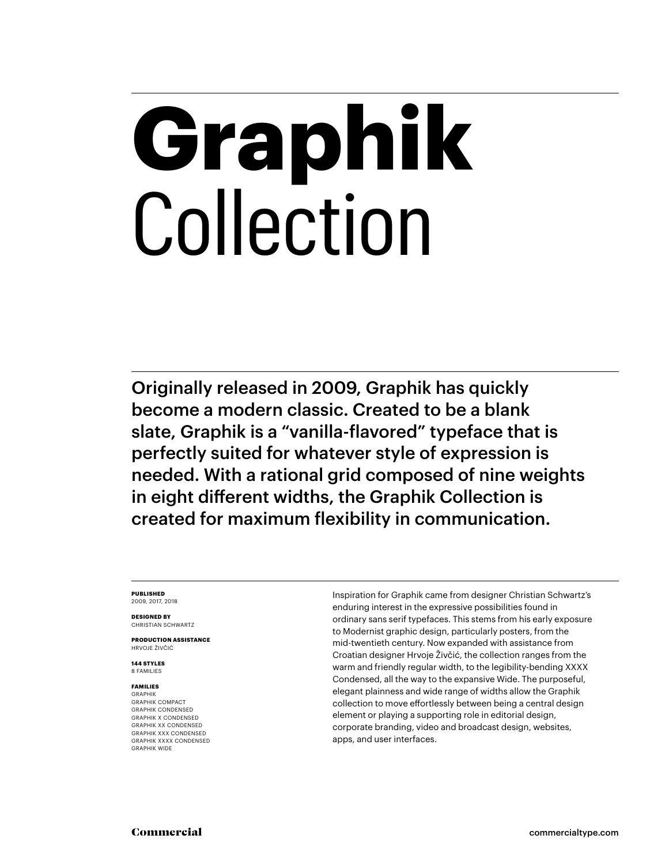# **Graphik** Collection

Originally released in 2009, Graphik has quickly become a modern classic. Created to be a blank slate, Graphik is a "vanilla-flavored" typeface that is perfectly suited for whatever style of expression is needed. With a rational grid composed of nine weights in eight different widths, the Graphik Collection is created for maximum flexibility in communication.

### **PUBLISHED** 2009, 2017, 2018

**DESIGNED BY** CHRISTIAN SCHWARTZ

**PRODUCTION ASSISTANCE** HRVOJE ŽIVČIĆ

**144 STYLES** 8 FAMILIES

### **FAMILIES** GRAPHIK

GRAPHIK COMPACT GRAPHIK CONDENSED GRAPHIK X CONDENSED GRAPHIK XX CONDENSED GRAPHIK XXX CONDENSED GRAPHIK XXXX CONDENSED GRAPHIK WIDE

Inspiration for Graphik came from designer Christian Schwartz's enduring interest in the expressive possibilities found in ordinary sans serif typefaces. This stems from his early exposure to Modernist graphic design, particularly posters, from the mid-twentieth century. Now expanded with assistance from Croatian designer Hrvoje Živčić, the collection ranges from the warm and friendly regular width, to the legibility-bending XXXX Condensed, all the way to the expansive Wide. The purposeful, elegant plainness and wide range of widths allow the Graphik collection to move effortlessly between being a central design element or playing a supporting role in editorial design, corporate branding, video and broadcast design, websites, apps, and user interfaces.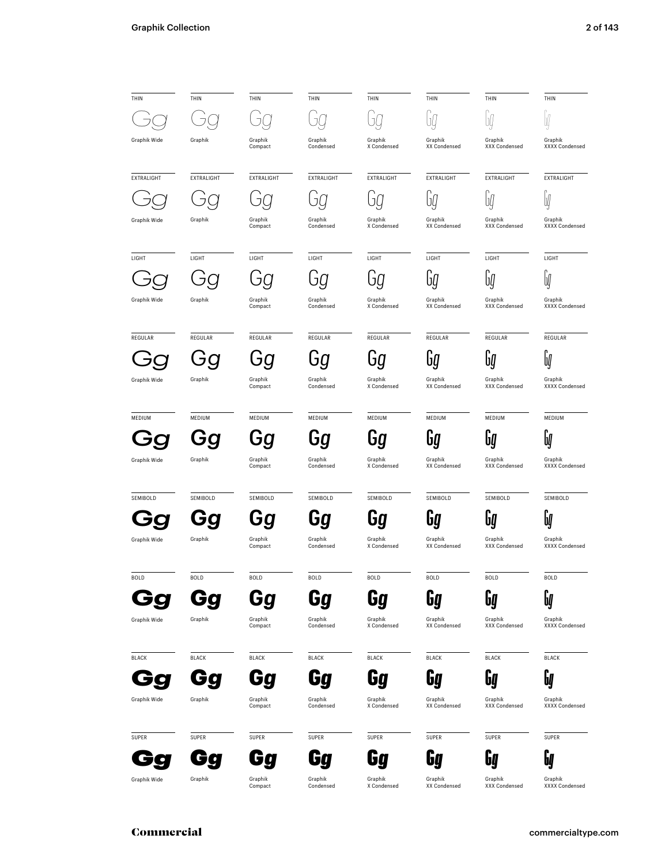| THIN         | THIN         | THIN               | THIN                 | THIN                   | THIN                    | THIN                     | THIN                      |
|--------------|--------------|--------------------|----------------------|------------------------|-------------------------|--------------------------|---------------------------|
|              |              |                    |                      |                        |                         | Jĺ,                      |                           |
| Graphik Wide | Graphik      | Graphik<br>Compact | Graphik<br>Condensed | Graphik<br>X Condensed | Graphik<br>XX Condensed | Graphik<br>XXX Condensed | Graphik<br>XXXX Condensed |
| EXTRALIGHT   | EXTRALIGHT   | <b>EXTRALIGHT</b>  | <b>EXTRALIGHT</b>    | EXTRALIGHT             | EXTRALIGHT              | EXTRALIGHT               | EXTRALIGHT                |
|              |              |                    |                      |                        | Uý                      | U                        | W                         |
| Graphik Wide | Graphik      | Graphik<br>Compact | Graphik<br>Condensed | Graphik<br>X Condensed | Graphik<br>XX Condensed | Graphik<br>XXX Condensed | Graphik<br>XXXX Condensed |
| LIGHT        | LIGHT        | LIGHT              | LIGHT                | LIGHT                  | LIGHT                   | LIGHT                    | LIGHT                     |
|              |              |                    | ா                    |                        | UÝ                      | Uļ                       | U                         |
| Graphik Wide | Graphik      | Graphik<br>Compact | Graphik<br>Condensed | Graphik<br>X Condensed | Graphik<br>XX Condensed | Graphik<br>XXX Condensed | Graphik<br>XXXX Condensed |
| REGULAR      | REGULAR      | REGULAR            | REGULAR              | REGULAR                | REGULAR                 | REGULAR                  | REGULAR                   |
|              |              | Ġğ                 | Ġģ                   | Ġg                     | lig                     | bý                       | U                         |
| Graphik Wide | Graphik      | Graphik<br>Compact | Graphik<br>Condensed | Graphik<br>X Condensed | Graphik<br>XX Condensed | Graphik<br>XXX Condensed | Graphik<br>XXXX Condensed |
| MEDIUM       | MEDIUM       | MEDIUM             | MEDIUM               | MEDIUM                 | MEDIUM                  | MEDIUM                   | MEDIUM                    |
|              |              | Gg                 | Gg                   | Ьg                     | bg                      | Եկ                       | bØ                        |
| Graphik Wide | Graphik      | Graphik<br>Compact | Graphik<br>Condensed | Graphik<br>X Condensed | Graphik<br>XX Condensed | Graphik<br>XXX Condensed | Graphik<br>XXXX Condensed |
| SEMIBOLD     | SEMIBOLD     | SEMIBOLD           | SEMIBOLD             | SEMIBOLD               | SEMIBOLD                | SEMIBOLD                 | SEMIBOLD                  |
|              |              | Gg                 | Gg                   | Gg                     | <b>bQ</b>               | U                        | Uļ                        |
| Graphik Wide | Graphik      | Graphik<br>Compact | Graphik<br>Condensed | Graphik<br>X Condensed | Graphik<br>XX Condensed | Graphik<br>XXX Condensed | Graphik<br>XXXX Condensed |
| <b>BOLD</b>  | <b>BOLD</b>  | <b>BOLD</b>        | <b>BOLD</b>          | <b>BOLD</b>            | <b>BOLD</b>             | <b>BOLD</b>              | <b>BOLD</b>               |
|              |              | Gq                 | 60                   | 50                     | <b>G</b>                | <b>Gg</b>                | b                         |
| Graphik Wide | Graphik      | Graphik<br>Compact | Graphik<br>Condensed | Graphik<br>X Condensed | Graphik<br>XX Condensed | Graphik<br>XXX Condensed | Graphik<br>XXXX Condensed |
| <b>BLACK</b> | <b>BLACK</b> | <b>BLACK</b>       | <b>BLACK</b>         | <b>BLACK</b>           | <b>BLACK</b>            | <b>BLACK</b>             | <b>BLACK</b>              |
|              |              | Go                 |                      | Ga                     | 6a                      | 64                       | Gg                        |
| Graphik Wide | Graphik      | Graphik<br>Compact | Graphik<br>Condensed | Graphik<br>X Condensed | Graphik<br>XX Condensed | Graphik<br>XXX Condensed | Graphik<br>XXXX Condensed |
| SUPER        | SUPER        | SUPER              | SUPER                | SUPER                  | SUPER                   | SUPER                    | SUPER                     |
|              |              |                    |                      |                        | <b>Gg</b>               | 64                       | 64                        |
| Graphik Wide | Graphik      | Graphik<br>Compact | Graphik<br>Condensed | Graphik<br>X Condensed | Graphik<br>XX Condensed | Graphik<br>XXX Condensed | Graphik<br>XXXX Condensed |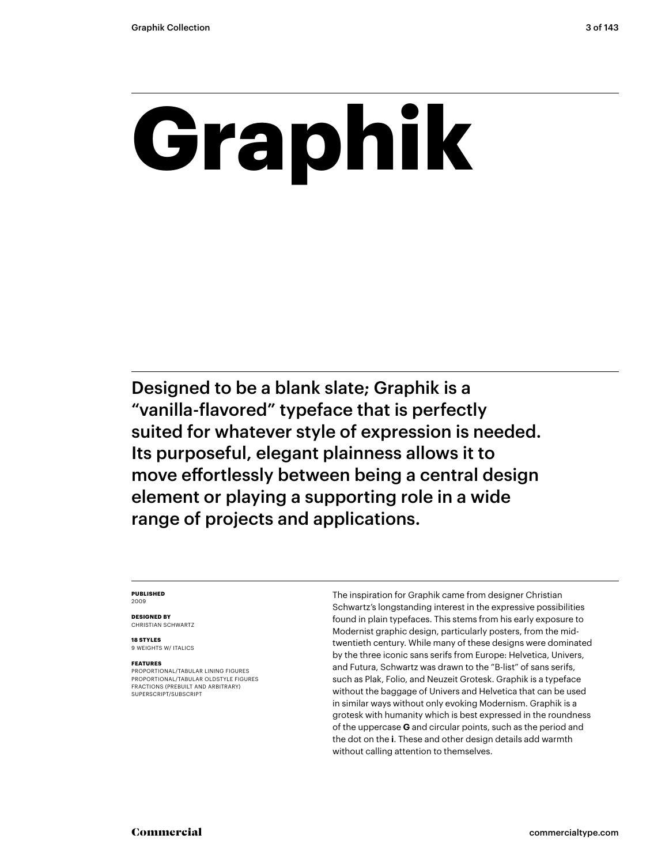# **Graphik**

Designed to be a blank slate; Graphik is a "vanilla-flavored" typeface that is perfectly suited for whatever style of expression is needed. Its purposeful, elegant plainness allows it to move effortlessly between being a central design element or playing a supporting role in a wide range of projects and applications.

### **PUBLISHED** 2009

**DESIGNED BY** CHRISTIAN SCHWARTZ

**18 STYLES** 9 WEIGHTS W/ ITALICS

### **FEATURES**

PROPORTIONAL/TABULAR LINING FIGURES PROPORTIONAL/TABULAR OLDSTYLE FIGURES FRACTIONS (PREBUILT AND ARBITRARY) SUPERSCRIPT/SUBSCRIPT

The inspiration for Graphik came from designer Christian Schwartz's longstanding interest in the expressive possibilities found in plain typefaces. This stems from his early exposure to Modernist graphic design, particularly posters, from the midtwentieth century. While many of these designs were dominated by the three iconic sans serifs from Europe: Helvetica, Univers, and Futura, Schwartz was drawn to the "B-list" of sans serifs, such as Plak, Folio, and Neuzeit Grotesk. Graphik is a typeface without the baggage of Univers and Helvetica that can be used in similar ways without only evoking Modernism. Graphik is a grotesk with humanity which is best expressed in the roundness of the uppercase **G** and circular points, such as the period and the dot on the **i**. These and other design details add warmth without calling attention to themselves.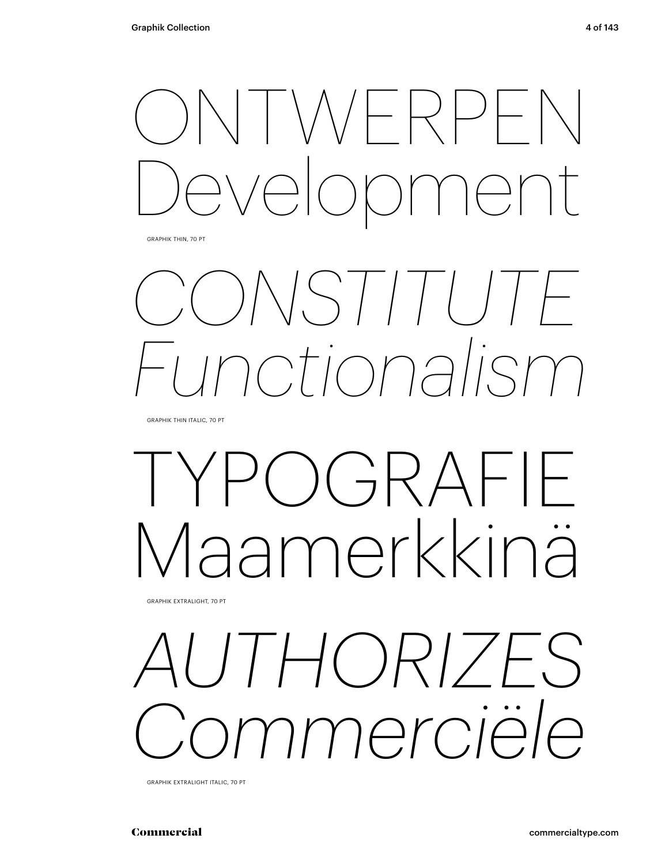

GRAPHIK THIN, 70 PT

## *CONSTITUTE Functionalism*

GRAPHIK THIN ITALIC, 70 PT

## $C$ ) $GRAFIF$ Maamerkkinä

GRAPHIK EXTRALIGHT, 70 PT

### *AUTHORIZES Commerciële*

GRAPHIK EXTRALIGHT ITALIC, 70 PT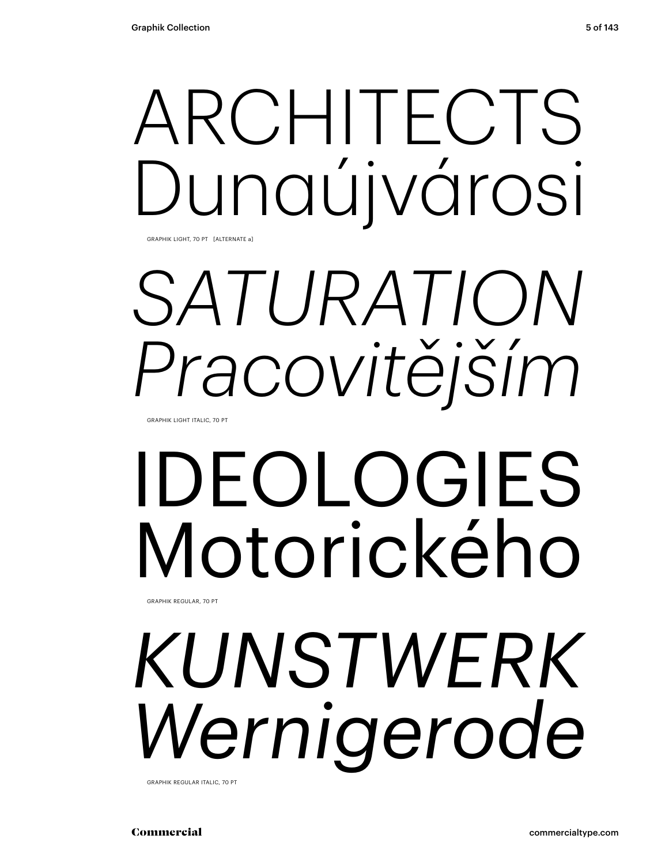## ARCHITECTS Dunaújvárosi

GRAPHIK LIGHT, 70 PT [ALTERNATE a]

## *SATURATION Pracovitějším*

GRAPHIK LIGHT ITALIC, 70 PT

# IDEOLOGIES Motorického

GRAPHIK REGULAR, 70 PT

## *KUNSTWERK Wernigerode*

GRAPHIK REGULAR ITALIC, 70 PT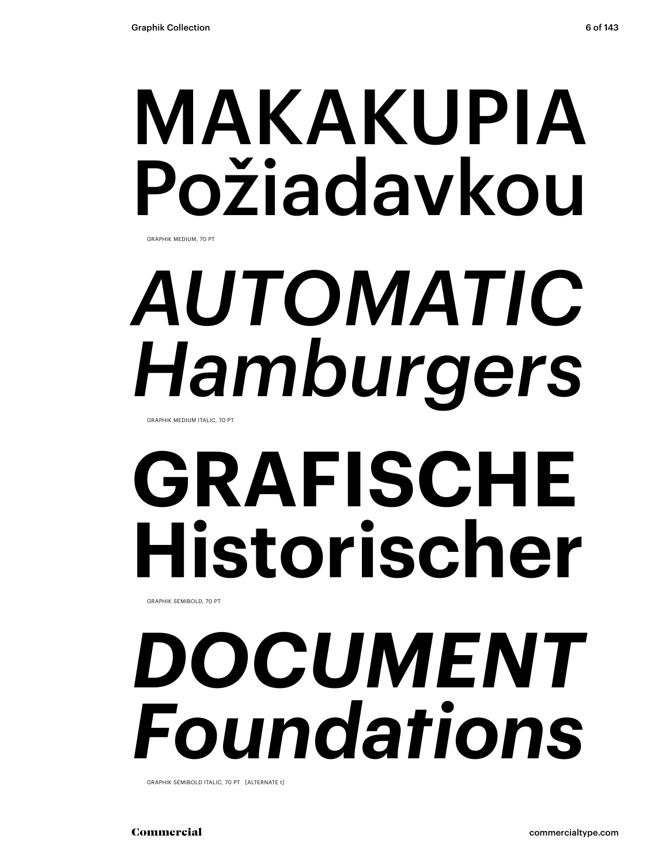## MAKAKUPIA Požiadavkou

GRAPHIK MEDIUM, 70 PT

# *AUTOMATIC Hamburgers*

GRAPHIK MEDIUM ITALIC, 70 PT

# **GRAFISCHE Historischer**

GRAPHIK SEMIBOLD, 70 PT

## *DOCUMENT Foundations*

GRAPHIK SEMIBOLD ITALIC, 70 PT [ALTERNATE t]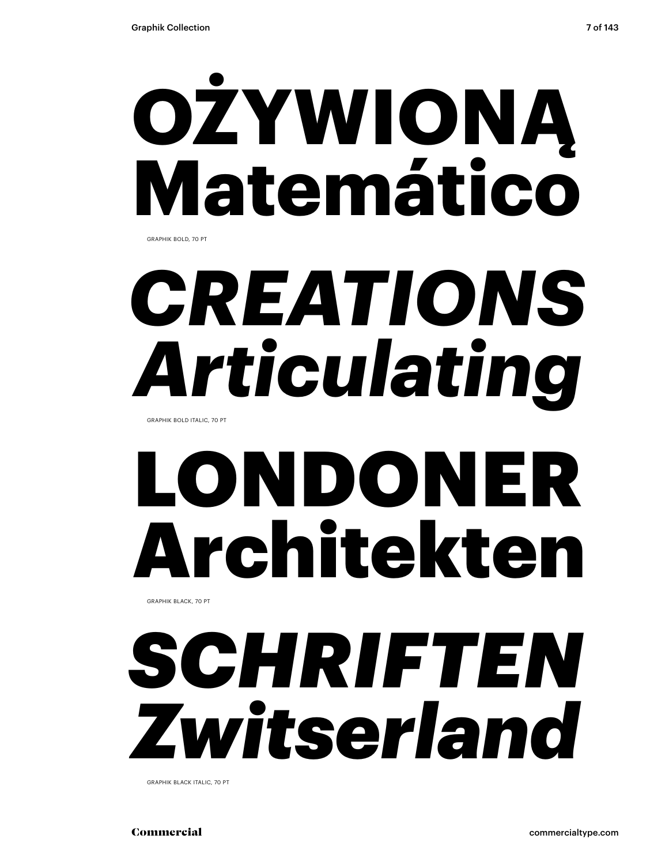

GRAPHIK BOLD, 70 PT

## *CREATIONS Articulating*

GRAPHIK BOLD ITALIC, 70 PT

## LONDONER Architekten

GRAPHIK BLACK, 70 PT

### *SCHRIFTEN Zwitserland*

GRAPHIK BLACK ITALIC, 70 PT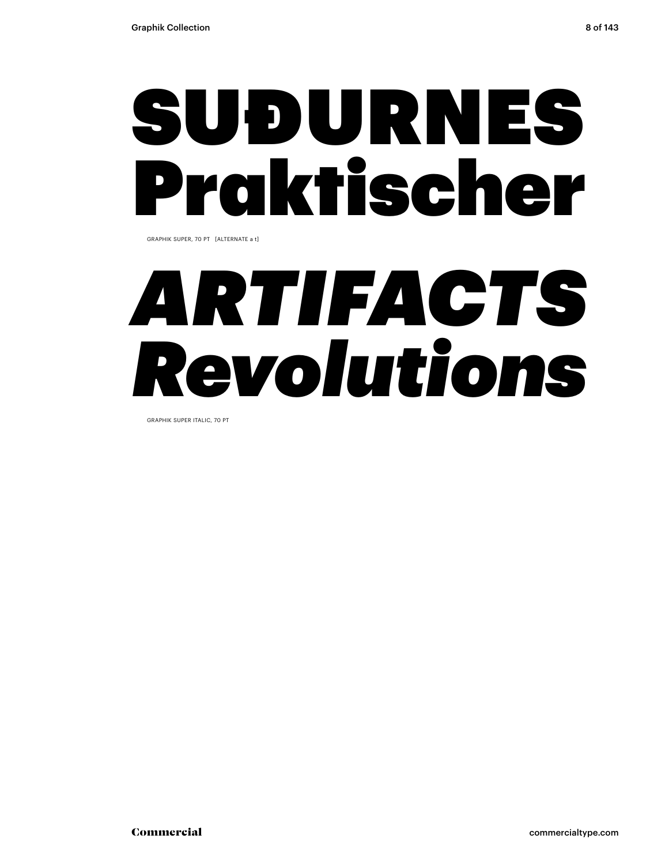### SUÐURNES Praktischer

GRAPHIK SUPER, 70 PT [ALTERNATE a t]

## *ARTIFACTS Revolutions*

GRAPHIK SUPER ITALIC, 70 PT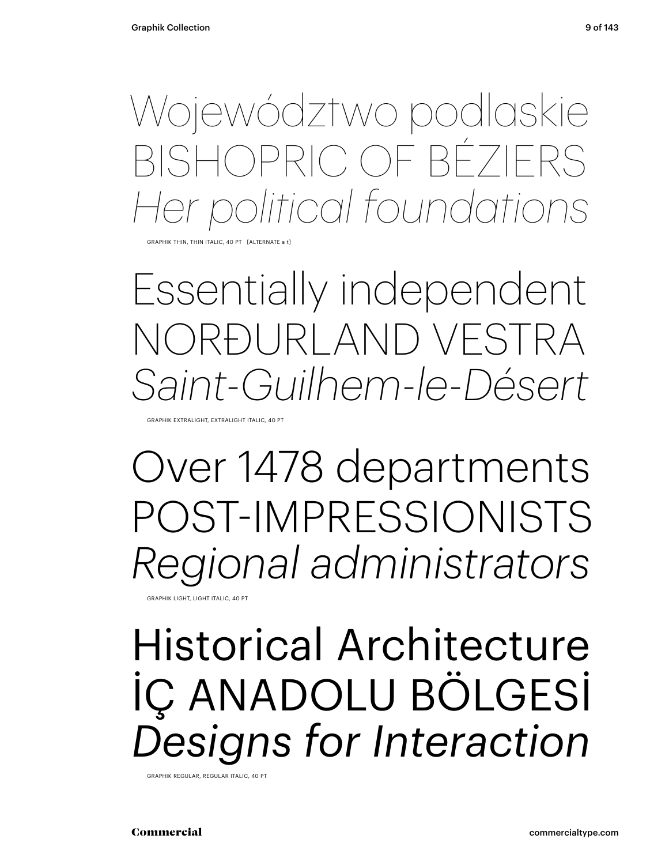Województwo podlaskie BISHOPRIC OF BÉZIERS *Her political foundations*

HIK THIN, THIN ITALIC, 40 PT [ALTERNATE

Essentially independent NORÐURLAND VESTRA *Saint-Guilhem-le-Désert*

GRAPHIK EXTRALIGHT, EXTRALIGHT ITALIC, 40 PT

Over 1478 departments POST-IMPRESSIONISTS *Regional administrators*

GRAPHIK LIGHT, LIGHT ITALIC, 40 PT

### Historical Architecture İÇ ANADOLU BÖLGESİ *Designs for Interaction*

GRAPHIK REGULAR, REGULAR ITALIC, 40 PT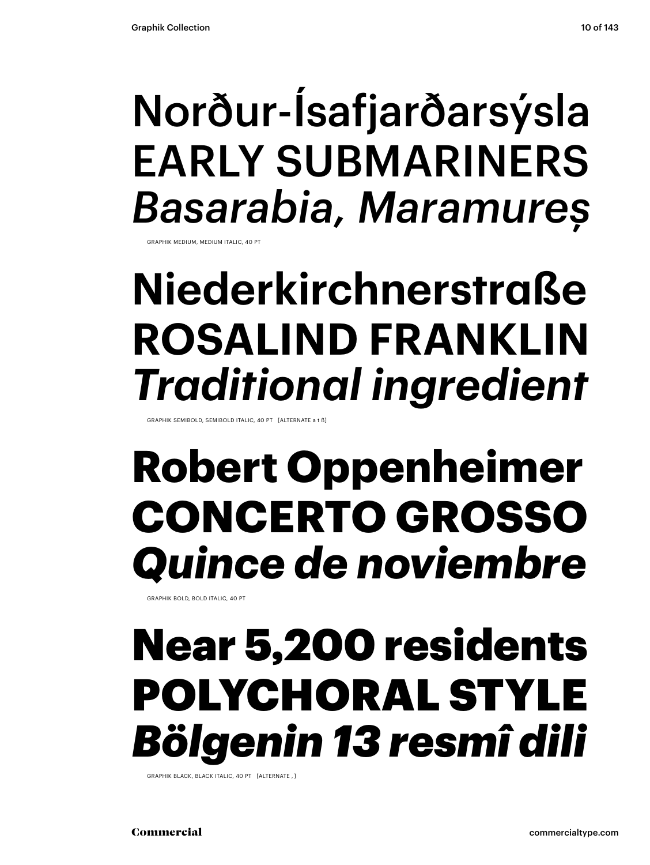### Norður-Ísafjarðarsýsla EARLY SUBMARINERS *Basarabia, Maramureș*

GRAPHIK MEDIUM, MEDIUM ITALIC, 40 PT

### **Niederkirchnerstraße ROSALIND FRANKLIN** *Traditional ingredient*

GRAPHIK SEMIBOLD, SEMIBOLD ITALIC, 40 PT [ALTERNATE a t ß]

### **Robert Oppenheimer CONCERTO GROSSO** *Quince de noviembre*

GRAPHIK BOLD, BOLD ITALIC, 40 PT

### Near 5,200 residents POLYCHORAL STYLE *Bölgenin 13 resmî dili*

GRAPHIK BLACK, BLACK ITALIC, 40 PT [ALTERNATE , ]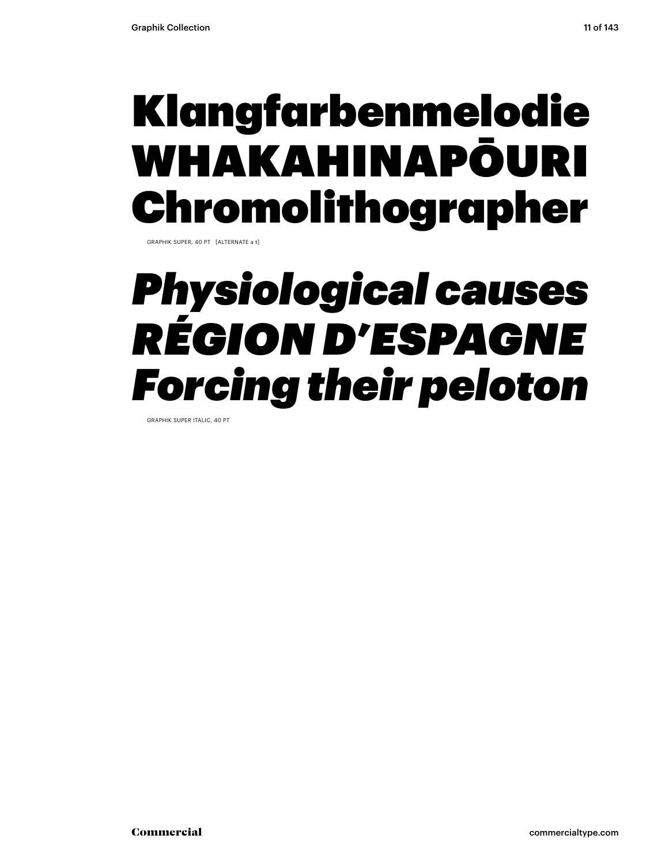### Klangfarbenmelodie WHAKAHINAPŌURI Chromolithographer

GRAPHIK SUPER, 40 PT [ALTERNATE a t]

### *Physiological causes RÉGION D'ESPAGNE Forcing their peloton*

GRAPHIK SUPER ITALIC, 40 PT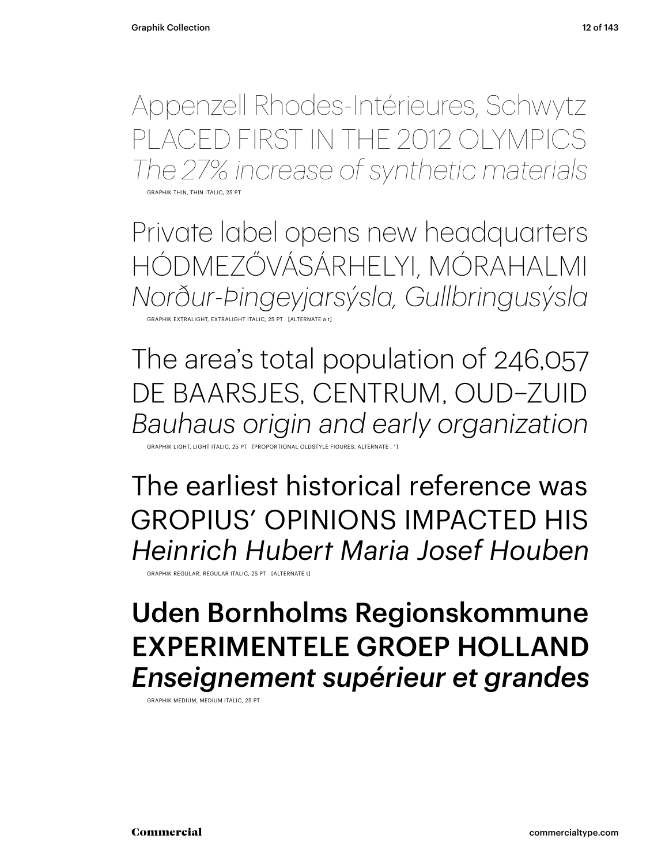Appenzell Rhodes-Intérieures, Schwytz PLACED FIRST IN THE 2012 OLYMPICS *The 27% increase of synthetic materials*

GRAPHIK THIN, THIN ITALIC, 25 PT

Private label opens new headquarters HÓDMEZŐVÁSÁRHELYI, MÓRAHALMI *Norður-Þingeyjarsýsla, Gullbringusýsla* GRAPHIK EXTRALIGHT, EXTRALIGHT ITALIC, 25 PT [ALTERNATE a

The area's total population of 246,057 DE BAARSJES, CENTRUM, OUD–ZUID *Bauhaus origin and early organization*

GRAPTIONAL OLDSTYLE

The earliest historical reference was GROPIUS' OPINIONS IMPACTED HIS *Heinrich Hubert Maria Josef Houben*

GRAPHIK REGULAR, REGULAR ITALIC, 25 PT [ALTERNATE t]

### Uden Bornholms Regionskommune EXPERIMENTELE GROEP HOLLAND *Enseignement supérieur et grandes*

GRAPHIK MEDIUM, MEDIUM ITALIC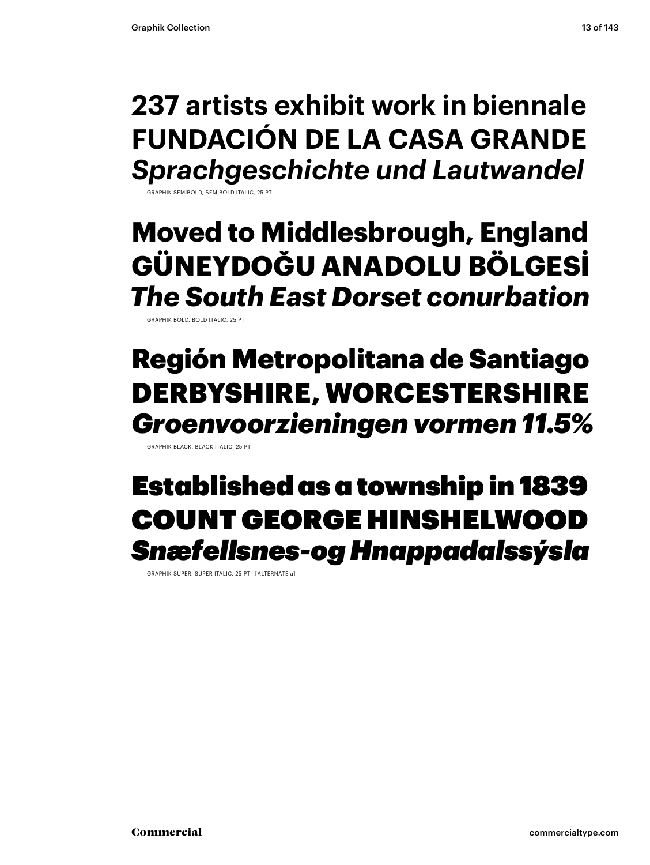### **237 artists exhibit work in biennale FUNDACIÓN DE LA CASA GRANDE** *Sprachgeschichte und Lautwandel*

GRAPHIK SEMIBOLD, SEMIBOLD ITALIC, 25

### **Moved to Middlesbrough, England GÜNEYDOĞU ANADOLU BÖLGESİ** *The South East Dorset conurbation*

GRAPHIK BOLD, BOLD ITALIC, 25 PT

### Región Metropolitana de Santiago DERBYSHIRE, WORCESTERSHIRE *Groenvoorzieningen vormen 11.5%*

GRAPHIK BLACK, BLACK ITALIC, 25 PT

### Established as a township in 1839 COUNT GEORGE HINSHELWOOD *Snæfellsnes-og Hnappadalssýsla*

GRAPHIK SUPER, SUPER ITALIC, 25 PT [ALTERNATE a]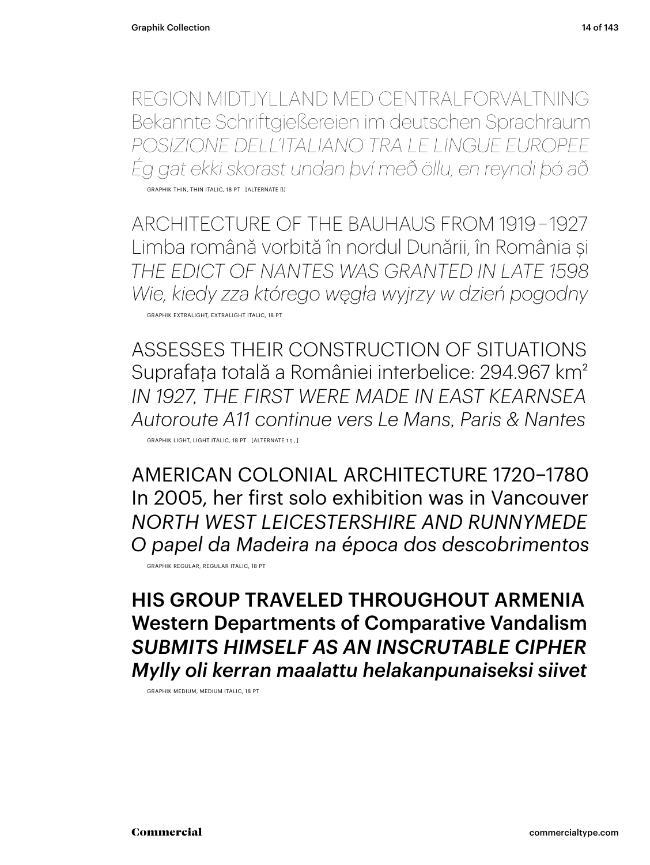REGION MIDTJYLLAND MED CENTRALFORVALTNING Bekannte Schriftgießereien im deutschen Sprachraum *POSIZIONE DELL'ITALIANO TRA LE LINGUE EUROPEE Ég gat ekki skorast undan því með öllu, en reyndi þó að*

GRAPHIK THIN, THIN ITALIC, 18 PT [ALTERNATE ß]

ARCHITECTURE OF THE BAUHAUS FROM 1919 – 1927 Limba română vorbită în nordul Dunării, în România și *THE EDICT OF NANTES WAS GRANTED IN LATE 1598 Wie, kiedy zza którego węgła wyjrzy w dzień pogodny* GRAPHIK EXTRALIGHT, EXTRALIGHT ITALIC, 18 PT

ASSESSES THEIR CONSTRUCTION OF SITUATIONS Suprafaţa totală a României interbelice: 294.967 km2 *IN 1927, THE FIRST WERE MADE IN EAST KEARNSEA Autoroute A11 continue vers Le Mans, Paris & Nantes* GRAPHIK LIGHT, LIGHT ITALIC, 18 PT [ALTERNATE t ţ , ]

AMERICAN COLONIAL ARCHITECTURE 1720–1780 In 2005, her first solo exhibition was in Vancouver *NORTH WEST LEICESTERSHIRE AND RUNNYMEDE O papel da Madeira na época dos descobrimentos* GRAPHIK REGULAR, REGULAR ITALIC, 18 PT

HIS GROUP TRAVELED THROUGHOUT ARMENIA Western Departments of Comparative Vandalism *SUBMITS HIMSELF AS AN INSCRUTABLE CIPHER Mylly oli kerran maalattu helakanpunaiseksi siivet*

GRAPHIK MEDIUM, MEDIUM ITALIC, 18 PT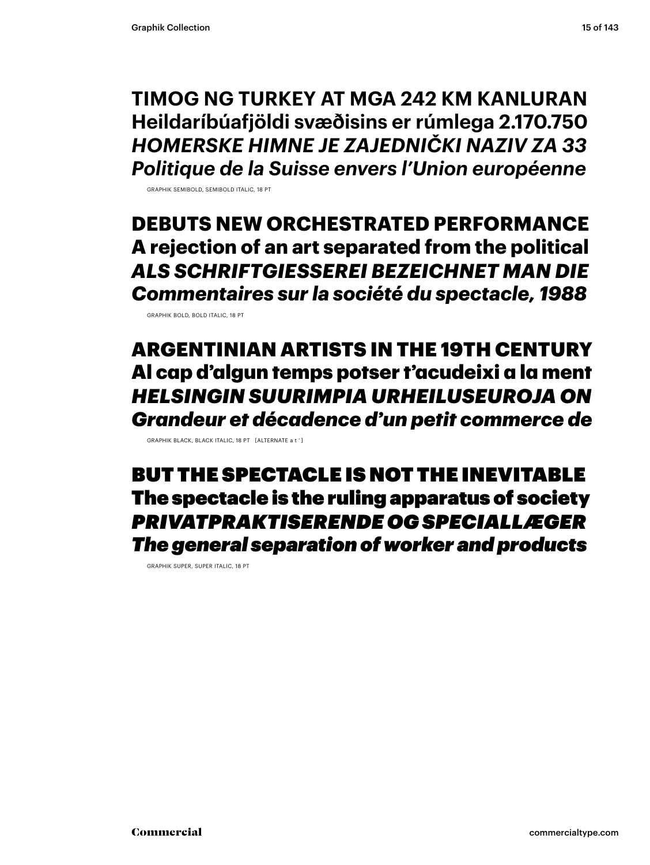**TIMOG NG TURKEY AT MGA 242 KM KANLURAN Heildaríbúafjöldi svæðisins er rúmlega 2.170.750** *HOMERSKE HIMNE JE ZAJEDNIČKI NAZIV ZA 33 Politique de la Suisse envers l'Union européenne*

GRAPHIK SEMIBOLD, SEMIBOLD ITALIC, 18 PT

**DEBUTS NEW ORCHESTRATED PERFORMANCE A rejection of an art separated from the political** *ALS SCHRIFTGIESSEREI BEZEICHNET MAN DIE Commentaires sur la société du spectacle, 1988*

GRAPHIK BOLD, BOLD ITALIC, 18 PT

ARGENTINIAN ARTISTS IN THE 19TH CENTURY Al cap d'algun temps potser t'acudeixi a la ment *HELSINGIN SUURIMPIA URHEILUSEUROJA ON Grandeur et décadence d'un petit commerce de*

GRAPHIK BLACK, BLACK ITALIC, 18 PT [ALTERNATE a t ' ]

BUT THE SPECTACLE IS NOT THE INEVITABLE The spectacle is the ruling apparatus of society *PRIVATPRAKTISERENDE OG SPECIALLÆGER The general separation of worker and products*

GRAPHIK SUPER, SUPER ITALIC, 18 PT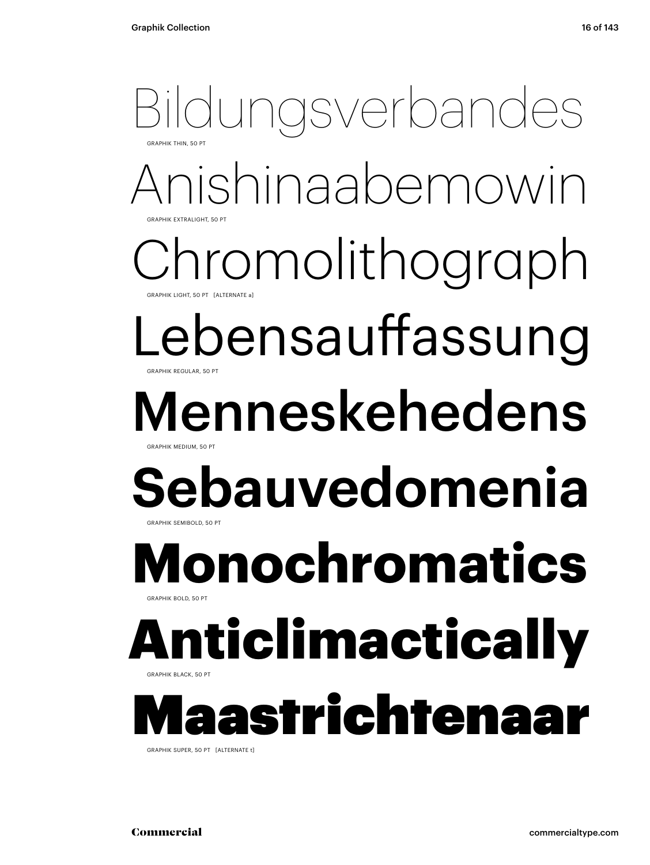### Anishinaabemowin aromolithograph ebensauffassung Menneskehedens **Sebauvedomenia** Bildungsverbandes GRAPHIK THIN 50 PT GRAPHIK EXTRALIGHT, 50 PT GRAPHIK LIGHT, 50 PT GRAPHIK REGULAR, 50 PT  $B$ ADHIK MEDIUM, 50 GRAPHIK SEMIBOLD, 50 **Monochromatics** GRAPHIK BOLD, 50 PT **Iticlimactical** GRAPHIK BLACK, 50 PT astrichtenaar

GRAPHIK SUPER, 50 PT [ALTERNATE t]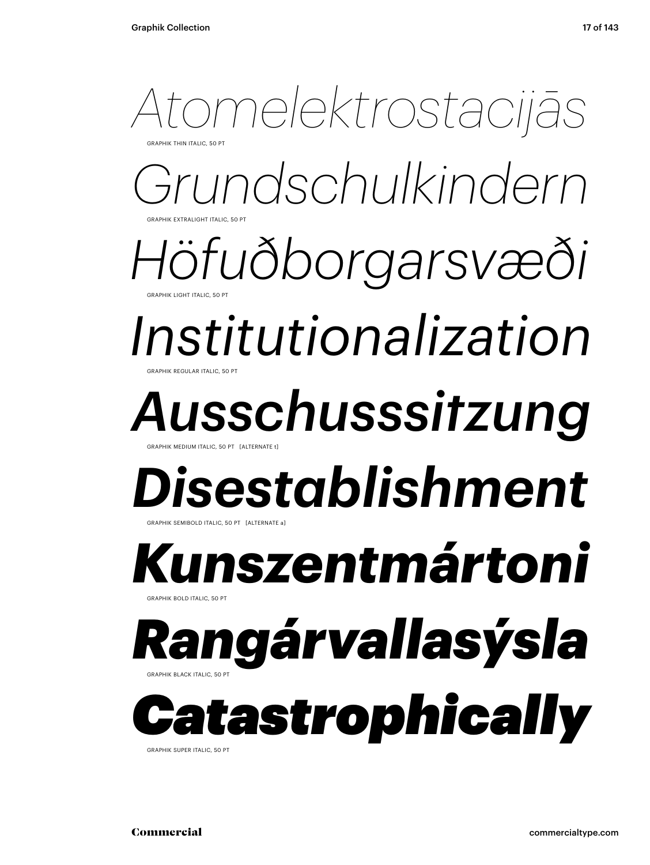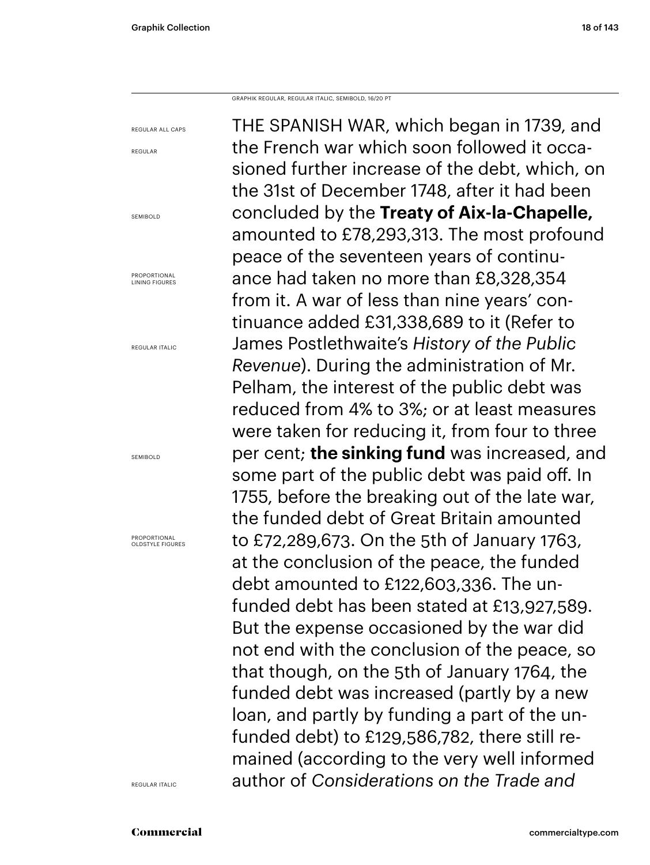GRAPHIK REGULAR, REGULAR ITALIC, SEMIBOLD, 16/20 PT

REGULAR ALL CAPS REGULAR SEMIBOLD PROPORTIONAL LINING FIGURES REGULAR ITALIC SEMIBOLD PROPORTIONAL OLDSTYLE FIGURES THE SPANISH WAR, which began in 1739, and the French war which soon followed it occasioned further increase of the debt, which, on the 31st of December 1748, after it had been concluded by the **Treaty of Aix-la-Chapelle,**  amounted to £78,293,313. The most profound peace of the seventeen years of continuance had taken no more than £8,328,354 from it. A war of less than nine years' continuance added £31,338,689 to it (Refer to James Postlethwaite's *History of the Public Revenue*). During the administration of Mr. Pelham, the interest of the public debt was reduced from 4% to 3%; or at least measures were taken for reducing it, from four to three per cent; **the sinking fund** was increased, and some part of the public debt was paid off. In 1755, before the breaking out of the late war, the funded debt of Great Britain amounted to £72,289,673. On the 5th of January 1763, at the conclusion of the peace, the funded debt amounted to £122,603,336. The unfunded debt has been stated at £13,927,589. But the expense occasioned by the war did not end with the conclusion of the peace, so that though, on the 5th of January 1764, the funded debt was increased (partly by a new loan, and partly by funding a part of the unfunded debt) to £129,586,782, there still remained (according to the very well informed author of *Considerations on the Trade and* 

REGULAR ITALIC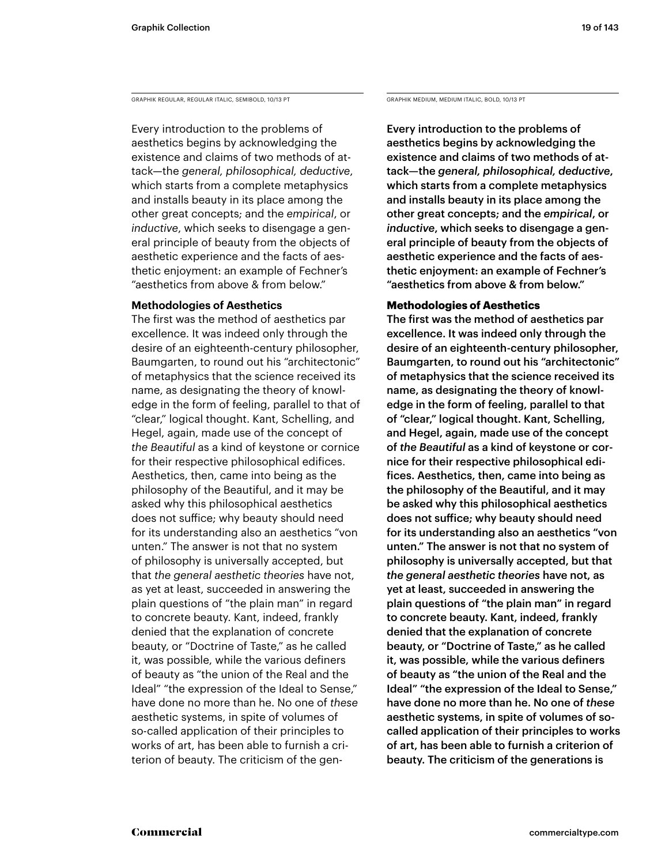GRAPHIK REGULAR, REGULAR ITALIC, SEMIBOLD, 10/13 PT GRAPHIK MEDIUM, MEDIUM, MEDIUM ITALIC, BOLD, 10/13 PT

Every introduction to the problems of aesthetics begins by acknowledging the existence and claims of two methods of attack—the *general, philosophical, deductive*, which starts from a complete metaphysics and installs beauty in its place among the other great concepts; and the *empirical*, or *inductive*, which seeks to disengage a general principle of beauty from the objects of aesthetic experience and the facts of aesthetic enjoyment: an example of Fechner's "aesthetics from above & from below."

### **Methodologies of Aesthetics**

The first was the method of aesthetics par excellence. It was indeed only through the desire of an eighteenth-century philosopher, Baumgarten, to round out his "architectonic" of metaphysics that the science received its name, as designating the theory of knowledge in the form of feeling, parallel to that of "clear," logical thought. Kant, Schelling, and Hegel, again, made use of the concept of *the Beautiful* as a kind of keystone or cornice for their respective philosophical edifices. Aesthetics, then, came into being as the philosophy of the Beautiful, and it may be asked why this philosophical aesthetics does not suffice; why beauty should need for its understanding also an aesthetics "von unten." The answer is not that no system of philosophy is universally accepted, but that *the general aesthetic theories* have not, as yet at least, succeeded in answering the plain questions of "the plain man" in regard to concrete beauty. Kant, indeed, frankly denied that the explanation of concrete beauty, or "Doctrine of Taste," as he called it, was possible, while the various definers of beauty as "the union of the Real and the Ideal" "the expression of the Ideal to Sense," have done no more than he. No one of *these* aesthetic systems, in spite of volumes of so-called application of their principles to works of art, has been able to furnish a criterion of beauty. The criticism of the gen-

Every introduction to the problems of aesthetics begins by acknowledging the existence and claims of two methods of attack—the *general, philosophical, deductive*, which starts from a complete metaphysics and installs beauty in its place among the other great concepts; and the *empirical*, or *inductive*, which seeks to disengage a general principle of beauty from the objects of aesthetic experience and the facts of aesthetic enjoyment: an example of Fechner's "aesthetics from above & from below."

### **Methodologies of Aesthetics**

The first was the method of aesthetics par excellence. It was indeed only through the desire of an eighteenth-century philosopher, Baumgarten, to round out his "architectonic" of metaphysics that the science received its name, as designating the theory of knowledge in the form of feeling, parallel to that of "clear," logical thought. Kant, Schelling, and Hegel, again, made use of the concept of *the Beautiful* as a kind of keystone or cornice for their respective philosophical edifices. Aesthetics, then, came into being as the philosophy of the Beautiful, and it may be asked why this philosophical aesthetics does not suffice; why beauty should need for its understanding also an aesthetics "von unten." The answer is not that no system of philosophy is universally accepted, but that *the general aesthetic theories* have not, as yet at least, succeeded in answering the plain questions of "the plain man" in regard to concrete beauty. Kant, indeed, frankly denied that the explanation of concrete beauty, or "Doctrine of Taste," as he called it, was possible, while the various definers of beauty as "the union of the Real and the Ideal" "the expression of the Ideal to Sense," have done no more than he. No one of *these* aesthetic systems, in spite of volumes of socalled application of their principles to works of art, has been able to furnish a criterion of beauty. The criticism of the generations is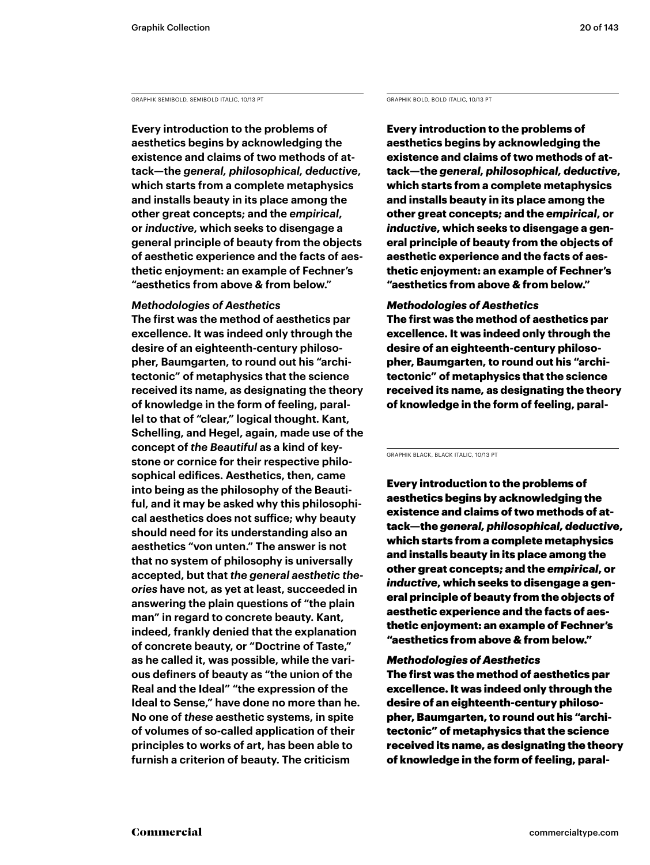GRAPHIK SEMIBOLD, SEMIBOLD ITALIC, 10/13 PT GRAPHIK BOLD, BOLD ITALIC, 10/13 PT

**Every introduction to the problems of aesthetics begins by acknowledging the existence and claims of two methods of attack—the** *general, philosophical, deductive***, which starts from a complete metaphysics and installs beauty in its place among the other great concepts; and the** *empirical***, or** *inductive***, which seeks to disengage a general principle of beauty from the objects of aesthetic experience and the facts of aesthetic enjoyment: an example of Fechner's "aesthetics from above & from below."** 

### *Methodologies of Aesthetics*

**The first was the method of aesthetics par excellence. It was indeed only through the desire of an eighteenth-century philosopher, Baumgarten, to round out his "architectonic" of metaphysics that the science received its name, as designating the theory of knowledge in the form of feeling, parallel to that of "clear," logical thought. Kant, Schelling, and Hegel, again, made use of the concept of** *the Beautiful* **as a kind of keystone or cornice for their respective philosophical edifices. Aesthetics, then, came into being as the philosophy of the Beautiful, and it may be asked why this philosophical aesthetics does not suffice; why beauty should need for its understanding also an aesthetics "von unten." The answer is not that no system of philosophy is universally accepted, but that** *the general aesthetic theories* **have not, as yet at least, succeeded in answering the plain questions of "the plain man" in regard to concrete beauty. Kant, indeed, frankly denied that the explanation of concrete beauty, or "Doctrine of Taste," as he called it, was possible, while the various definers of beauty as "the union of the Real and the Ideal" "the expression of the Ideal to Sense," have done no more than he. No one of** *these* **aesthetic systems, in spite of volumes of so-called application of their principles to works of art, has been able to furnish a criterion of beauty. The criticism** 

**Every introduction to the problems of aesthetics begins by acknowledging the existence and claims of two methods of attack—the** *general, philosophical, deductive***, which starts from a complete metaphysics and installs beauty in its place among the other great concepts; and the** *empirical***, or**  *inductive***, which seeks to disengage a general principle of beauty from the objects of aesthetic experience and the facts of aesthetic enjoyment: an example of Fechner's "aesthetics from above & from below."** 

### *Methodologies of Aesthetics*

**The first was the method of aesthetics par excellence. It was indeed only through the desire of an eighteenth-century philosopher, Baumgarten, to round out his "architectonic" of metaphysics that the science received its name, as designating the theory of knowledge in the form of feeling, paral-**

GRAPHIK BLACK, BLACK ITALIC, 10/13 PT

Every introduction to the problems of aesthetics begins by acknowledging the existence and claims of two methods of attack—the *general, philosophical, deductive*, which starts from a complete metaphysics and installs beauty in its place among the other great concepts; and the *empirical*, or *inductive*, which seeks to disengage a general principle of beauty from the objects of aesthetic experience and the facts of aesthetic enjoyment: an example of Fechner's "aesthetics from above & from below."

### *Methodologies of Aesthetics*

The first was the method of aesthetics par excellence. It was indeed only through the desire of an eighteenth-century philosopher, Baumgarten, to round out his "architectonic" of metaphysics that the science received its name, as designating the theory of knowledge in the form of feeling, paral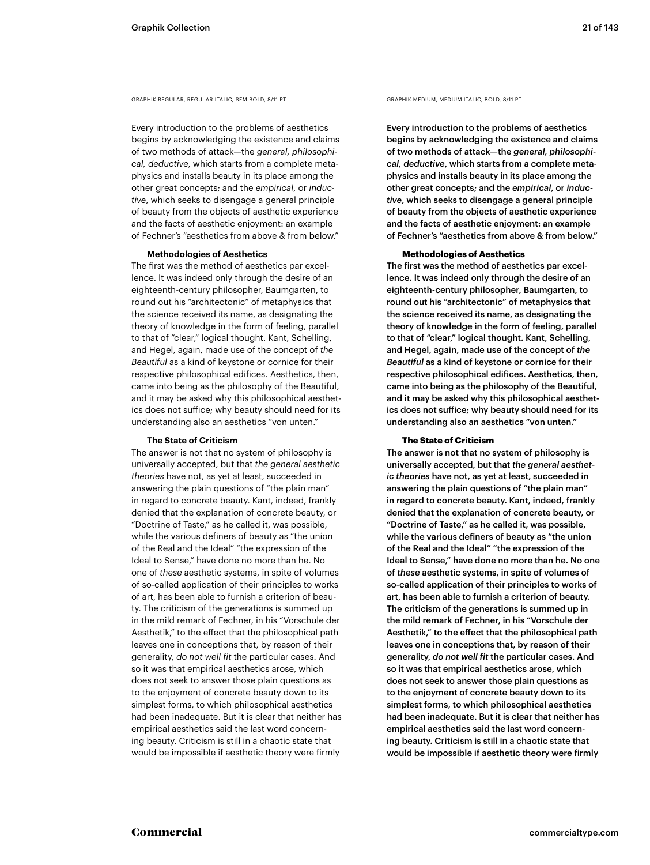GRAPHIK REGULAR, REGULAR ITALIC, SEMIBOLD, 8/11 PT GRAPHIK MEDIUM, MEDIUM ITALIC, BOLD, 8/11 PT

Every introduction to the problems of aesthetics begins by acknowledging the existence and claims of two methods of attack—the *general, philosophical, deductive*, which starts from a complete metaphysics and installs beauty in its place among the other great concepts; and the *empirical*, or *inductive*, which seeks to disengage a general principle of beauty from the objects of aesthetic experience and the facts of aesthetic enjoyment: an example of Fechner's "aesthetics from above & from below."

### **Methodologies of Aesthetics**

The first was the method of aesthetics par excellence. It was indeed only through the desire of an eighteenth-century philosopher, Baumgarten, to round out his "architectonic" of metaphysics that the science received its name, as designating the theory of knowledge in the form of feeling, parallel to that of "clear," logical thought. Kant, Schelling, and Hegel, again, made use of the concept of *the Beautiful* as a kind of keystone or cornice for their respective philosophical edifices. Aesthetics, then, came into being as the philosophy of the Beautiful, and it may be asked why this philosophical aesthetics does not suffice; why beauty should need for its understanding also an aesthetics "von unten."

### **The State of Criticism**

The answer is not that no system of philosophy is universally accepted, but that *the general aesthetic theories* have not, as yet at least, succeeded in answering the plain questions of "the plain man" in regard to concrete beauty. Kant, indeed, frankly denied that the explanation of concrete beauty, or "Doctrine of Taste," as he called it, was possible, while the various definers of beauty as "the union of the Real and the Ideal" "the expression of the Ideal to Sense," have done no more than he. No one of *these* aesthetic systems, in spite of volumes of so-called application of their principles to works of art, has been able to furnish a criterion of beauty. The criticism of the generations is summed up in the mild remark of Fechner, in his "Vorschule der Aesthetik," to the effect that the philosophical path leaves one in conceptions that, by reason of their generality, *do not well fit* the particular cases. And so it was that empirical aesthetics arose, which does not seek to answer those plain questions as to the enjoyment of concrete beauty down to its simplest forms, to which philosophical aesthetics had been inadequate. But it is clear that neither has empirical aesthetics said the last word concerning beauty. Criticism is still in a chaotic state that would be impossible if aesthetic theory were firmly

Every introduction to the problems of aesthetics begins by acknowledging the existence and claims of two methods of attack—the *general, philosophical, deductive*, which starts from a complete metaphysics and installs beauty in its place among the other great concepts; and the *empirical*, or *inductive*, which seeks to disengage a general principle of beauty from the objects of aesthetic experience and the facts of aesthetic enjoyment: an example of Fechner's "aesthetics from above & from below."

### **Methodologies of Aesthetics**

The first was the method of aesthetics par excellence. It was indeed only through the desire of an eighteenth-century philosopher, Baumgarten, to round out his "architectonic" of metaphysics that the science received its name, as designating the theory of knowledge in the form of feeling, parallel to that of "clear," logical thought. Kant, Schelling, and Hegel, again, made use of the concept of *the Beautiful* as a kind of keystone or cornice for their respective philosophical edifices. Aesthetics, then, came into being as the philosophy of the Beautiful, and it may be asked why this philosophical aesthetics does not suffice; why beauty should need for its understanding also an aesthetics "von unten."

### **The State of Criticism**

The answer is not that no system of philosophy is universally accepted, but that *the general aesthetic theories* have not, as yet at least, succeeded in answering the plain questions of "the plain man" in regard to concrete beauty. Kant, indeed, frankly denied that the explanation of concrete beauty, or "Doctrine of Taste," as he called it, was possible, while the various definers of beauty as "the union of the Real and the Ideal" "the expression of the Ideal to Sense," have done no more than he. No one of *these* aesthetic systems, in spite of volumes of so-called application of their principles to works of art, has been able to furnish a criterion of beauty. The criticism of the generations is summed up in the mild remark of Fechner, in his "Vorschule der Aesthetik," to the effect that the philosophical path leaves one in conceptions that, by reason of their generality, *do not well fit* the particular cases. And so it was that empirical aesthetics arose, which does not seek to answer those plain questions as to the enjoyment of concrete beauty down to its simplest forms, to which philosophical aesthetics had been inadequate. But it is clear that neither has empirical aesthetics said the last word concerning beauty. Criticism is still in a chaotic state that would be impossible if aesthetic theory were firmly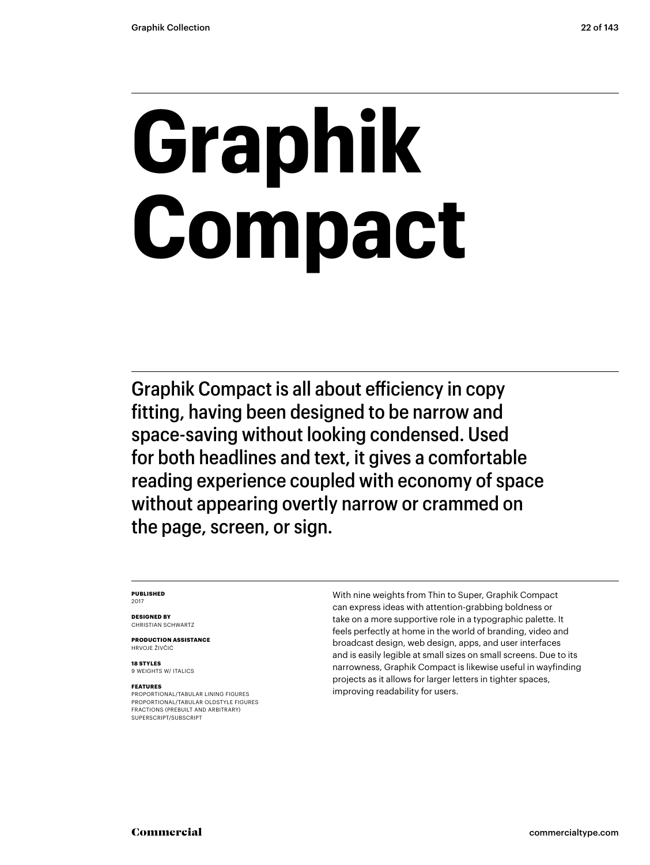# **Graphik Compact**

Graphik Compact is all about efficiency in copy fitting, having been designed to be narrow and space-saving without looking condensed. Used for both headlines and text, it gives a comfortable reading experience coupled with economy of space without appearing overtly narrow or crammed on the page, screen, or sign.

### **PUBLISHED** 2017

**DESIGNED BY** CHRISTIAN SCHWARTZ

**PRODUCTION ASSISTANCE** HRVOJE ŽIVČIĆ

**18 STYLES** 9 WEIGHTS W/ ITALICS

### **FEATURES**

PROPORTIONAL/TABULAR LINING FIGURES PROPORTIONAL/TABULAR OLDSTYLE FIGURES FRACTIONS (PREBUILT AND ARBITRARY) SUPERSCRIPT/SUBSCRIPT

With nine weights from Thin to Super, Graphik Compact can express ideas with attention-grabbing boldness or take on a more supportive role in a typographic palette. It feels perfectly at home in the world of branding, video and broadcast design, web design, apps, and user interfaces and is easily legible at small sizes on small screens. Due to its narrowness, Graphik Compact is likewise useful in wayfinding projects as it allows for larger letters in tighter spaces, improving readability for users.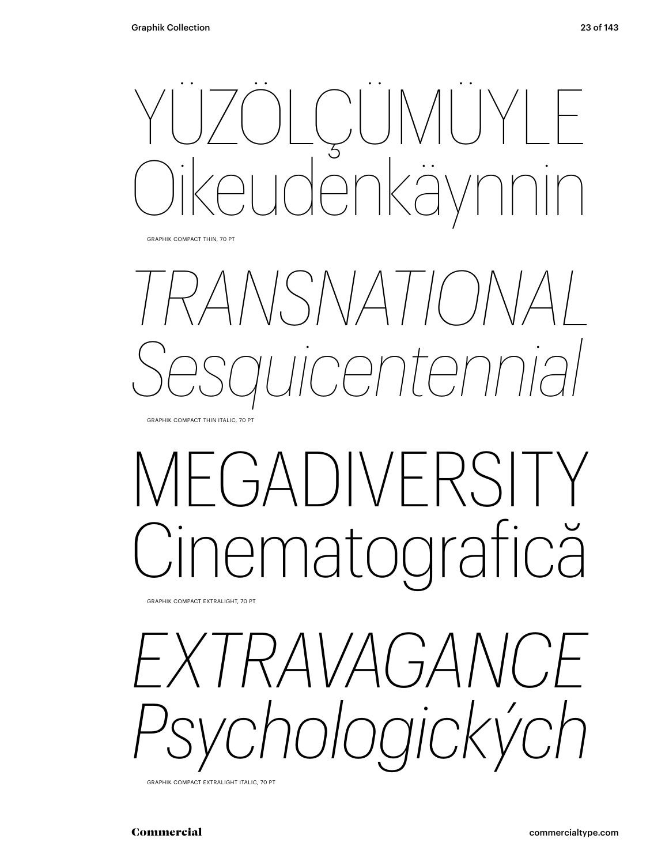

GRAPHIK COMPACT THIN, 70 PT



## FGADIVERSIT ematografică

GRAPHIK COMPACT EXTRALIGHT, 70 PT

*EXTRAVAGANCE Psychologických*

GRAPHIK COMPACT EXTRALIGHT ITALIC, 70 PT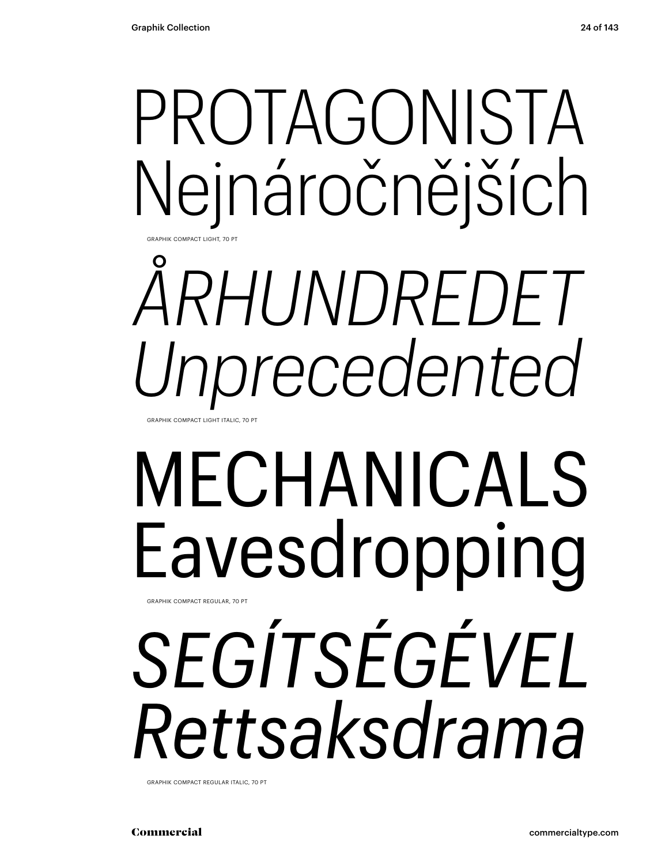## PROTAGONISTA Nejnáročnějších

# *ÅRHUNDREDET Unprecedented*

GRAPHIK COMPACT LIGHT ITALIC, 70

GRAPHIK COMPACT LIGHT, 70 PT

## MECHANICALS Eavesdropping

GRAPHIK COMPACT REGULAR, 70 PT

## *SEGÍTSÉGÉVEL Rettsaksdrama*

GRAPHIK COMPACT REGULAR ITALIC, 70 PT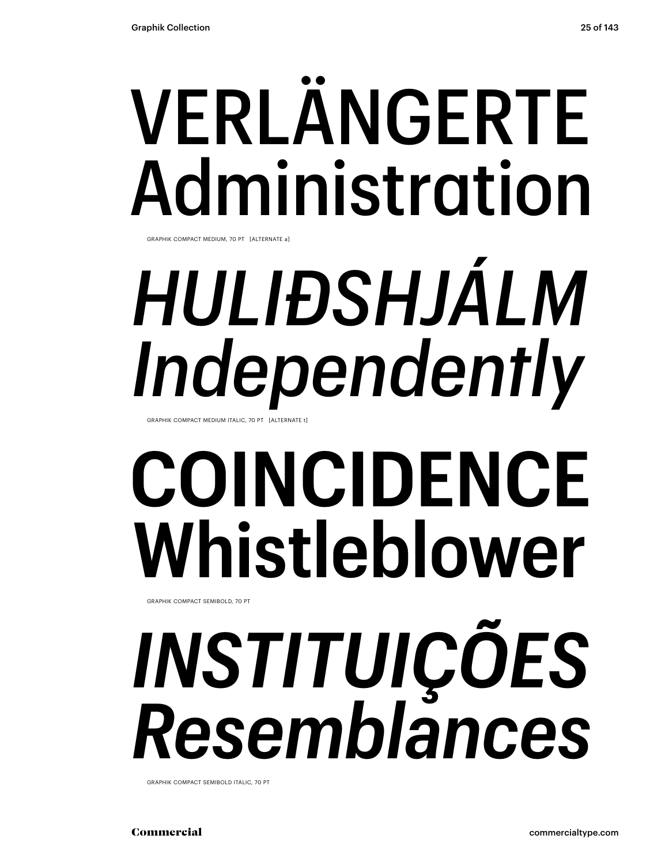# VERLÄNGERTE Administration

GRAPHIK COMPACT MEDIUM, 70 PT [ALTERNATE a]

# *HULIÐSHJÁLM Independently*

GRAPHIK COMPACT MEDIUM ITALIC, 70 PT [ALTERNATE t]

## **COINCIDENCE Whistleblower**

GRAPHIK COMPACT SEMIBOLD, 70 PT

# *INSTITUIÇÕES Resemblances*

GRAPHIK COMPACT SEMIBOLD ITALIC, 70 PT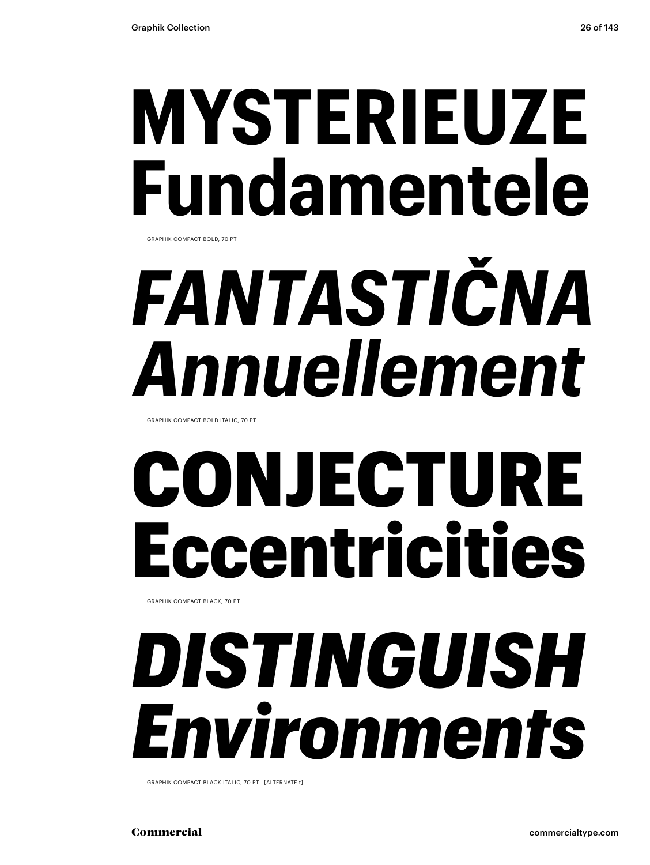### **MYSTERIEUZE Fundamentele** GRAPHIK COMPACT BOLD, 70 PT

# *FANTASTIČNA Annuellement*

GRAPHIK COMPACT BOLD ITALIC, 70 PT

## CONJECTURE Eccentricities

GRAPHIK COMPACT BLACK, 70 PT

### *DISTINGUISH Environments*

GRAPHIK COMPACT BLACK ITALIC, 70 PT [ALTERNATE t]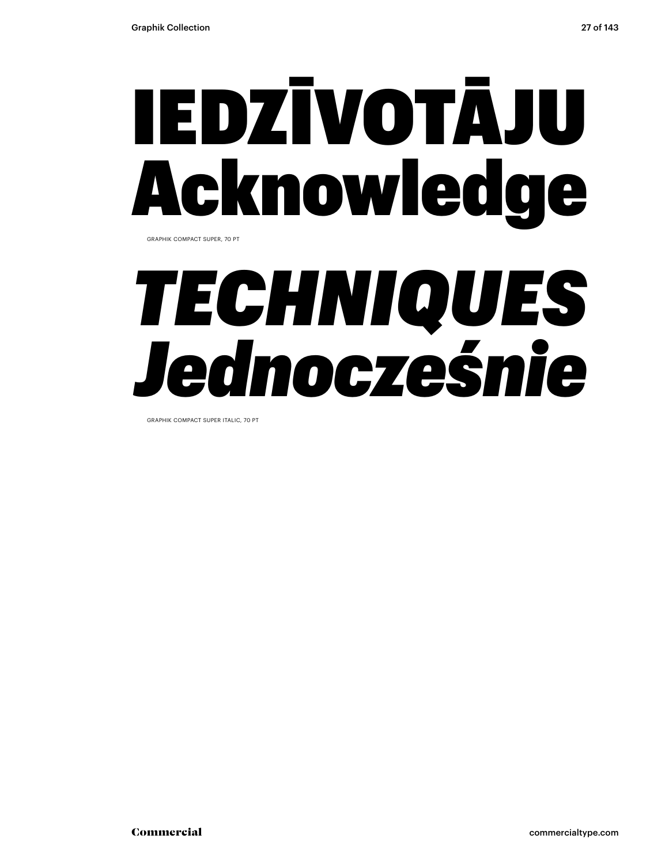# IEDZĪVOTĀJU Acknowledge

GRAPHIK COMPACT SUPER, 70 PT

### *TECHNIQUES Jednocześnie*

GRAPHIK COMPACT SUPER ITALIC, 70 PT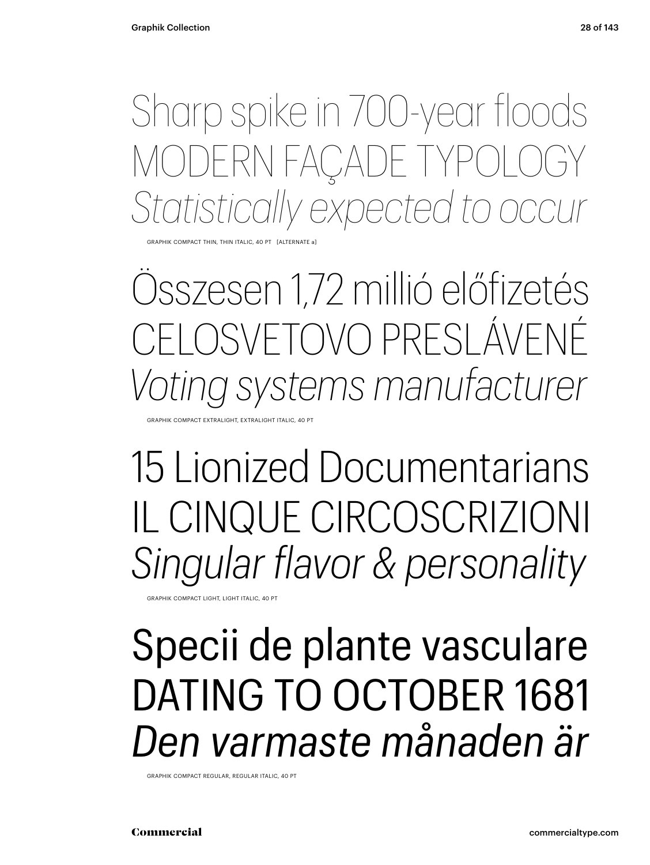Sharp spike in 700-year floods MODERN FAÇADE TYPOLOGY *Statistically expected to occur*

GRAPHIK COMPACT THIN, THIN ITALIC, 40 PT [ALTERNATE a]

Összesen 1,72 millió előfizetés ELOSVETOVO PRESLÁVENÉ *Voting systems manufacturer*

GRAPHIK COMPACT EXTRALIGHT, EXTRALIGHT ITALIC, 40 PT

15 Lionized Documentarians IL CINQUE CIRCOSCRIZIONI *Singular flavor & personality*

GRAPHIK COMPACT LIGHT, LIGHT ITALIC, 40 PT

### Specii de plante vasculare DATING TO OCTOBER 1681 *Den varmaste månaden är*

GRAPHIK COMPACT REGULAR, REGULAR ITALIC, 40 PT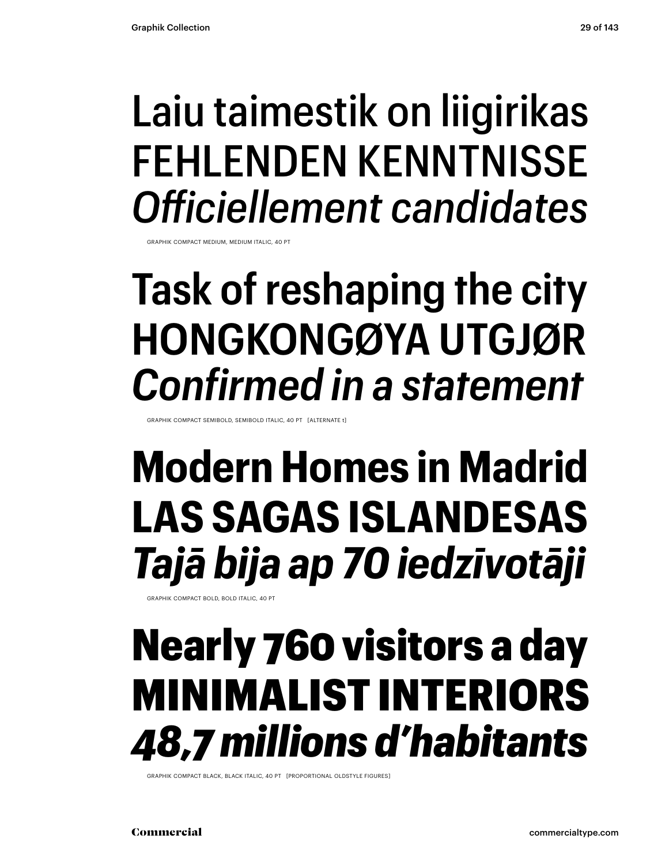### Laiu taimestik on liigirikas FEHLENDEN KENNTNISSE *Officiellement candidates*

GRAPHIK COMPACT MEDIUM, MEDIUM ITALIC, 40 PT

### **Task of reshaping the city HONGKONGØYA UTGJØR** *Confirmed in a statement*

GRAPHIK COMPACT SEMIBOLD, SEMIBOLD ITALIC, 40 PT [ALTERNATE t]

### **Modern Homes in Madrid LAS SAGAS ISLANDESAS** *Tajā bija ap 70 iedzīvotāji*

GRAPHIK COMPACT BOLD, BOLD ITALIC, 40 PT

### Nearly 760 visitors a day MINIMALIST INTERIORS *48,7 millions d'habitants*

GRAPHIK COMPACT BLACK, BLACK ITALIC, 40 PT [PROPORTIONAL OLDSTYLE FIGURES]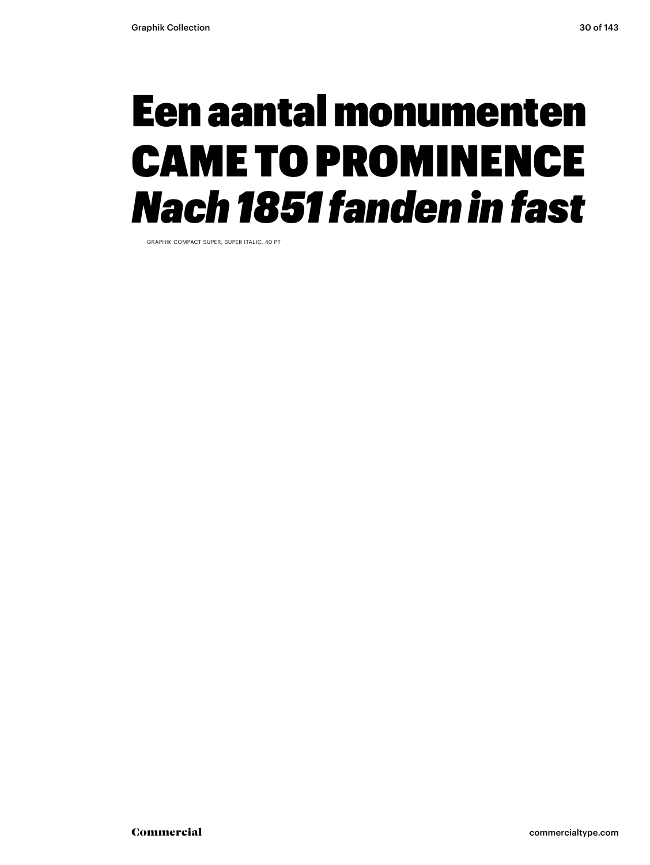### Een aantal monumenten CAME TO PROMINENCE *Nach 1851 fanden in fast*

GRAPHIK COMPACT SUPER, SUPER ITALIC, 40 PT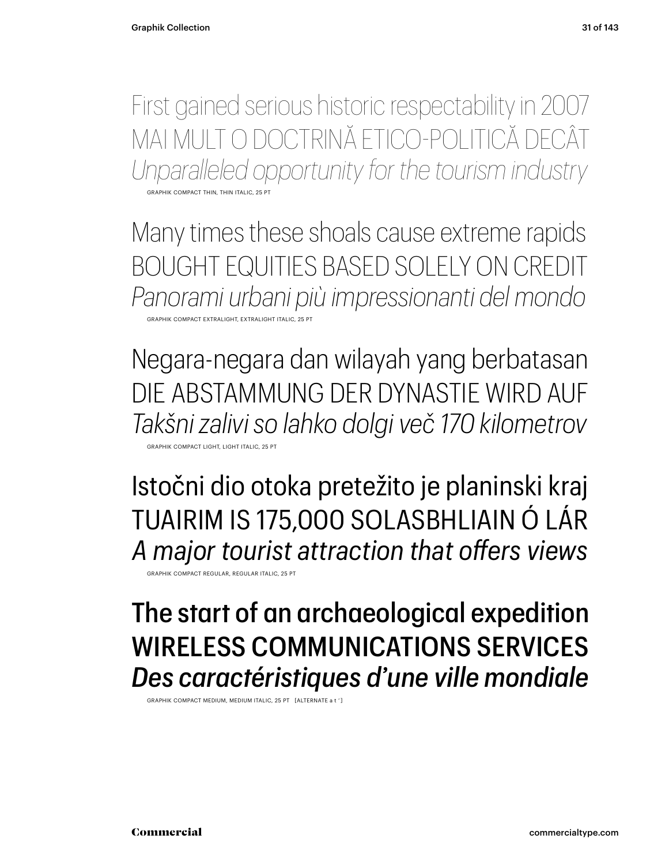First gained serious historic respectability in 2007 MAI MULT O DOCTRINĂ ETICO-POLITICĂ DECÂT *Unparalleled opportunity for the tourism industry*

GRAPHIK COMPACT THIN, THIN ITALIC, 25 PT

Many times these shoals cause extreme rapids BOUGHT EQUITIES BASED SOLELY ON CREDIT *Panorami urbani più impressionanti del mondo* GRAPHIK COMPACT EXTRALIGHT, EXTRALIGHT ITALIC, 25 PT

Negara-negara dan wilayah yang berbatasan DIE ABSTAMMUNG DER DYNASTIE WIRD AUF *Takšni zalivi so lahko dolgi več 170 kilometrov*

GRAPHIK COMPACT LIGHT, LIGHT ITALIC, 25 PT

Istočni dio otoka pretežito je planinski kraj TUAIRIM IS 175,000 SOLASBHLIAIN Ó LÁR *A major tourist attraction that offers views*

GRAPHIK COMPACT REGULAR, REGULAR ITALIC, 25 PT

### The start of an archaeological expedition WIRELESS COMMUNICATIONS SERVICES *Des caractéristiques d'une ville mondiale*

GRAPHIK COMPACT MEDIUM, MEDIUM ITALIC, 25 PT [ALTERNATE a t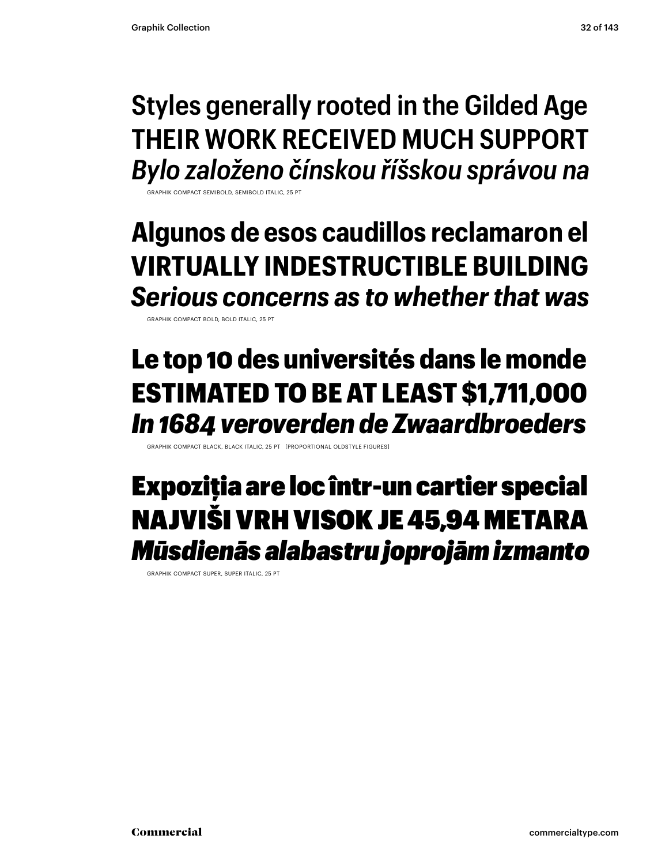### **Styles generally rooted in the Gilded Age THEIR WORK RECEIVED MUCH SUPPORT** *Bylo založeno čínskou říšskou správou na*

GRAPHIK COMPACT SEMIBOLD, SEMIBOLD ITALIC, 25 PT

### **Algunos de esos caudillos reclamaron el VIRTUALLY INDESTRUCTIBLE BUILDING** *Serious concerns as to whether that was*

GRAPHIK COMPACT BOLD, BOLD ITALIC, 25 PT

### Le top 10 des universités dans le monde ESTIMATED TO BE AT LEAST \$1,711,000 *In 1684 veroverden de Zwaardbroeders*

GRAPHIK COMPACT BLACK, BLACK ITALIC, 25 PT [PROPORTIONAL OLDSTYLE FIGURES]

### Expoziţia are loc într-un cartier special NAJVIŠI VRH VISOK JE 45,94 METARA *Mūsdienās alabastru joprojām izmanto*

GRAPHIK COMPACT SUPER, SUPER ITALIC, 25 PT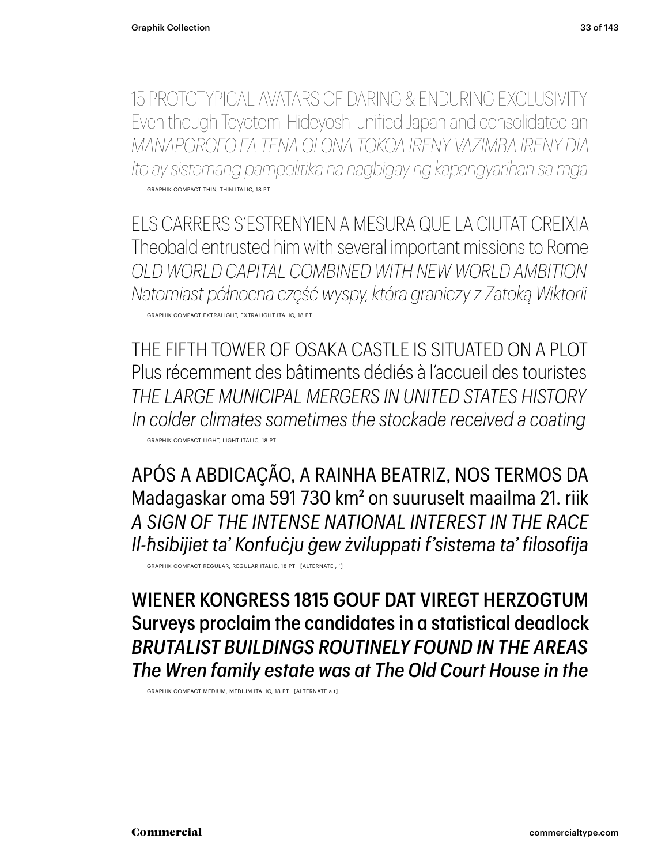15 PROTOTYPICAL AVATARS OF DARING & ENDURING EXCLUSIVITY Even though Toyotomi Hideyoshi unified Japan and consolidated an *MANAPOROFO FA TENA OLONA TOKOA IRENY VAZIMBA IRENY DIA Ito ay sistemang pampolitika na nagbigay ng kapangyarihan sa mga* GRAPHIK COMPACT THIN, THIN ITALIC, 18 PT

ELS CARRERS S'ESTRENYIEN A MESURA QUE LA CIUTAT CREIXIA Theobald entrusted him with several important missions to Rome *OLD WORLD CAPITAL COMBINED WITH NEW WORLD AMBITION Natomiast północna część wyspy, która graniczy z Zatoką Wiktorii* GRAPHIK COMPACT EXTRALIGHT, EXTRALIGHT ITALIC, 18 PT

THE FIFTH TOWER OF OSAKA CASTLE IS SITUATED ON A PLOT Plus récemment des bâtiments dédiés à l'accueil des touristes *THE LARGE MUNICIPAL MERGERS IN UNITED STATES HISTORY In colder climates sometimes the stockade received a coating* GRAPHIK COMPACT LIGHT, LIGHT ITALIC, 18 PT

APÓS A ABDICAÇÃO, A RAINHA BEATRIZ, NOS TERMOS DA Madagaskar oma 591 730 km2 on suuruselt maailma 21. riik *A SIGN OF THE INTENSE NATIONAL INTEREST IN THE RACE Il-ħsibijiet ta' Konfuċju ġew żviluppati f'sistema ta' filosofija*

GRAPHIK COMPACT REGULAR, REGULAR ITALIC, 18 PT [ALTERNATE , ' ]

WIENER KONGRESS 1815 GOUF DAT VIREGT HERZOGTUM Surveys proclaim the candidates in a statistical deadlock *BRUTALIST BUILDINGS ROUTINELY FOUND IN THE AREAS The Wren family estate was at The Old Court House in the*

GRAPHIK COMPACT MEDIUM, MEDIUM ITALIC, 18 PT [ALTERNATE a t]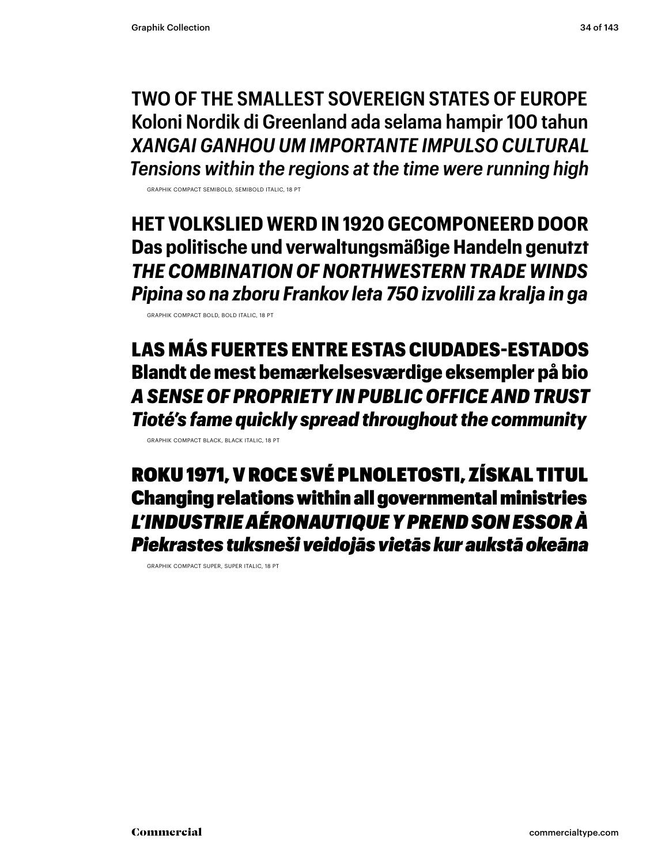**TWO OF THE SMALLEST SOVEREIGN STATES OF EUROPE Koloni Nordik di Greenland ada selama hampir 100 tahun** *XANGAI GANHOU UM IMPORTANTE IMPULSO CULTURAL Tensions within the regions at the time were running high*

GRAPHIK COMPACT SEMIBOLD, SEMIBOLD ITALIC, 18 PT

**HET VOLKSLIED WERD IN 1920 GECOMPONEERD DOOR Das politische und verwaltungsmäßige Handeln genutzt** *THE COMBINATION OF NORTHWESTERN TRADE WINDS Pipina so na zboru Frankov leta 750 izvolili za kralja in ga*

GRAPHIK COMPACT BOLD, BOLD ITALIC, 18 PT

LAS MÁS FUERTES ENTRE ESTAS CIUDADES-ESTADOS Blandt de mest bemærkelsesværdige eksempler på bio *A SENSE OF PROPRIETY IN PUBLIC OFFICE AND TRUST Tioté's fame quickly spread throughout the community*

GRAPHIK COMPACT BLACK, BLACK ITALIC, 18 PT

ROKU 1971, V ROCE SVÉ PLNOLETOSTI, ZÍSKAL TITUL Changing relations within all governmental ministries *L'INDUSTRIE AÉRONAUTIQUE Y PREND SON ESSOR À Piekrastes tuksneši veidojās vietās kur aukstā okeāna*

GRAPHIK COMPACT SUPER, SUPER ITALIC, 18 PT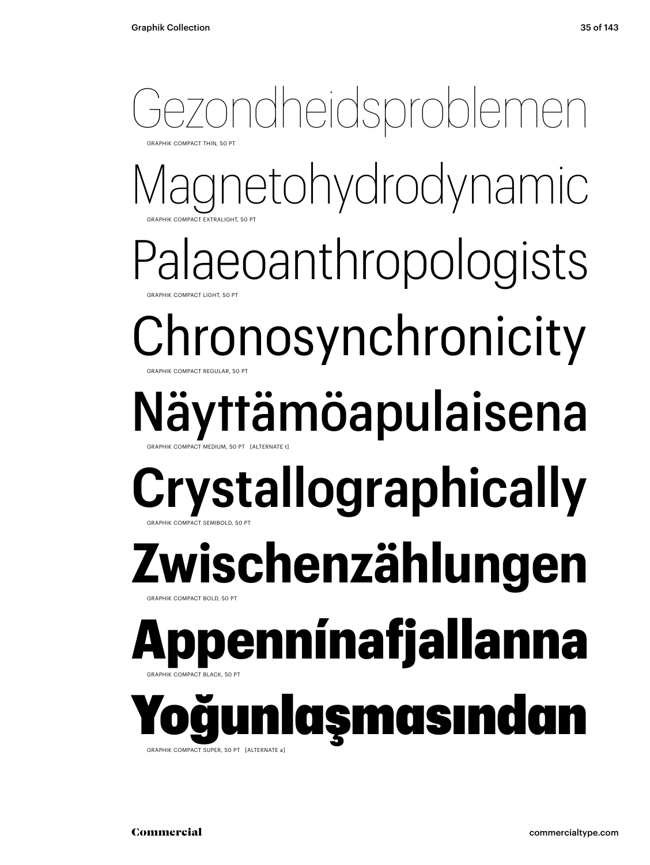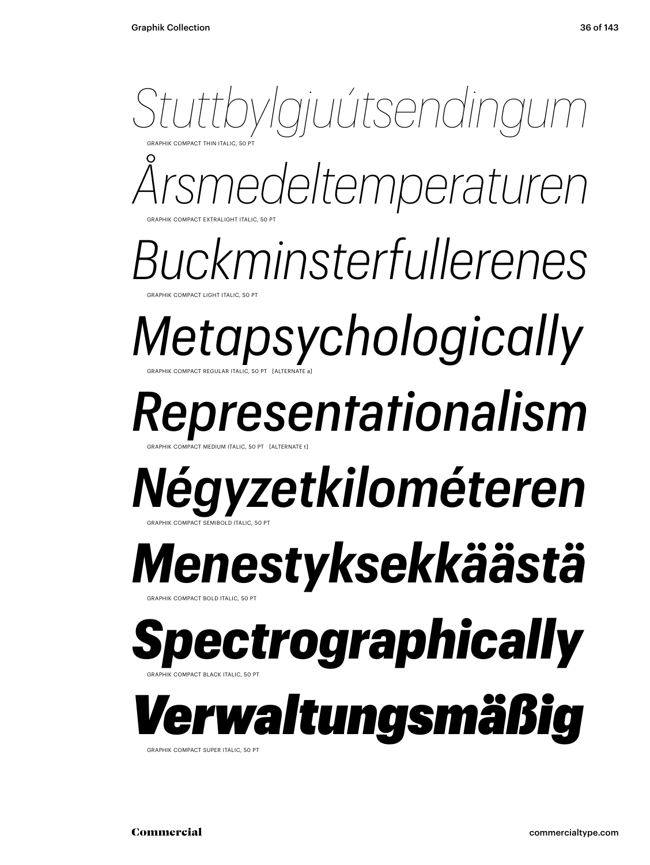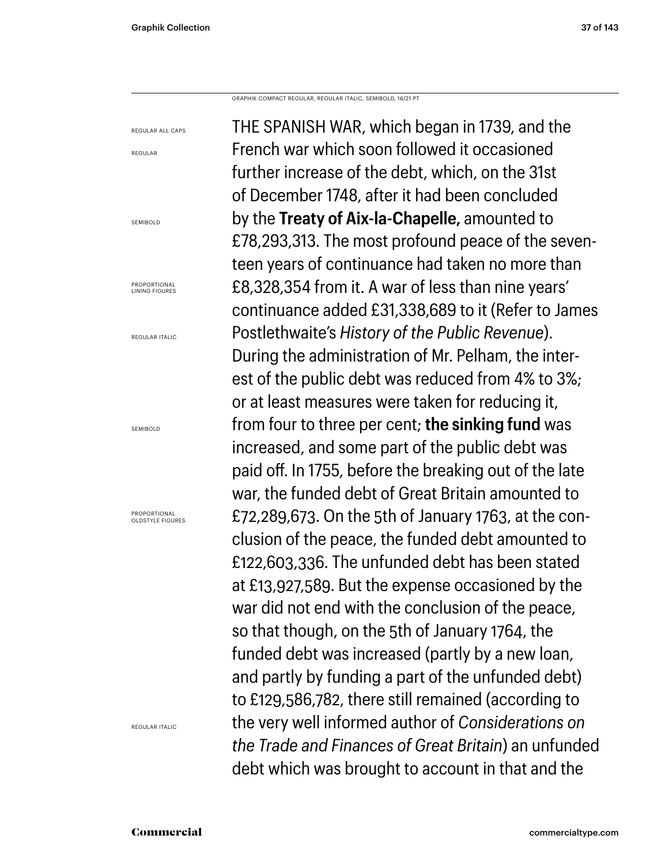REGULAR ALL CAPS

REGULAR

GRAPHIK COMPACT REGULAR, REGULAR ITALIC, SEMIBOLD, 16/21 PT

Commercial commercialtype.com SEMIBOLD **PROPORTIONAL** LINING FIGURES REGULAR ITALIC SEMIROLD PROPORTIONAL OLDSTYLE FIGURES REGULAR ITALIC

THE SPANISH WAR, which began in 1739, and the French war which soon followed it occasioned further increase of the debt, which, on the 31st of December 1748, after it had been concluded by the **Treaty of Aix-la-Chapelle,** amounted to £78,293,313. The most profound peace of the seventeen years of continuance had taken no more than £8,328,354 from it. A war of less than nine years' continuance added £31,338,689 to it (Refer to James Postlethwaite's *History of the Public Revenue*). During the administration of Mr. Pelham, the interest of the public debt was reduced from 4% to 3%; or at least measures were taken for reducing it, from four to three per cent; **the sinking fund** was increased, and some part of the public debt was paid off. In 1755, before the breaking out of the late war, the funded debt of Great Britain amounted to £72,289,673. On the 5th of January 1763, at the conclusion of the peace, the funded debt amounted to £122,603,336. The unfunded debt has been stated at £13,927,589. But the expense occasioned by the war did not end with the conclusion of the peace, so that though, on the 5th of January 1764, the funded debt was increased (partly by a new loan, and partly by funding a part of the unfunded debt) to £129,586,782, there still remained (according to the very well informed author of *Considerations on the Trade and Finances of Great Britain*) an unfunded debt which was brought to account in that and the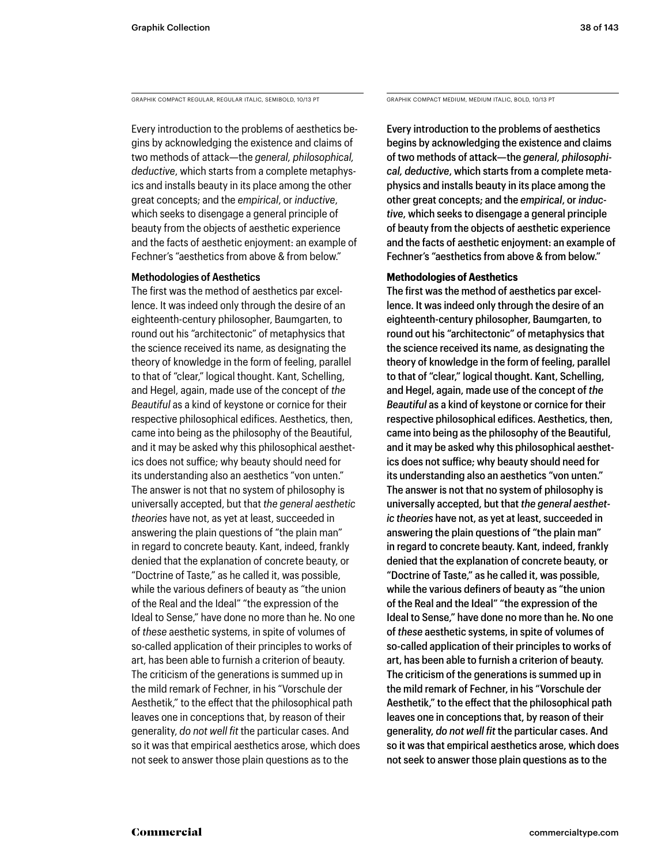GRAPHIK COMPACT REGULAR, REGULAR ITALIC, SEMIBOLD, 10/13 PT GRAPHIK COMPACT MEDIUM, MEDIUM ITALIC, BOLD, 10/13 PT

Every introduction to the problems of aesthetics begins by acknowledging the existence and claims of two methods of attack—the *general, philosophical, deductive*, which starts from a complete metaphysics and installs beauty in its place among the other great concepts; and the *empirical*, or *inductive*, which seeks to disengage a general principle of beauty from the objects of aesthetic experience and the facts of aesthetic enjoyment: an example of Fechner's "aesthetics from above & from below."

#### **Methodologies of Aesthetics**

The first was the method of aesthetics par excellence. It was indeed only through the desire of an eighteenth-century philosopher, Baumgarten, to round out his "architectonic" of metaphysics that the science received its name, as designating the theory of knowledge in the form of feeling, parallel to that of "clear," logical thought. Kant, Schelling, and Hegel, again, made use of the concept of *the Beautiful* as a kind of keystone or cornice for their respective philosophical edifices. Aesthetics, then, came into being as the philosophy of the Beautiful, and it may be asked why this philosophical aesthetics does not suffice; why beauty should need for its understanding also an aesthetics "von unten." The answer is not that no system of philosophy is universally accepted, but that *the general aesthetic theories* have not, as yet at least, succeeded in answering the plain questions of "the plain man" in regard to concrete beauty. Kant, indeed, frankly denied that the explanation of concrete beauty, or "Doctrine of Taste," as he called it, was possible, while the various definers of beauty as "the union of the Real and the Ideal" "the expression of the Ideal to Sense," have done no more than he. No one of *these* aesthetic systems, in spite of volumes of so-called application of their principles to works of art, has been able to furnish a criterion of beauty. The criticism of the generations is summed up in the mild remark of Fechner, in his "Vorschule der Aesthetik," to the effect that the philosophical path leaves one in conceptions that, by reason of their generality, *do not well fit* the particular cases. And so it was that empirical aesthetics arose, which does not seek to answer those plain questions as to the

Every introduction to the problems of aesthetics begins by acknowledging the existence and claims of two methods of attack—the *general, philosophical, deductive*, which starts from a complete metaphysics and installs beauty in its place among the other great concepts; and the *empirical*, or *inductive*, which seeks to disengage a general principle of beauty from the objects of aesthetic experience and the facts of aesthetic enjoyment: an example of Fechner's "aesthetics from above & from below."

#### **Methodologies of Aesthetics**

The first was the method of aesthetics par excellence. It was indeed only through the desire of an eighteenth-century philosopher, Baumgarten, to round out his "architectonic" of metaphysics that the science received its name, as designating the theory of knowledge in the form of feeling, parallel to that of "clear," logical thought. Kant, Schelling, and Hegel, again, made use of the concept of *the Beautiful* as a kind of keystone or cornice for their respective philosophical edifices. Aesthetics, then, came into being as the philosophy of the Beautiful, and it may be asked why this philosophical aesthetics does not suffice; why beauty should need for its understanding also an aesthetics "von unten." The answer is not that no system of philosophy is universally accepted, but that *the general aesthetic theories* have not, as yet at least, succeeded in answering the plain questions of "the plain man" in regard to concrete beauty. Kant, indeed, frankly denied that the explanation of concrete beauty, or "Doctrine of Taste," as he called it, was possible, while the various definers of beauty as "the union of the Real and the Ideal" "the expression of the Ideal to Sense," have done no more than he. No one of *these* aesthetic systems, in spite of volumes of so-called application of their principles to works of art, has been able to furnish a criterion of beauty. The criticism of the generations is summed up in the mild remark of Fechner, in his "Vorschule der Aesthetik," to the effect that the philosophical path leaves one in conceptions that, by reason of their generality, *do not well fit* the particular cases. And so it was that empirical aesthetics arose, which does not seek to answer those plain questions as to the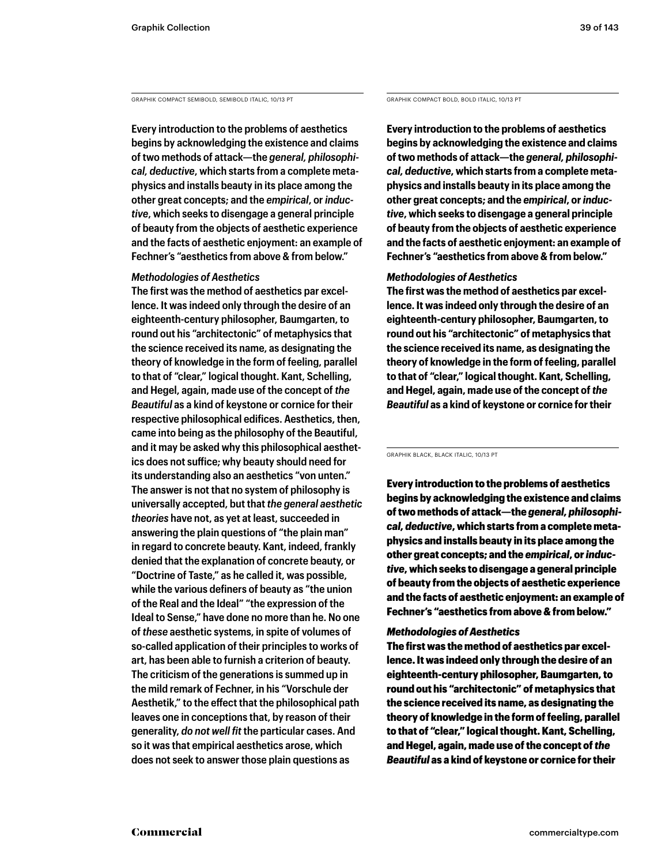GRAPHIK COMPACT SEMIBOLD, SEMIBOLD ITALIC, 10/13 PT GRAPHIK COMPACT BOLD, BOLD ITALIC, 10/13 PT

**Every introduction to the problems of aesthetics begins by acknowledging the existence and claims of two methods of attack—the** *general, philosophical, deductive***, which starts from a complete metaphysics and installs beauty in its place among the other great concepts; and the** *empirical***, or** *inductive***, which seeks to disengage a general principle of beauty from the objects of aesthetic experience and the facts of aesthetic enjoyment: an example of Fechner's "aesthetics from above & from below."** 

#### *Methodologies of Aesthetics*

**The first was the method of aesthetics par excellence. It was indeed only through the desire of an eighteenth-century philosopher, Baumgarten, to round out his "architectonic" of metaphysics that the science received its name, as designating the theory of knowledge in the form of feeling, parallel to that of "clear," logical thought. Kant, Schelling, and Hegel, again, made use of the concept of** *the Beautiful* **as a kind of keystone or cornice for their respective philosophical edifices. Aesthetics, then, came into being as the philosophy of the Beautiful, and it may be asked why this philosophical aesthetics does not suffice; why beauty should need for its understanding also an aesthetics "von unten." The answer is not that no system of philosophy is universally accepted, but that** *the general aesthetic theories* **have not, as yet at least, succeeded in answering the plain questions of "the plain man" in regard to concrete beauty. Kant, indeed, frankly denied that the explanation of concrete beauty, or "Doctrine of Taste," as he called it, was possible, while the various definers of beauty as "the union of the Real and the Ideal" "the expression of the Ideal to Sense," have done no more than he. No one of** *these* **aesthetic systems, in spite of volumes of so-called application of their principles to works of art, has been able to furnish a criterion of beauty. The criticism of the generations is summed up in the mild remark of Fechner, in his "Vorschule der Aesthetik," to the effect that the philosophical path leaves one in conceptions that, by reason of their generality,** *do not well fit* **the particular cases. And so it was that empirical aesthetics arose, which does not seek to answer those plain questions as** 

**Every introduction to the problems of aesthetics begins by acknowledging the existence and claims of two methods of attack—the** *general, philosophical, deductive***, which starts from a complete metaphysics and installs beauty in its place among the other great concepts; and the** *empirical***, or** *inductive***, which seeks to disengage a general principle of beauty from the objects of aesthetic experience and the facts of aesthetic enjoyment: an example of Fechner's "aesthetics from above & from below."** 

#### *Methodologies of Aesthetics*

**The first was the method of aesthetics par excellence. It was indeed only through the desire of an eighteenth-century philosopher, Baumgarten, to round out his "architectonic" of metaphysics that the science received its name, as designating the theory of knowledge in the form of feeling, parallel to that of "clear," logical thought. Kant, Schelling, and Hegel, again, made use of the concept of** *the Beautiful* **as a kind of keystone or cornice for their** 

GRAPHIK BLACK, BLACK ITALIC, 10/13 PT

Every introduction to the problems of aesthetics begins by acknowledging the existence and claims of two methods of attack—the *general, philosophical, deductive*, which starts from a complete metaphysics and installs beauty in its place among the other great concepts; and the *empirical*, or *inductive*, which seeks to disengage a general principle of beauty from the objects of aesthetic experience and the facts of aesthetic enjoyment: an example of Fechner's "aesthetics from above & from below."

#### *Methodologies of Aesthetics*

The first was the method of aesthetics par excellence. It was indeed only through the desire of an eighteenth-century philosopher, Baumgarten, to round out his "architectonic" of metaphysics that the science received its name, as designating the theory of knowledge in the form of feeling, parallel to that of "clear," logical thought. Kant, Schelling, and Hegel, again, made use of the concept of *the Beautiful* as a kind of keystone or cornice for their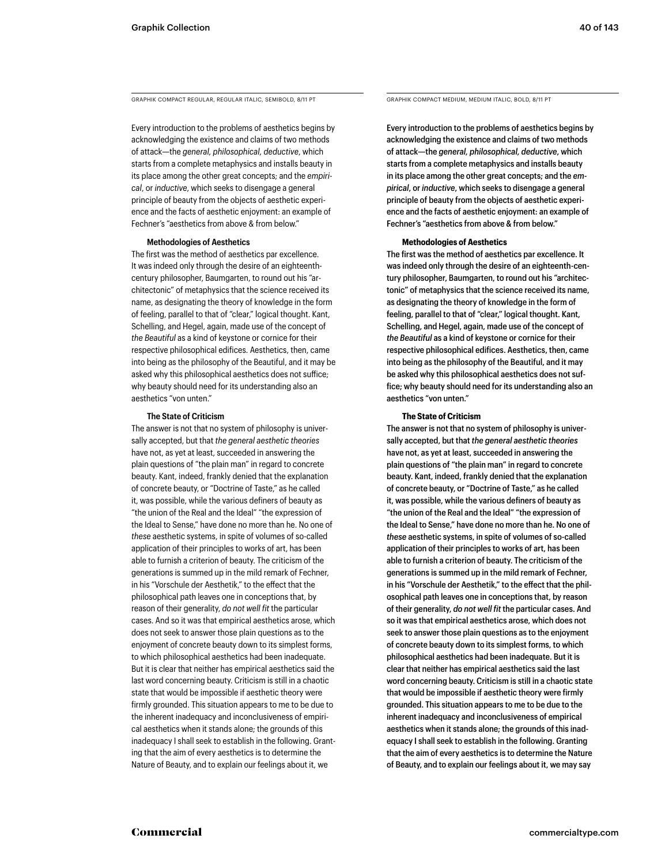GRAPHIK COMPACT REGULAR, REGULAR ITALIC, SEMIBOLD, 8/11 PT GRAPHIK COMPACT MEDIUM, MEDIUM ITALIC, BOLD, 8/11 PT

Every introduction to the problems of aesthetics begins by acknowledging the existence and claims of two methods of attack—the *general, philosophical, deductive*, which starts from a complete metaphysics and installs beauty in its place among the other great concepts; and the *empirical*, or *inductive*, which seeks to disengage a general principle of beauty from the objects of aesthetic experience and the facts of aesthetic enjoyment: an example of Fechner's "aesthetics from above & from below."

#### **Methodologies of Aesthetics**

The first was the method of aesthetics par excellence. It was indeed only through the desire of an eighteenthcentury philosopher, Baumgarten, to round out his "architectonic" of metaphysics that the science received its name, as designating the theory of knowledge in the form of feeling, parallel to that of "clear," logical thought. Kant, Schelling, and Hegel, again, made use of the concept of *the Beautiful* as a kind of keystone or cornice for their respective philosophical edifices. Aesthetics, then, came into being as the philosophy of the Beautiful, and it may be asked why this philosophical aesthetics does not suffice; why beauty should need for its understanding also an aesthetics "von unten."

#### **The State of Criticism**

The answer is not that no system of philosophy is universally accepted, but that *the general aesthetic theories*  have not, as yet at least, succeeded in answering the plain questions of "the plain man" in regard to concrete beauty. Kant, indeed, frankly denied that the explanation of concrete beauty, or "Doctrine of Taste," as he called it, was possible, while the various definers of beauty as "the union of the Real and the Ideal" "the expression of the Ideal to Sense," have done no more than he. No one of *these* aesthetic systems, in spite of volumes of so-called application of their principles to works of art, has been able to furnish a criterion of beauty. The criticism of the generations is summed up in the mild remark of Fechner, in his "Vorschule der Aesthetik," to the effect that the philosophical path leaves one in conceptions that, by reason of their generality, *do not well fit* the particular cases. And so it was that empirical aesthetics arose, which does not seek to answer those plain questions as to the enjoyment of concrete beauty down to its simplest forms, to which philosophical aesthetics had been inadequate. But it is clear that neither has empirical aesthetics said the last word concerning beauty. Criticism is still in a chaotic state that would be impossible if aesthetic theory were firmly grounded. This situation appears to me to be due to the inherent inadequacy and inconclusiveness of empirical aesthetics when it stands alone; the grounds of this inadequacy I shall seek to establish in the following. Granting that the aim of every aesthetics is to determine the Nature of Beauty, and to explain our feelings about it, we

Every introduction to the problems of aesthetics begins by acknowledging the existence and claims of two methods of attack—the *general, philosophical, deductive*, which starts from a complete metaphysics and installs beauty in its place among the other great concepts; and the *empirical*, or *inductive*, which seeks to disengage a general principle of beauty from the objects of aesthetic experience and the facts of aesthetic enjoyment: an example of Fechner's "aesthetics from above & from below."

#### **Methodologies of Aesthetics**

The first was the method of aesthetics par excellence. It was indeed only through the desire of an eighteenth-century philosopher, Baumgarten, to round out his "architectonic" of metaphysics that the science received its name, as designating the theory of knowledge in the form of feeling, parallel to that of "clear," logical thought. Kant, Schelling, and Hegel, again, made use of the concept of *the Beautiful* as a kind of keystone or cornice for their respective philosophical edifices. Aesthetics, then, came into being as the philosophy of the Beautiful, and it may be asked why this philosophical aesthetics does not suffice; why beauty should need for its understanding also an aesthetics "von unten."

#### **The State of Criticism**

The answer is not that no system of philosophy is universally accepted, but that *the general aesthetic theories*  have not, as yet at least, succeeded in answering the plain questions of "the plain man" in regard to concrete beauty. Kant, indeed, frankly denied that the explanation of concrete beauty, or "Doctrine of Taste," as he called it, was possible, while the various definers of beauty as "the union of the Real and the Ideal" "the expression of the Ideal to Sense," have done no more than he. No one of *these* aesthetic systems, in spite of volumes of so-called application of their principles to works of art, has been able to furnish a criterion of beauty. The criticism of the generations is summed up in the mild remark of Fechner, in his "Vorschule der Aesthetik," to the effect that the philosophical path leaves one in conceptions that, by reason of their generality, *do not well fit* the particular cases. And so it was that empirical aesthetics arose, which does not seek to answer those plain questions as to the enjoyment of concrete beauty down to its simplest forms, to which philosophical aesthetics had been inadequate. But it is clear that neither has empirical aesthetics said the last word concerning beauty. Criticism is still in a chaotic state that would be impossible if aesthetic theory were firmly grounded. This situation appears to me to be due to the inherent inadequacy and inconclusiveness of empirical aesthetics when it stands alone; the grounds of this inadequacy I shall seek to establish in the following. Granting that the aim of every aesthetics is to determine the Nature of Beauty, and to explain our feelings about it, we may say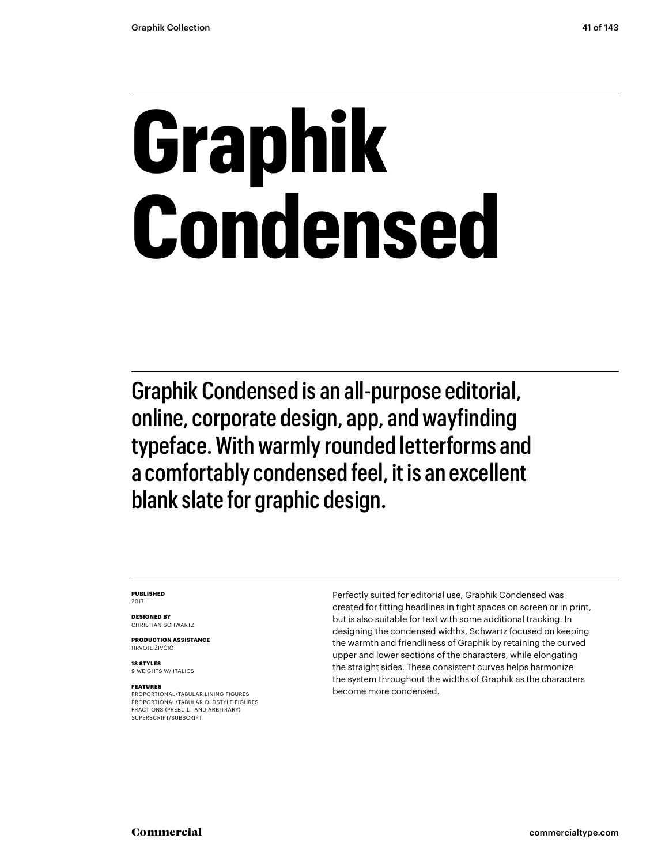# **Graphik Condensed**

Graphik Condensed is an all-purpose editorial, online, corporate design, app, and wayfinding typeface. With warmly rounded letterforms and a comfortably condensed feel, it is an excellent blank slate for graphic design.

#### **PUBLISHED** 2017

**DESIGNED BY** CHRISTIAN SCHWARTZ

**PRODUCTION ASSISTANCE** HRVOJE ŽIVČIĆ

**18 STYLES** 9 WEIGHTS W/ ITALICS

#### **FEATURES**

PROPORTIONAL/TABULAR LINING FIGURES PROPORTIONAL/TABULAR OLDSTYLE FIGURES FRACTIONS (PREBUILT AND ARBITRARY) SUPERSCRIPT/SUBSCRIPT

Perfectly suited for editorial use, Graphik Condensed was created for fitting headlines in tight spaces on screen or in print, but is also suitable for text with some additional tracking. In designing the condensed widths, Schwartz focused on keeping the warmth and friendliness of Graphik by retaining the curved upper and lower sections of the characters, while elongating the straight sides. These consistent curves helps harmonize the system throughout the widths of Graphik as the characters become more condensed.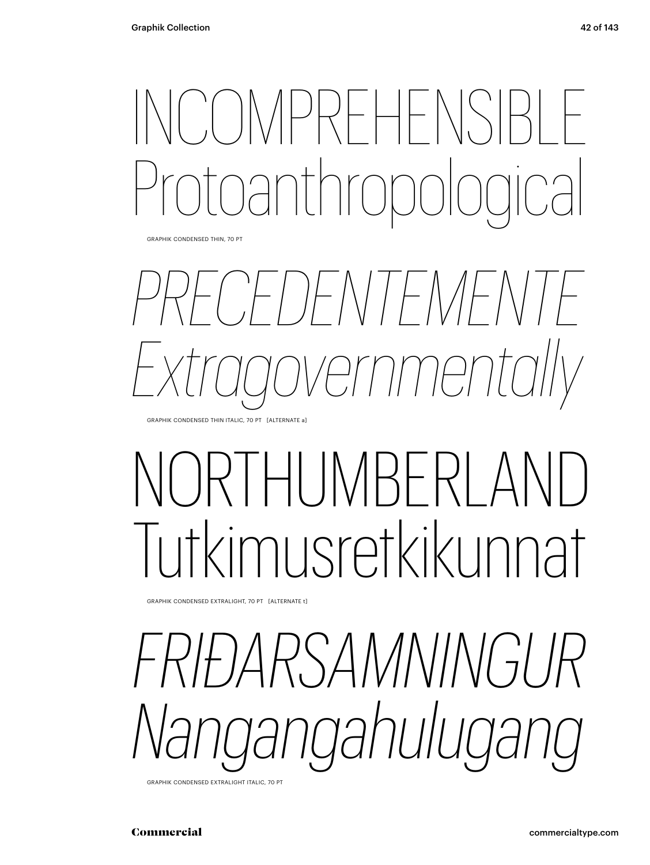## INCOMPREHENSIBLE Protoanthropological

GRAPHIK CONDENSED THIN, 70 PT



## LIMBERL Tutkimusretkikunnat

GRAPHIK CONDENSED EXTRALIGHT, 70 PT [ALTERNATE t]

*RSAMNINGUR Nangangahulugang* 

GRAPHIK CONDENSED EXTRALIGHT ITALIC, 70 PT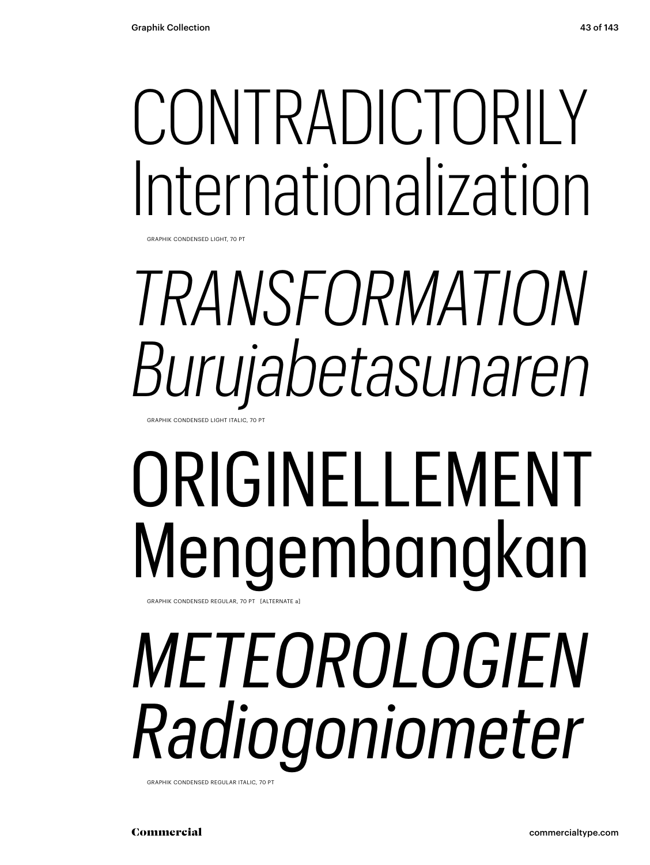## CONTRADICTORILY Internationalization

GRAPHIK CONDENSED LIGHT, 70 PT

## *TRANSFORMATION Burujabetasunaren* GRAPHIK CONDENSED LIGHT ITALIC, 70 PT

## ORIGINELLEMENT Mengembangkan GRAPHIK CONDENSED REGULAR, 70 PT [ALTERNATE a]

# *METEOROLOGIEN Radiogoniometer*

GRAPHIK CONDENSED REGULAR ITALIC, 70 PT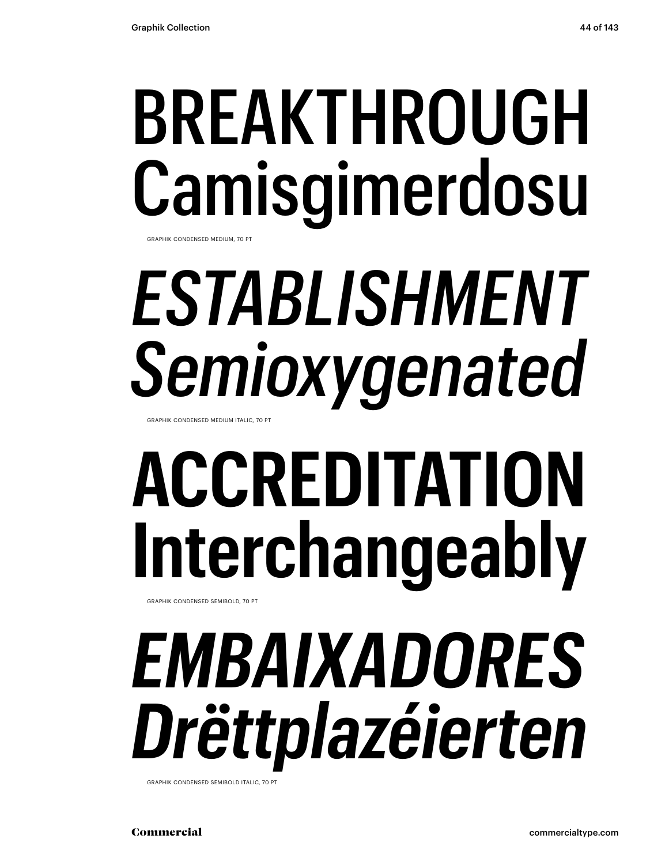# BREAKTHROUGH Camisgimerdosu

GRAPHIK CONDENSED MEDIUM, 70 PT

# *ESTABLISHMENT Semioxygenated*

GRAPHIK CONDENSED MEDIUM ITALIC, 70 PT

# **ACCREDITATION Interchangeably**

GRAPHIK CONDENSED SEMIBOLD, 70 PT

## *EMBAIXADORES Drëttplazéierten*

GRAPHIK CONDENSED SEMIBOLD ITALIC, 70 PT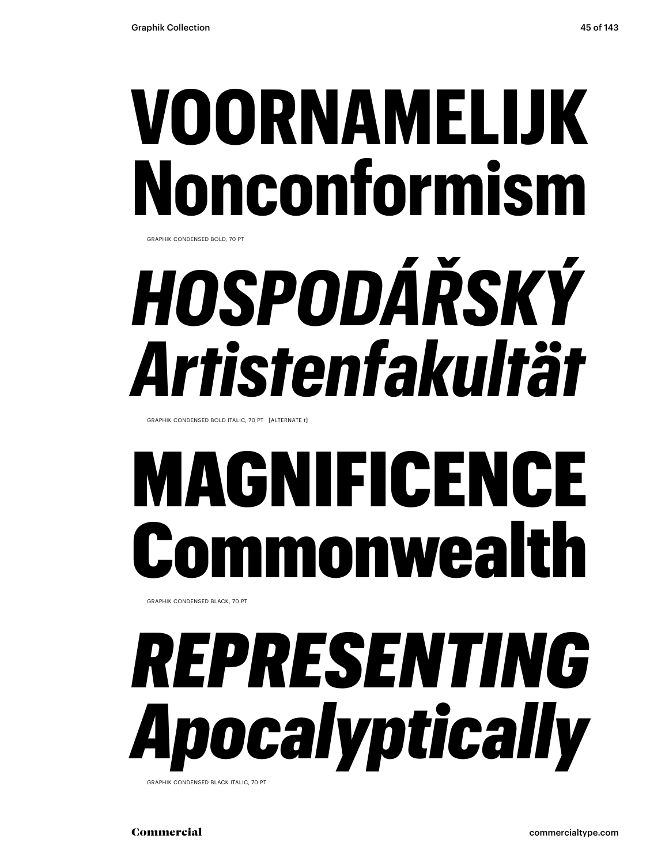# **VOORNAMELIJK Nonconformism**

GRAPHIK CONDENSED BOLD, 70 PT

# *HOSPODÁŘSKÝ Artistenfakultät*

GRAPHIK CONDENSED BOLD ITALIC, 70 PT [ALTERNATE t]

## MAGNIFICENCE monwealt

GRAPHIK CONDENSED BLACK, 70 PT

# *REPRESENTING Apocalyptically*

**GRAPHIK CONDENSED BLACK ITALIC, 70 PT**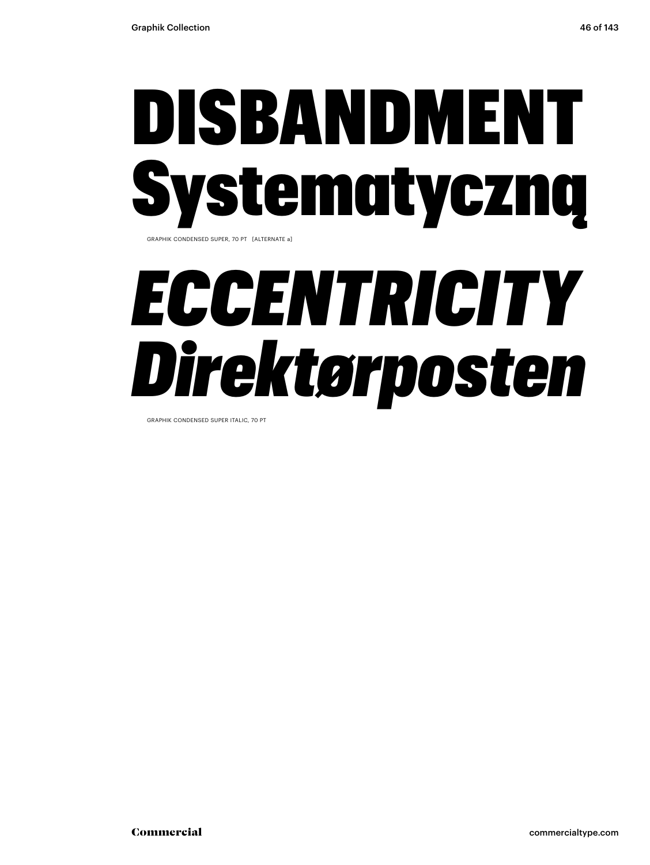## DISBANDMENT Systematyczną GRAPHIK CONDENSED SUPER, 70 PT [ALTERNATE a]

## *ECCENTRICITY Direktørposten*

GRAPHIK CONDENSED SUPER ITALIC, 70 PT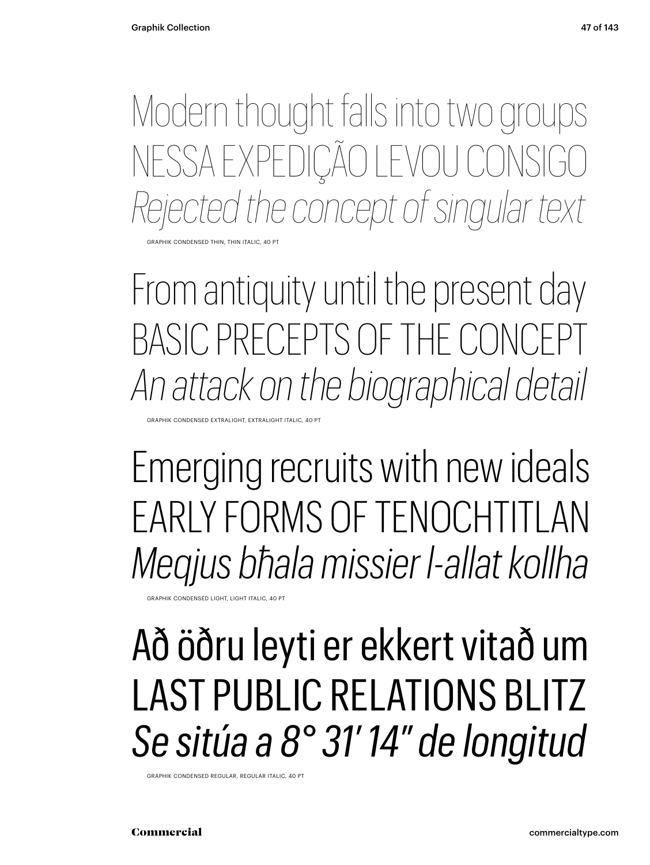Modern thought falls into two groups NESSA EXPEDIÇÃO LEVOU CONSIGO *Rejected the concept of singular text*

GRAPHIK CONDENSED THIN, THIN ITALIC, 40 PT

From antiquity until the present day BASIC PRECEPTS OF THE CONCI *An attack on the biographical detail*

GRAPHIK CONDENSED EXTRALIGHT, EXTRALIGHT ITALIC, 40 PT

Emerging recruits with new ideals EARLY FORMS OF TENOCHTITLAN *Meqjus bħala missier l-allat kollha*

GRAPHIK CONDENSED LIGHT, LIGHT ITALIC, 40 PT

## Að öðru leyti er ekkert vitað um LAST PUBLIC RELATIONS BLITZ *Se sitúa a 8° 31′ 14″ de longitud*

GRAPHIK CONDENSED REGULAR, REGULAR ITALIC, 40 PT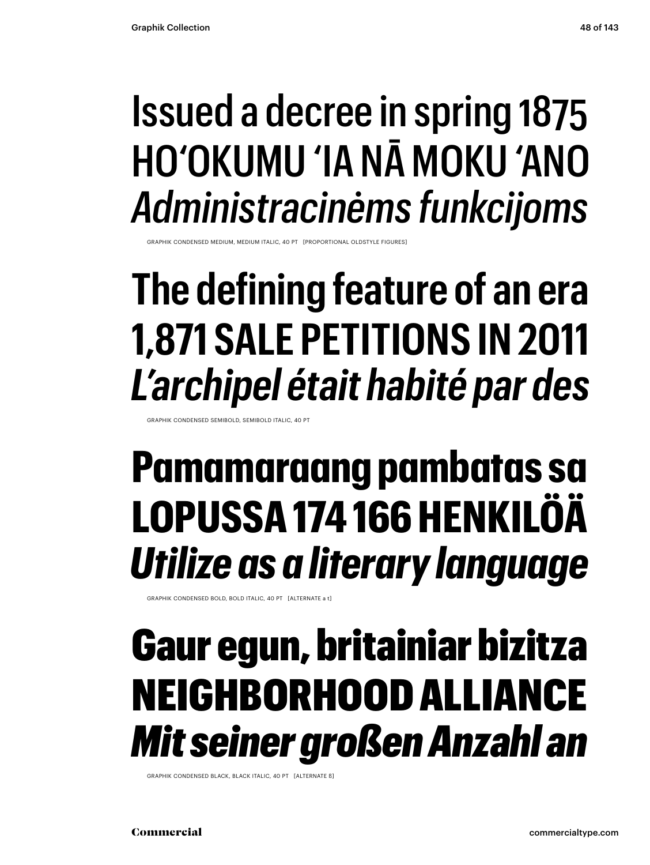## Issued a decree in spring 1875 HO'OKUMU 'IA NĀ MOKU 'ANO *Administracinėms funkcijoms*

GRAPHIK CONDENSED MEDIUM, MEDIUM ITALIC, 40 PT [PROPORTIONAL OLDSTYLE FIGURES]

## **The defining feature of an era 1,871 SALE PETITIONS IN 2011** *L'archipel était habité par des*

GRAPHIK CONDENSED SEMIBOLD, SEMIBOLD ITALIC, 40 PT

## **Pamamaraang pambatas sa LOPUSSA 174 166 HENKILÖÄ** *Utilize as a literary language*

GRAPHIK CONDENSED BOLD, BOLD ITALIC, 40 PT [ALTERNATE a t]

## Gaur egun, britainiar bizitza NEIGHBORHOOD ALLIANCE *Mit seiner großen Anzahl an*

GRAPHIK CONDENSED BLACK, BLACK ITALIC, 40 PT [ALTERNATE ß]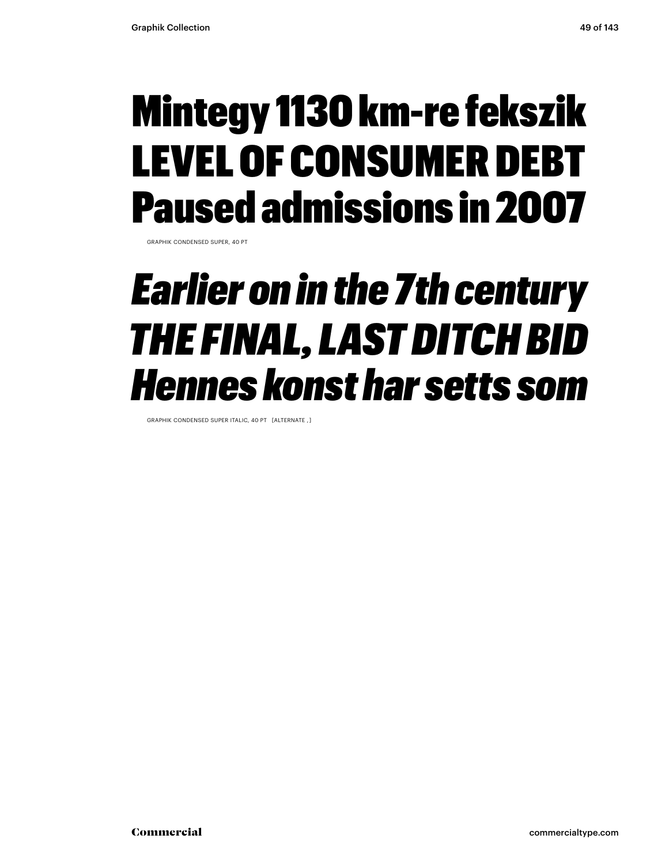## Mintegy 1130 km-re fekszik LEVEL OF CONSUMER DEBT Paused admissions in 2007

GRAPHIK CONDENSED SUPER, 40 PT

### *Earlier on in the 7th century THE FINAL, LAST DITCH BID Hennes konst har setts som*

GRAPHIK CONDENSED SUPER ITALIC, 40 PT [ALTERNATE , ]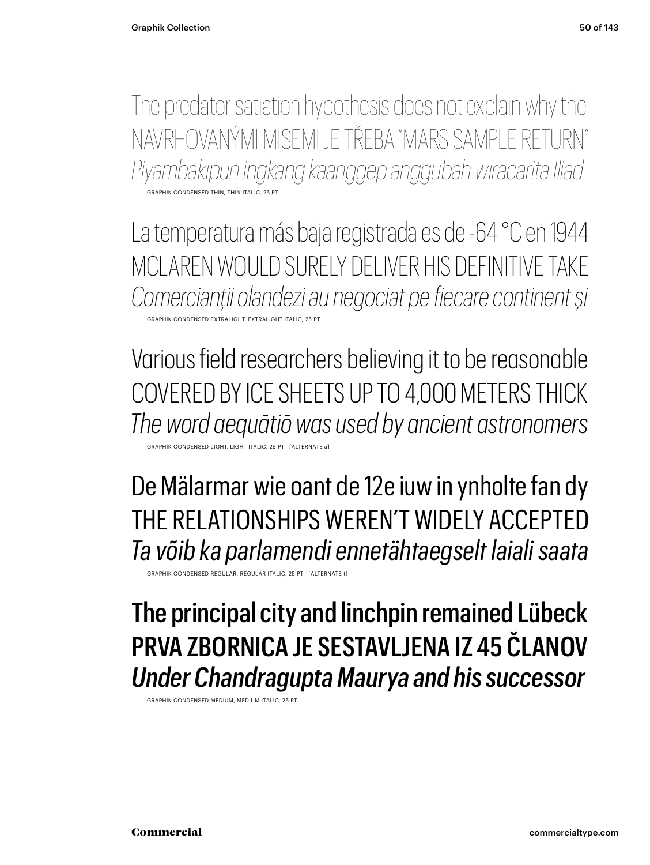The predator satiation hypothesis does not explain why the NAVRHOVANÝMI MISEMI JE TŘEBA "MARS SAMPLE RETURN" *Piyambakipun ingkang kaanggep anggubah wiracarita Iliad* GRAPHIK CONDENSED THIN, THIN ITALIC, 25

La temperatura más baja registrada es de -64 °C en 1944 MCLAREN WOULD SURELY DELIVER HIS DEFINITIVE TAKE *Comercianții olandezi au negociat pe fiecare continent și* GRAPHIK CONDENSED EXTRALIGHT, EXTRALIGHT ITALIC, 25 PT

Various field researchers believing it to be reasonable COVERED BY ICE SHEETS UP TO 4,000 METERS THICK *The word aequātiō was used by ancient astronomers*

GRAPHIK CONDENSED LIGHT, LIGHT ITALIC, 25 PT [ALTERNATE a]

De Mälarmar wie oant de 12e iuw in ynholte fan dy THE RELATIONSHIPS WEREN'T WIDELY ACCEPTED *Ta võib ka parlamendi ennetähtaegselt laiali saata*

GRAPHIK CONDENSED REGULAR, REGULAR ITALIC, 25 PT [ALTERNATE t]

### The principal city and linchpin remained Lübeck PRVA ZBORNICA JE SESTAVLJENA IZ 45 ČLANOV *Under Chandragupta Maurya and his successor*

GRAPHIK CONDENSED MEDIUM, MEDIUM ITALIC, 25 P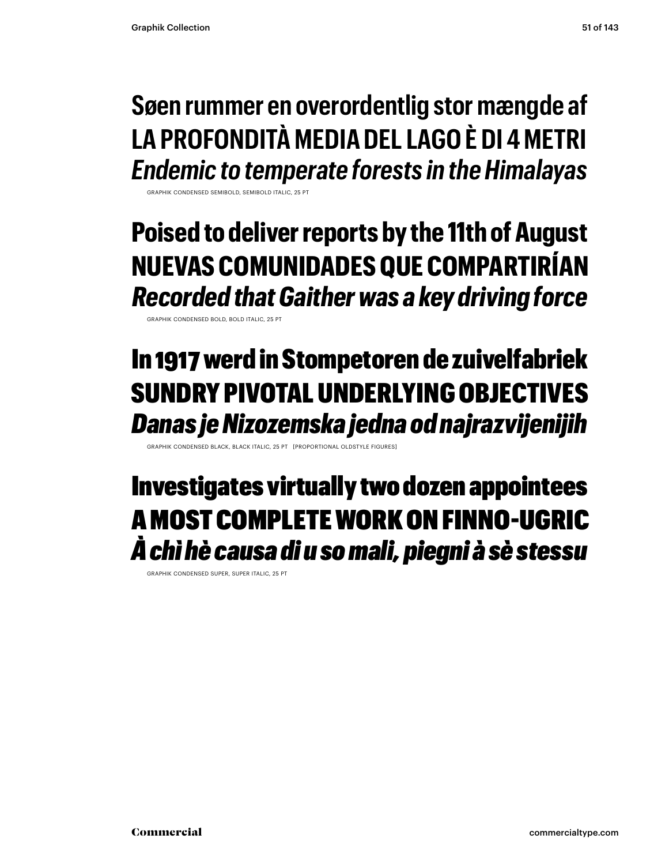### **Søen rummer en overordentlig stor mængde af LA PROFONDITÀ MEDIA DEL LAGO È DI 4 METRI** *Endemic to temperate forests in the Himalayas*

GRAPHIK CONDENSED SEMIBOLD, SEMIBOLD ITALIC, 25 PT

**Poised to deliver reports by the 11th of August NUEVAS COMUNIDADES QUE COMPARTIRÍAN** *Recorded that Gaither was a key driving force* 

GRAPHIK CONDENSED BOLD, BOLD ITALIC, 25 PT

### In 1917 werd in Stompetoren de zuivelfabriek SUNDRY PIVOTAL UNDERLYING OBJECTIVES *Danas je Nizozemska jedna od najrazvijenijih*

BLACK ITALIC, 25 PT [PROPORTIONAL OLDST

### Investigates virtually two dozen appointees A MOST COMPLETE WORK ON FINNO-UGRIC *À chì hè causa di u so mali, piegni à sè stessu*

GRAPHIK CONDENSED SUPER, SUPER ITALIC, 25 PT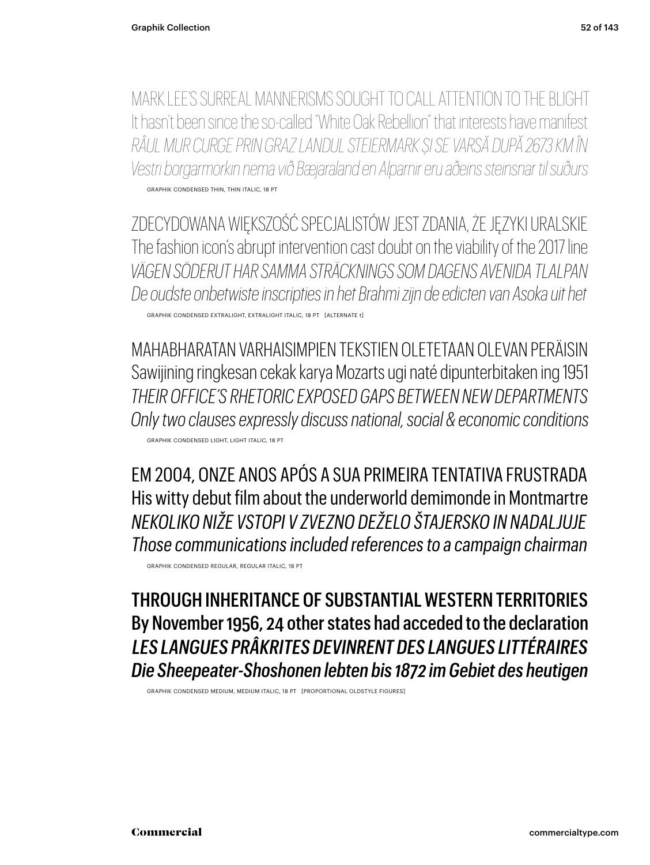MARK LEE'S SURREAL MANNERISMS SOUGHT TO CALL ATTENTION TO THE BLIGHT It hasn't been since the so-called "White Oak Rebellion" that interests have manifest *RÂUL MUR CURGE PRIN GRAZ LANDUL STEIERMARK ȘI SE VARSĂ DUPĂ 2673 KM ÎN Vestri borgarmörkin nema við Bæjaraland en Alparnir eru aðeins steinsnar til suðurs* GRAPHIK CONDENSED THIN, THIN ITALIC, 18 PT

ZDECYDOWANA WIĘKSZOŚĆ SPECJALISTÓW JEST ZDANIA, ŻE JĘZYKI URALSKIE The fashion icon's abrupt intervention cast doubt on the viability of the 2017 line *VÄGEN SÖDERUT HAR SAMMA STRÄCKNINGS SOM DAGENS AVENIDA TLALPAN De oudste onbetwiste inscripties in het Brahmi zijn de edicten van Asoka uit het* GRAPHIK CONDENSED EXTRALIGHT, EXTRALIGHT ITALIC, 18 PT [ALTERNATE t]

MAHABHARATAN VARHAISIMPIEN TEKSTIEN OLETETAAN OLEVAN PERÄISIN Sawijining ringkesan cekak karya Mozarts ugi naté dipunterbitaken ing 1951 *THEIR OFFICE'S RHETORIC EXPOSED GAPS BETWEEN NEW DEPARTMENTS Only two clauses expressly discuss national, social & economic conditions* GRAPHIK CONDENSED LIGHT, LIGHT ITALIC, 18 PT

EM 2004, ONZE ANOS APÓS A SUA PRIMEIRA TENTATIVA FRUSTRADA His witty debut film about the underworld demimonde in Montmartre *NEKOLIKO NIŽE VSTOPI V ZVEZNO DEŽELO ŠTAJERSKO IN NADALJUJE Those communications included references to a campaign chairman*

GRAPHIK CONDENSED REGULAR, REGULAR ITALIC, 18 PT

THROUGH INHERITANCE OF SUBSTANTIAL WESTERN TERRITORIES By November 1956, 24 other states had acceded to the declaration *LES LANGUES PRÂKRITES DEVINRENT DES LANGUES LITTÉRAIRES Die Sheepeater-Shoshonen lebten bis 1872 im Gebiet des heutigen*

GRAPHIK CONDENSED MEDIUM, MEDIUM ITALIC, 18 PT [PROPORTIONAL OLDSTYLE FIGURES]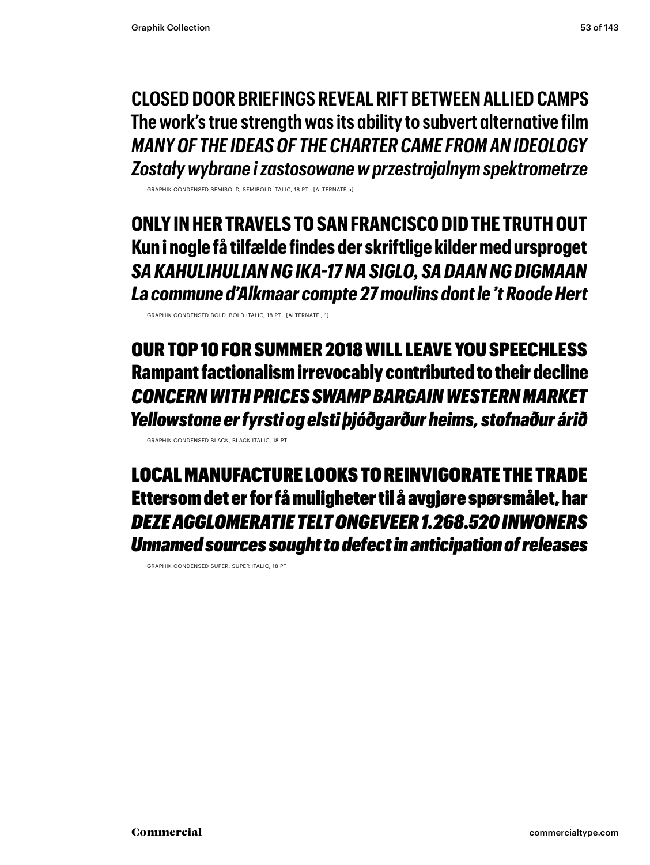**CLOSED DOOR BRIEFINGS REVEAL RIFT BETWEEN ALLIED CAMPS The work's true strength was its ability to subvert alternative film** *MANY OF THE IDEAS OF THE CHARTER CAME FROM AN IDEOLOGY Zostały wybrane i zastosowane w przestrajalnym spektrometrze*

GRAPHIK CONDENSED SEMIBOLD, SEMIBOLD ITALIC, 18 PT [ALTERNATE a]

**ONLY IN HER TRAVELS TO SAN FRANCISCO DID THE TRUTH OUT Kun i nogle få tilfælde findes der skriftlige kilder med ursproget** *SA KAHULIHULIAN NG IKA-17 NA SIGLO, SA DAAN NG DIGMAAN La commune d'Alkmaar compte 27 moulins dont le 't Roode Hert*

GRAPHIK CONDENSED BOLD, BOLD ITALIC, 18 PT [ALTERNATE , ' ]

OUR TOP 10 FOR SUMMER 2018 WILL LEAVE YOU SPEECHLESS Rampant factionalism irrevocably contributed to their decline *CONCERN WITH PRICES SWAMP BARGAIN WESTERN MARKET Yellowstone er fyrsti og elsti þjóðgarður heims, stofnaður árið*

GRAPHIK CONDENSED BLACK, BLACK ITALIC, 18 PT

LOCAL MANUFACTURE LOOKS TO REINVIGORATE THE TRADE Ettersom det er for få muligheter til å avgjøre spørsmålet, har *DEZE AGGLOMERATIE TELT ONGEVEER 1.268.520 INWONERS Unnamed sources sought to defect in anticipation of releases*

GRAPHIK CONDENSED SUPER, SUPER ITALIC, 18 PT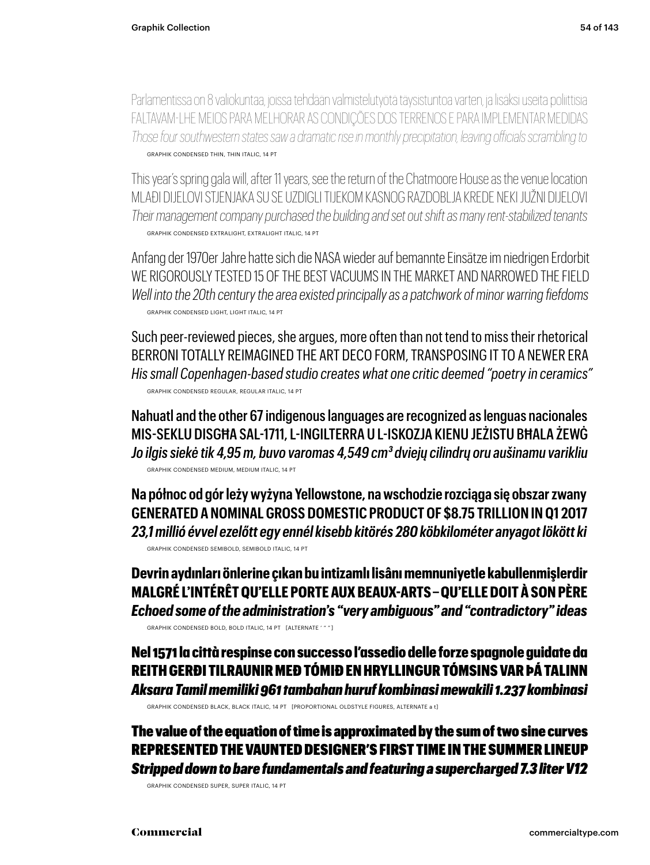Parlamentissa on 8 valiokuntaa, joissa tehdään valmistelutyötä täysistuntoa varten, ja lisäksi useita poliittisia FALTAVAM-LHE MEIOS PARA MELHORAR AS CONDIÇÕES DOS TERRENOS E PARA IMPLEMENTAR MEDIDAS *Those four southwestern states saw a dramatic rise in monthly precipitation, leaving officials scrambling to* GRAPHIK CONDENSED THIN, THIN ITALIC, 14 PT

This year's spring gala will, after 11 years, see the return of the Chatmoore House as the venue location MLAĐI DIJELOVI STJENJAKA SU SE UZDIGLI TIJEKOM KASNOG RAZDOBLJA KREDE NEKI JUŽNI DIJELOVI *Their management company purchased the building and set out shift as many rent-stabilized tenants* GRAPHIK CONDENSED EXTRALIGHT, EXTRALIGHT ITALIC, 14 PT

Anfang der 1970er Jahre hatte sich die NASA wieder auf bemannte Einsätze im niedrigen Erdorbit WE RIGOROUSLY TESTED 15 OF THE BEST VACUUMS IN THE MARKFT AND NARROWED THE FIFI D *Well into the 20th century the area existed principally as a patchwork of minor warring fiefdoms* GRAPHIK CONDENSED LIGHT, LIGHT ITALIC, 14 PT

Such peer-reviewed pieces, she argues, more often than not tend to miss their rhetorical BERRONI TOTALLY REIMAGINED THE ART DECO FORM, TRANSPOSING IT TO A NEWER ERA *His small Copenhagen-based studio creates what one critic deemed "poetry in ceramics"* GRAPHIK CONDENSED REGULAR, REGULAR ITALIC, 14 PT

Nahuatl and the other 67 indigenous languages are recognized as lenguas nacionales MIS-SEKLU DISGĦA SAL-1711, L-INGILTERRA U L-ISKOZJA KIENU JEŻISTU BĦALA ŻEWĠ *Jo ilgis siekė tik 4,95 m, buvo varomas 4,549 cm3 dviejų cilindrų oru aušinamu varikliu* GRAPHIK CONDENSED MEDIUM, MEDIUM ITALIC, 14 PT

**Na północ od gór leży wyżyna Yellowstone, na wschodzie rozciąga się obszar zwany GENERATED A NOMINAL GROSS DOMESTIC PRODUCT OF \$8.75 TRILLION IN Q1 2017** *23,1 millió évvel ezelőtt egy ennél kisebb kitörés 280 köbkilométer anyagot lökött ki* GRAPHIK CONDENSED SEMIBOLD, SEMIBOLD ITALIC, 14 PT

**Devrin aydınları önlerine çıkan bu intizamlı lisânı memnuniyetle kabullenmişlerdir MALGRÉ L'INTÉRÊT QU'ELLE PORTE AUX BEAUX-ARTS – QU'ELLE DOIT À SON PÈRE** *Echoed some of the administration's "very ambiguous" and "contradictory" ideas* GRAPHIK CONDENSED BOLD, BOLD ITALIC, 14 PT [ALTERNATE ' " " ]

Nel 1571 la città respinse con successo l'assedio delle forze spagnole guidate da REITH GERÐI TILRAUNIR MEÐ TÓMIÐ EN HRYLLINGUR TÓMSINS VAR ÞÁ TALINN *Aksara Tamil memiliki 961 tambahan huruf kombinasi mewakili 1.237 kombinasi*

GRAPHIK CONDENSED BLACK, BLACK ITALIC, 14 PT [PROPORTIONAL OLDSTYLE FIGURES, ALTERNATE a t]

The value of the equation of time is approximated by the sum of two sine curves REPRESENTED THE VAUNTED DESIGNER'S FIRST TIME IN THE SUMMER LINEUP *Stripped down to bare fundamentals and featuring a supercharged 7.3 liter V12*

GRAPHIK CONDENSED SUPER, SUPER ITALIC, 14 PT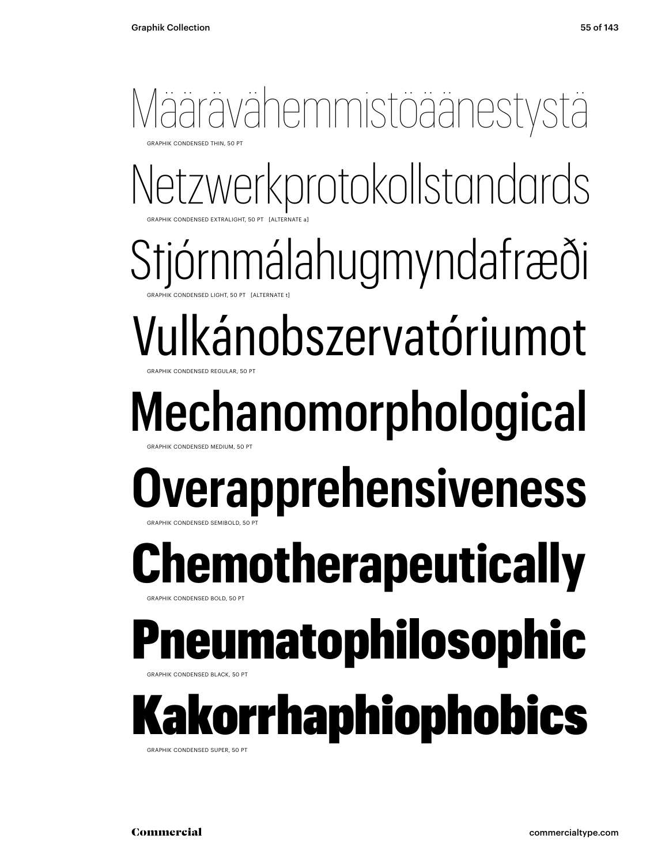### Määrävähemmistöäänestystä **GRAPHIK CONDENSED THIN, 50 PT**

Netzwerkprotokollstandards GRAPHIK CONDENSED EXTRALIGHT, 50 PT [ALTERNATE a]

Stjórnmálahugmyndafræði GRAPHIK CONDENSED LIGHT, 50 PT [ALTERNATE t]

Vulkánobszervatóriumot GRAPHIK CONDENSED REGULAR, 50 PT

### Mechanomorphological GRAPHIK CONDENSED MEDIUM, 50 PT

### **Overapprehensiveness** GRAPHIK CONDENSED SEMIBOLD, 50 PT

## **Remotherapeutically**

### **GRAPHIK CONDENSED BOLD, 50 PT** neumatophilosophic

BRAPHIK CONDENSED BLACK, 50 PT

### Kakorrhaphiophobics GRAPHIK CONDENSED SUPER, 50 PT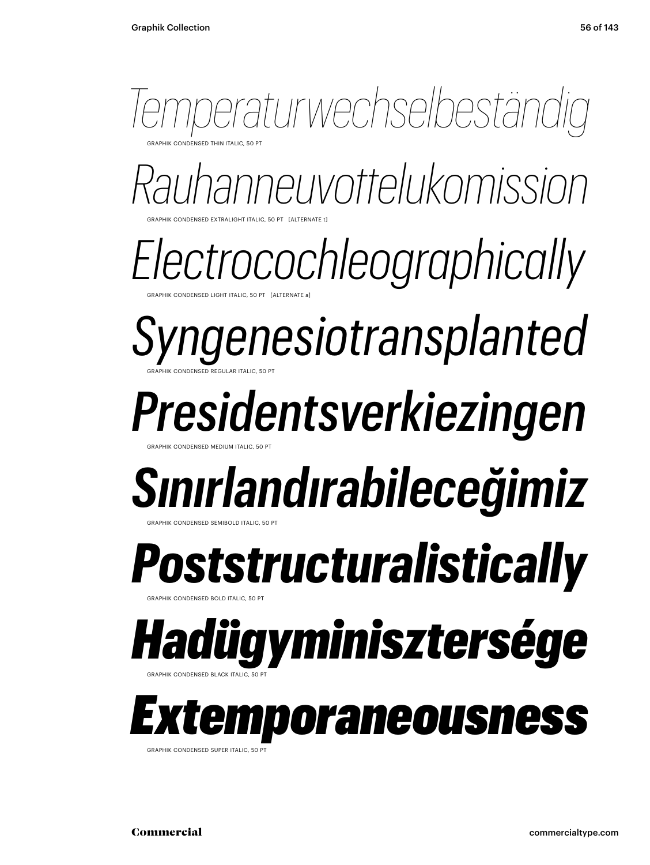

GRAPHIK CONDENSED EXTRALIGHT ITALIC, 50 PT [ALTERNATE t] *Rauhanneuvottelukomission*

CONDENSED LIGHT ITALIC, 50 PT [ALTERNATE a *Electrocochleographically*

GRAPHIK CONDENSED REGULAR ITALIC, 50 PT *Syngenesiotransplanted*

*Presidentsverkiezingen*

GRAPHIK CONDENSED MEDIUM ITALIC, 50 PT

## *Sınırlandırabileceğimiz*

GRAPHIK CONDENSED SEMIBOLD ITALIC, 50 PT

**RAPHIK CONDENSED BOLD ITALIC, 50** *Poststructuralistically*

*Hadügyminisztersége*

*Extemporaneousness*

GRAPHIK CONDENSED SUPER ITALIC, 50 PT

GRAPHIK CONDENSED BLACK ITALIC, 50 PT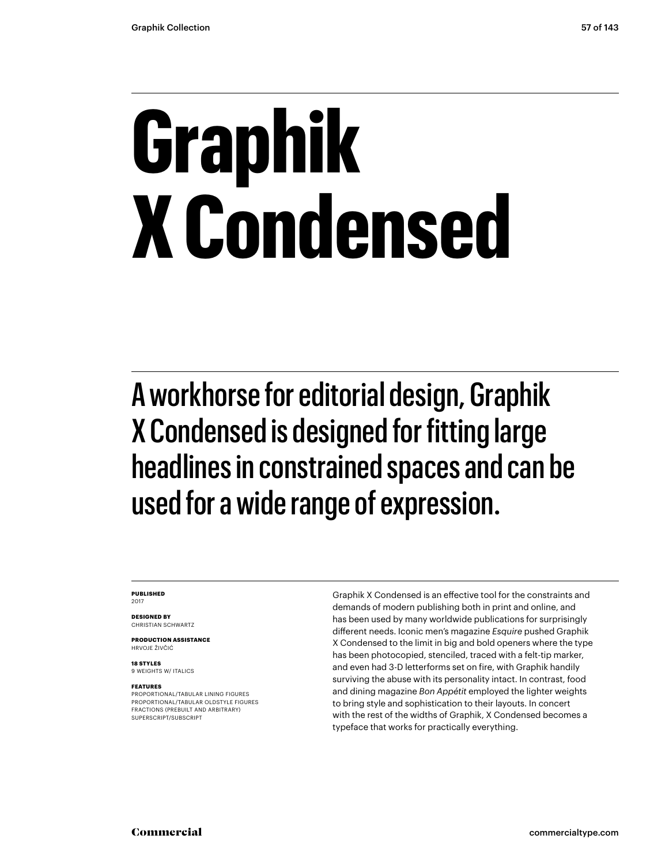# **Graphik X Condensed**

A workhorse for editorial design, Graphik X Condensed is designed for fitting large headlines in constrained spaces and can be used for a wide range of expression.

#### **PUBLISHED** 2017

**DESIGNED BY** CHRISTIAN SCHWARTZ

**PRODUCTION ASSISTANCE** HRVOJE ŽIVČIĆ

**18 STYLES** 9 WEIGHTS W/ ITALICS

#### **FEATURES**

PROPORTIONAL/TABULAR LINING FIGURES PROPORTIONAL/TABULAR OLDSTYLE FIGURES FRACTIONS (PREBUILT AND ARBITRARY) SUPERSCRIPT/SUBSCRIPT

Graphik X Condensed is an effective tool for the constraints and demands of modern publishing both in print and online, and has been used by many worldwide publications for surprisingly different needs. Iconic men's magazine *Esquire* pushed Graphik X Condensed to the limit in big and bold openers where the type has been photocopied, stenciled, traced with a felt-tip marker, and even had 3-D letterforms set on fire, with Graphik handily surviving the abuse with its personality intact. In contrast, food and dining magazine *Bon Appétit* employed the lighter weights to bring style and sophistication to their layouts. In concert with the rest of the widths of Graphik, X Condensed becomes a typeface that works for practically everything.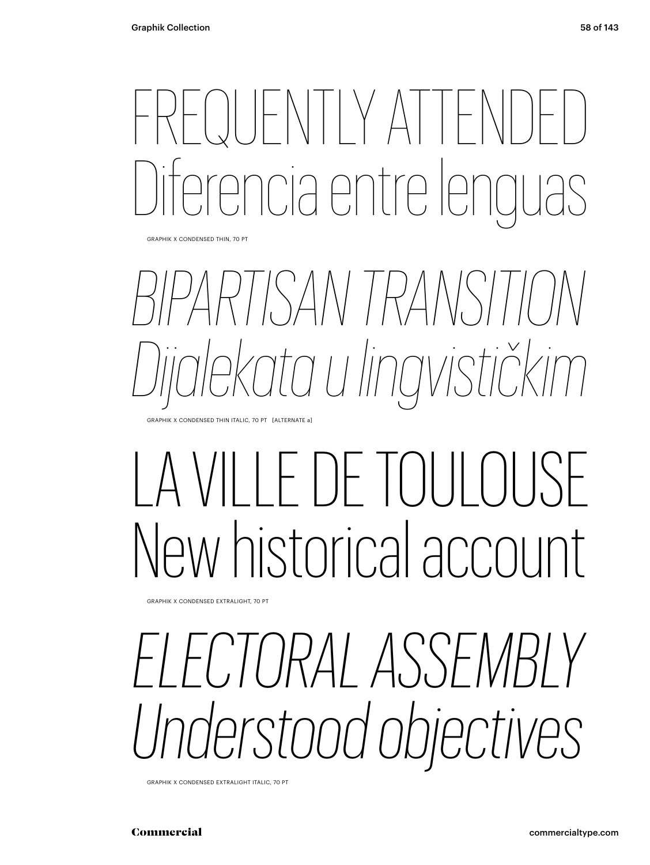## FRITIY ATTE re le partre le

GRAPHIK X CONDENSED THIN, 70 PT

# *BIPARTISAN TRANSITION Dijalekata u lingvističkim*

GRAPHIK X CONDENSED THIN ITALIC, 70 PT [ALTERNATE a]

## $\parallel$ )  $\parallel$   $\parallel$   $\parallel$ New historical account

GRAPHIK X CONDENSED EXTRALIGHT, 70 PT

## *ELECTORAL ASSEMBLY Understood objectives*

GRAPHIK X CONDENSED EXTRALIGHT ITALIC, 70 PT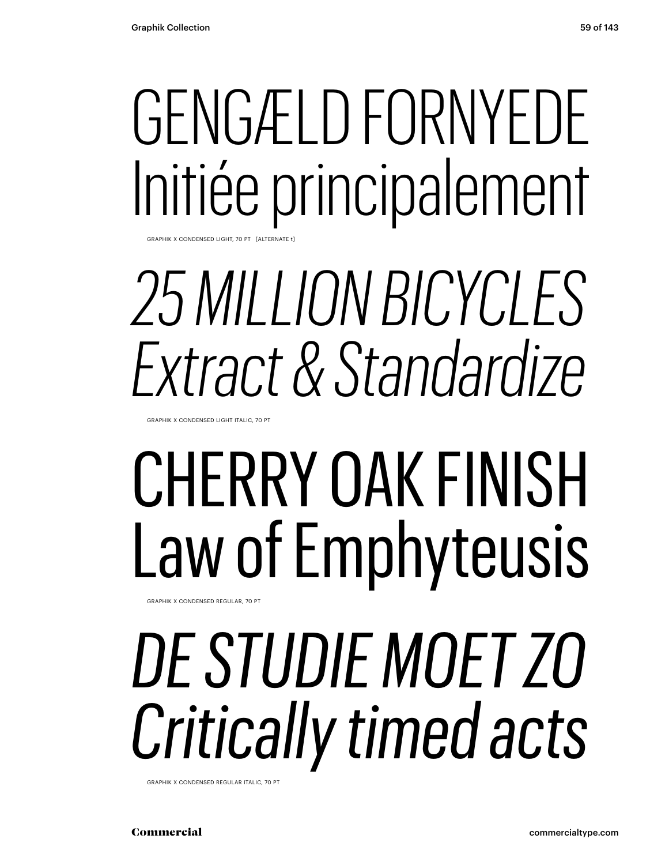# GENGÆLD FORNYEDE Initiée principalement

GRAPHIK X CONDENSED LIGHT, 70 PT

## *25 MILLION BICYCLES Extract & Standardize*

GRAPHIK X CONDENSED LIGHT ITALIC, 70 PT

## CHERRY OAK FINISH Law of Emphyteusis

GRAPHIK X CONDENSED REGULAR, 70 PT

# *DE STUDIE MOET ZO Critically timed acts*

GRAPHIK X CONDENSED REGULAR ITALIC, 70 PT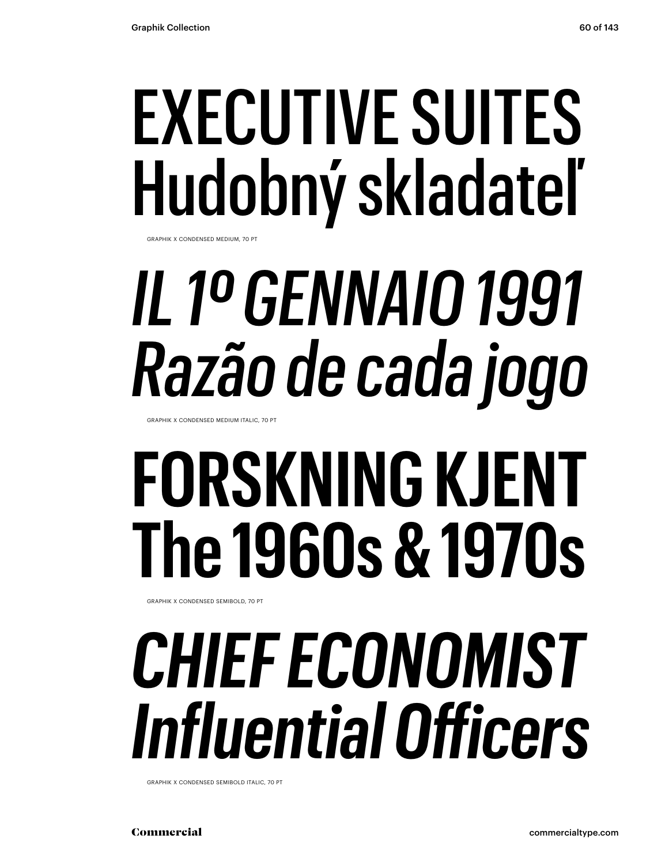## EXECUTIVE SUITES Hudobný skladateľ

GRAPHIK X CONDENSED MEDIUM, 70 PT

# *IL 1º GENNAIO 1991 Razão de cada jogo*

GRAPHIK X CONDENSED MEDIUM ITALIC, 70 PT

# **FORSKNING KJENT The 1960s & 1970s**

GRAPHIK X CONDENSED SEMIBOLD, 70 PT

## *CHIEF ECONOMIST Influential Officers*

GRAPHIK X CONDENSED SEMIBOLD ITALIC, 70 PT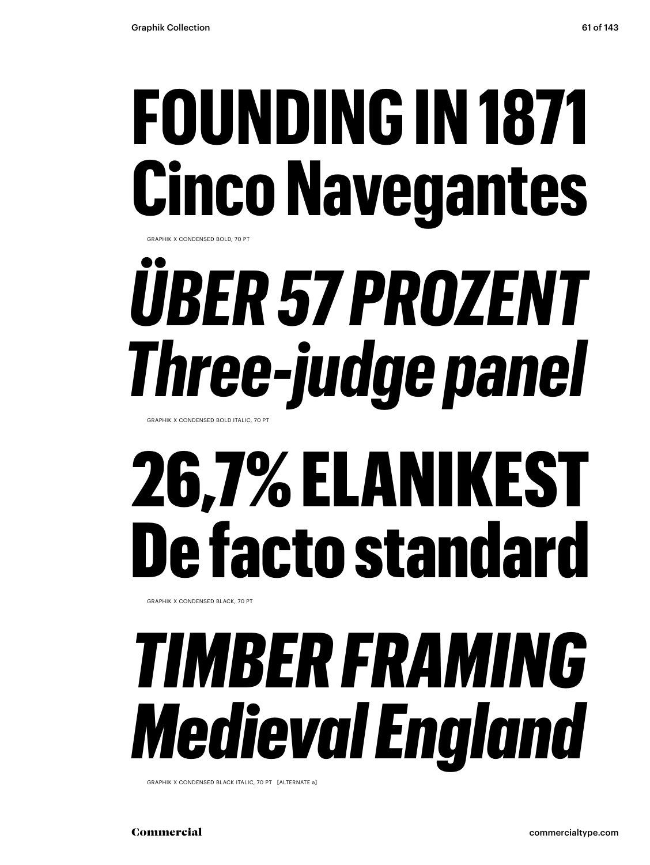# **FOUNDING IN 1871 Cinco Navegantes**

GRAPHIK X CONDENSED BOLD, 70 PT

# *ÜBER 57 PROZENT Three-judge panel*

GRAPHIK X CONDENSED BOLD ITALIC, 70 PT

## 26,7% ELANIKEST De facto standard

GRAPHIK X CONDENSED BLACK, 70 PT

## *TIMBER FRAMING Medieval England*

GRAPHIK X CONDENSED BLACK ITALIC, 70 PT [ALTERNATE a]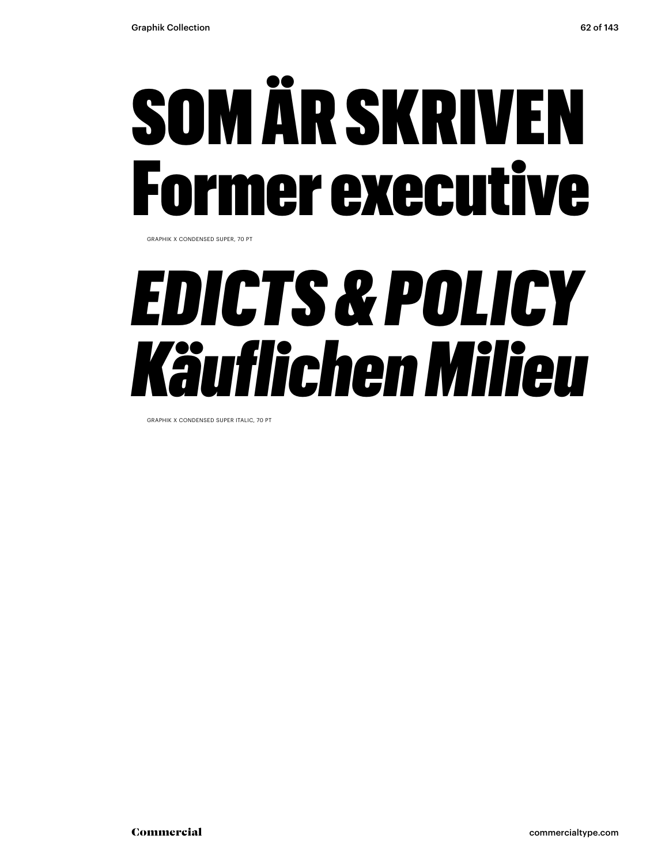# SOM ÄR SKRIVEN rmer executive

GRAPHIK X CONDENSED SUPER, 70 PT

## *EDICTS & POLICY Käuflichen Milieu*

GRAPHIK X CONDENSED SUPER ITALIC, 70 PT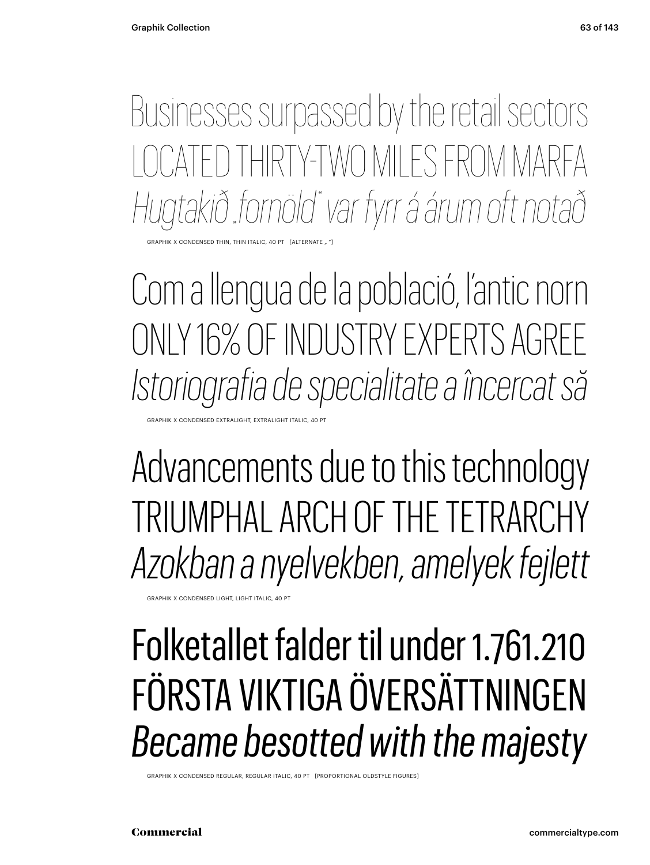Businesses surpassed by the retail sectors CATED THIRTY-TWO MILES FROM MARFA *Hugtakið "fornöld" var fyrr á árum oft notað*

HIK X CONDENSED THIN, THIN ITALIC, 40 PT

Com a llengua de la població, l'antic norn ONLY 16% OF INDUSTRY EXPERTS AGREE *Istoriografia de specialitate a încercat să*

X CONDENSED EXTRALIGHT, EXTRALIGHT ITALIC, 40 PT

Advancements due to this technology TRIUMPHAL ARCH OF THE TETRARCHY *Azokban a nyelvekben, amelyek fejlett*

GRAPHIK X CONDENSED LIGHT, LIGHT ITALIC, 40 PT

### Folketallet falder til under 1.761.210 FÖRSTA VIKTIGA ÖVERSÄTTNINGEN *Became besotted with the majesty*

GRAPHIK X CONDENSED REGULAR, REGULAR ITALIC, 40 PT [PROPORTIONAL OLDSTYLE FIGURES]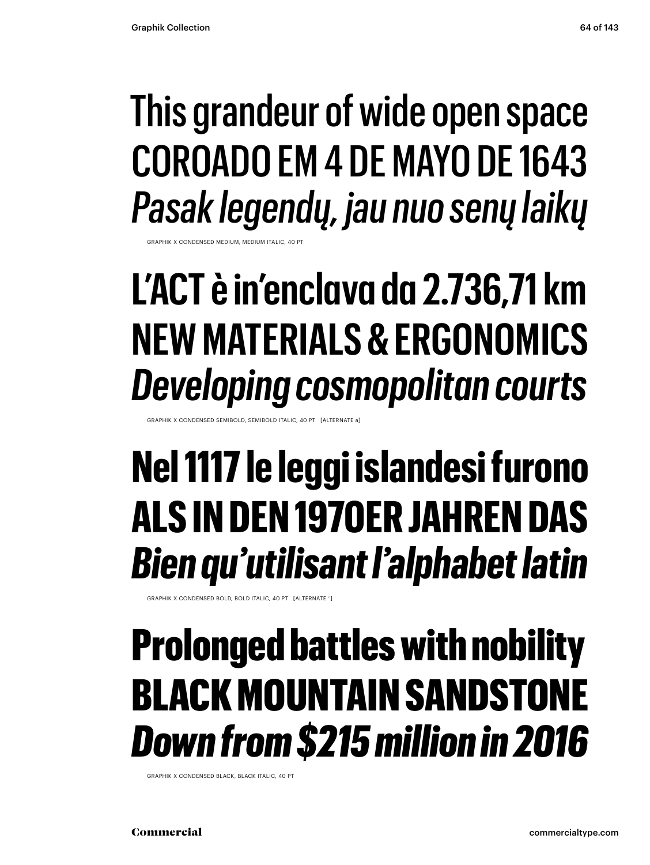### This grandeur of wide open space COROADO EM 4 DE MAYO DE 1643 *Pasak legendų, jau nuo senų laikų*

GRAPHIK X CONDENSED MEDIUM, MEDIUM ITALIC, 40 PT

## **L'ACT è in'enclava da 2.736,71 km NEW MATERIALS & ERGONOMICS** *Developing cosmopolitan courts*

GRAPHIK X CONDENSED SEMIBOLD, SEMIBOLD ITALIC, 40 PT [ALTERNATE a]

## **Nel 1117 le leggi islandesi furono ALS IN DEN 1970ER JAHREN DAS**  *Bien qu'utilisant l'alphabet latin*

GRAPHIK X CONDENSED BOLD, BOLD ITALIC, 40 PT [ALTERNATE ' ]

## Prolonged battles with nobility BLACK MOUNTAIN SANDSTONE *Down from \$215 million in 2016*

GRAPHIK X CONDENSED BLACK, BLACK ITALIC, 40 PT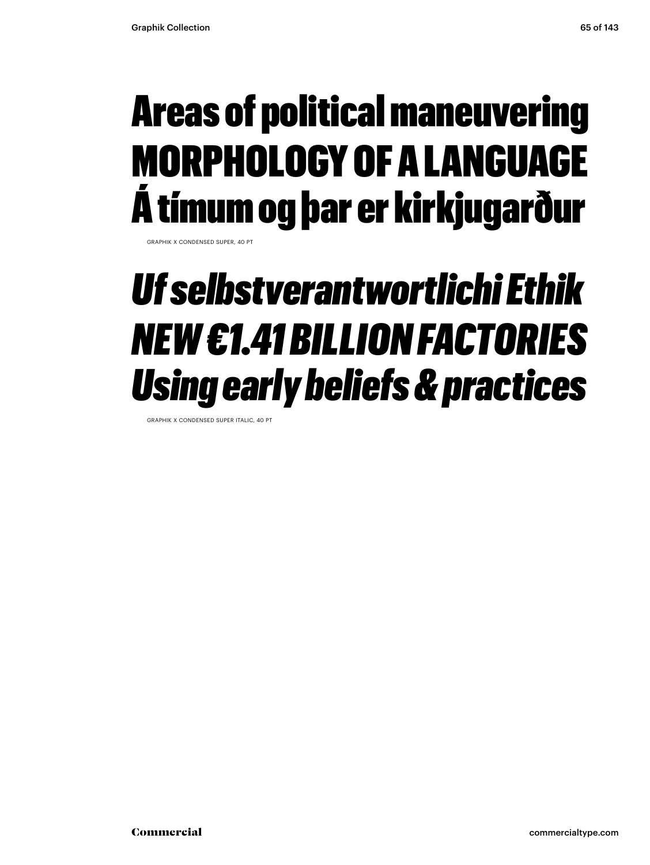## Areas of political maneuvering MORPHOLOGY OF A LANGUAGE Á tímum og þar er kirkjugarður

GRAPHIK X CONDENSED SUPER, 40 P

### *Uf selbstverantwortlichi Ethik NEW €1.41 BILLION FACTORIES Using early beliefs & practices*

GRAPHIK X CONDENSED SUPER ITALIC, 40 PT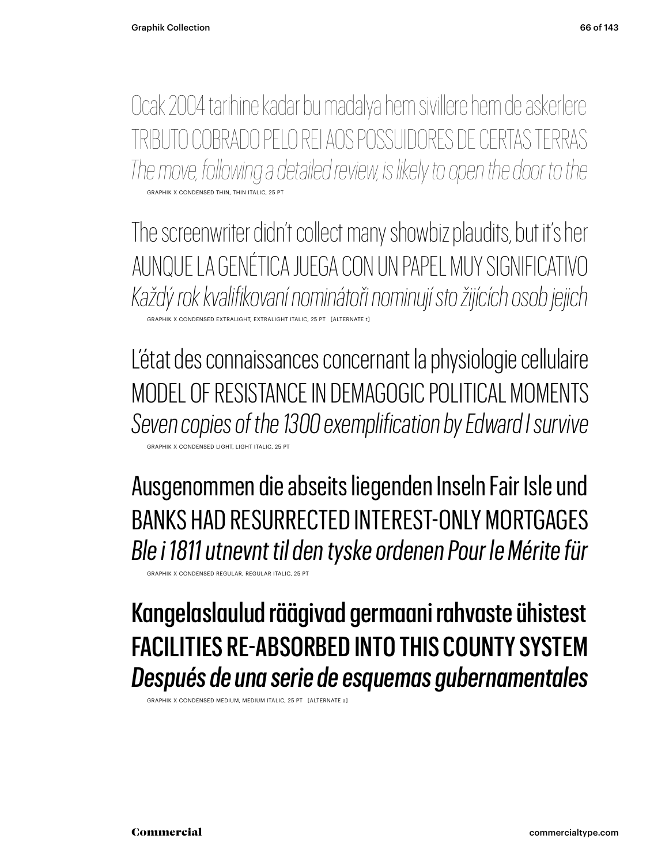Ocak 2004 tarihine kadar bu madalya hem sivillere hem de askerlere TRIBUTO COBRADO PELO REI AOS POSSUIDORES DE CERTAS TERRAS *The move, following a detailed review, is likely to open the door to the* GRAPHIK X CONDENSED THIN, THIN ITALIC, 25 PT

The screenwriter didn't collect many showbiz plaudits, but it's her AUNQUE LA GENÉTICA JUEGA CON UN PAPEL MUY SIGNIFICATIVO *Každý rok kvalifikovaní nominátoři nominují sto žijících osob jejich* GRAPHIK X CONDENSED EXTRALIGHT, EXTRALIGHT ITALIC, 25 PT [ALTERNATE t]

L'état des connaissances concernant la physiologie cellulaire MODEL OF RESISTANCE IN DEMAGOGIC POLITICAL MOMENTS *Seven copies of the 1300 exemplification by Edward I survive* GRAPHIK X CONDENSED LIGHT, LIGHT ITALIC, 25 PT

Ausgenommen die abseits liegenden Inseln Fair Isle und BANKS HAD RESURRECTED INTEREST-ONLY MORTGAGES *Ble i 1811 utnevnt til den tyske ordenen Pour le Mérite für*

GRAPHIK X CONDENSED REGULAR, REGULAR ITALIC, 25 PT

### Kangelaslaulud räägivad germaani rahvaste ühistest FACILITIES RE-ABSORBED INTO THIS COUNTY SYSTEM *Después de una serie de esquemas gubernamentales*

GRAPHIK X CONDENSED MEDIUM, MEDIUM ITALIC, 25 PT [ALTERNATE a]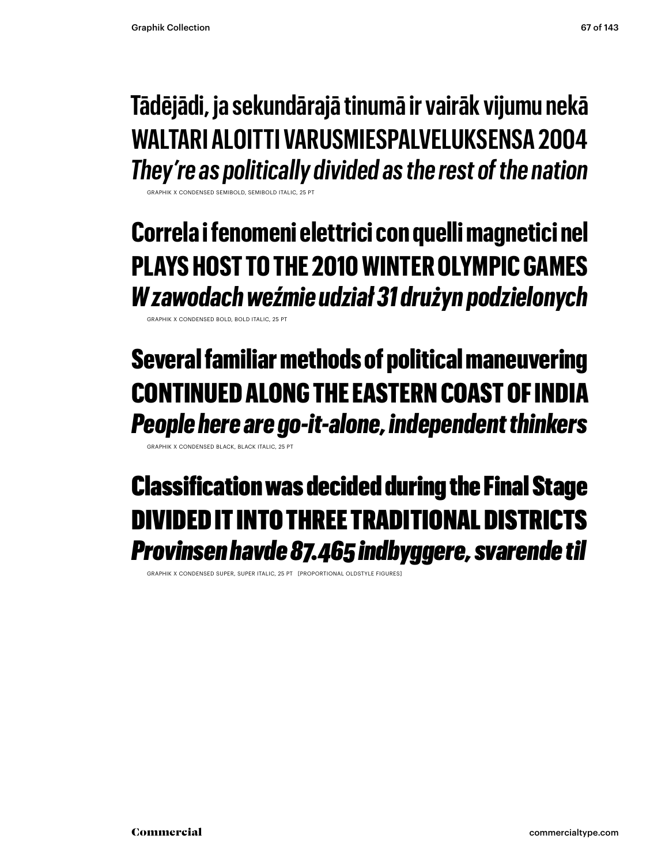#### **Tādējādi, ja sekundārajā tinumā ir vairāk vijumu nekā WALTARI ALOITTI VARUSMIESPALVELUKSENSA 2004** *They're as politically divided as the rest of the nation*

GRAPHIK X CONDENSED SEMIROLD, SEMIROLD ITALIC, 25 PT

**Correla i fenomeni elettrici con quelli magnetici nel PLAYS HOST TO THE 2010 WINTER OLYMPIC GAMES** *W zawodach weźmie udział 31 drużyn podzielonych*

GRAPHIK X CONDENSED BOLD, BOLD ITALIC, 25 PT

#### Several familiar methods of political maneuvering CONTINUED ALONG THE EASTERN COAST OF INDIA *People here are go-it-alone, independent thinkers*

GRAPHIK X CONDENSED BLACK, BLACK ITALIC, 25 PT

### Classification was decided during the Final Stage DIVIDED IT INTO THREE TRADITIONAL DISTRICTS *Provinsen havde 87.465 indbyggere, svarende til*

GRAPHIK X CONDENSED SUPER, SUPER ITALIC, 25 PT [PROPORTIONAL OLDSTYLE FIGURES]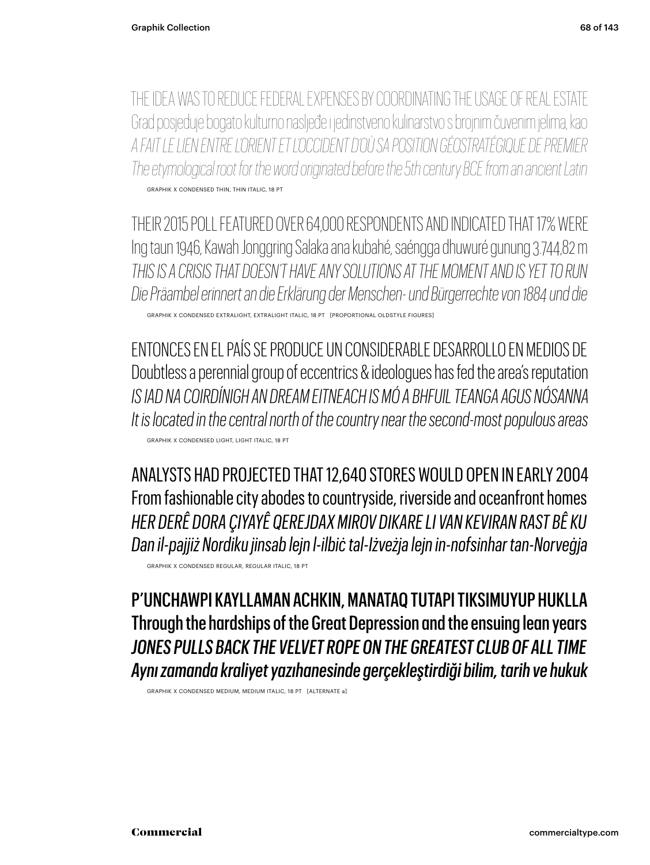THE IDEA WAS TO REDUCE FEDERAL EXPENSES BY COORDINATING THE USAGE OF REAL ESTATE Grad posjeduje bogato kulturno nasljeđe i jedinstveno kulinarstvo s brojnim čuvenim jelima, kao *A FAIT LE LIEN ENTRE L'ORIENT ET L'OCCIDENT D'OÙ SA POSITION GÉOSTRATÉGIQUE DE PREMIER The etymological root for the word originated before the 5th century BCE from an ancient Latin* GRAPHIK X CONDENSED THIN, THIN ITALIC, 18 PT

THEIR 2015 POLL FEATURED OVER 64,000 RESPONDENTS AND INDICATED THAT 17% WERE Ing taun 1946, Kawah Jonggring Salaka ana kubahé, saéngga dhuwuré gunung 3.744,82 m *THIS IS A CRISIS THAT DOESN'T HAVE ANY SOLUTIONS AT THE MOMENT AND IS YET TO RUN Die Präambel erinnert an die Erklärung der Menschen- und Bürgerrechte von 1884 und die*

GRAPHIK X CONDENSED EXTRALIGHT, EXTRALIGHT ITALIC, 18 PT [PROPORTIONAL OLDSTYLE FIGURES]

ENTONCES EN EL PAÍS SE PRODUCE UN CONSIDERABLE DESARROLLO EN MEDIOS DE Doubtless a perennial group of eccentrics & ideologues has fed the area's reputation *IS IAD NA COIRDÍNIGH AN DREAM EITNEACH IS MÓ A BHFUIL TEANGA AGUS NÓSANNA It is located in the central north of the country near the second-most populous areas* GRAPHIK X CONDENSED LIGHT, LIGHT ITALIC, 18 PT

ANALYSTS HAD PROJECTED THAT 12,640 STORES WOULD OPEN IN EARLY 2004 From fashionable city abodes to countryside, riverside and oceanfront homes *HER DERÊ DORA ÇIYAYÊ QEREJDAX MIROV DIKARE LI VAN KEVIRAN RAST BÊ KU Dan il-pajjiż Nordiku jinsab lejn l-ilbiċ tal-Iżveżja lejn in-nofsinhar tan-Norveġja*

GRAPHIK X CONDENSED REGULAR, REGULAR ITALIC, 18 PT

P'UNCHAWPI KAYLLAMAN ACHKIN, MANATAQ TUTAPI TIKSIMUYUP HUKLLA Through the hardships of the Great Depression and the ensuing lean years *JONES PULLS BACK THE VELVET ROPE ON THE GREATEST CLUB OF ALL TIME Aynı zamanda kraliyet yazıhanesinde gerçekleştirdiği bilim, tarih ve hukuk*

GRAPHIK X CONDENSED MEDIUM, MEDIUM ITALIC, 18 PT [ALTERNATE a]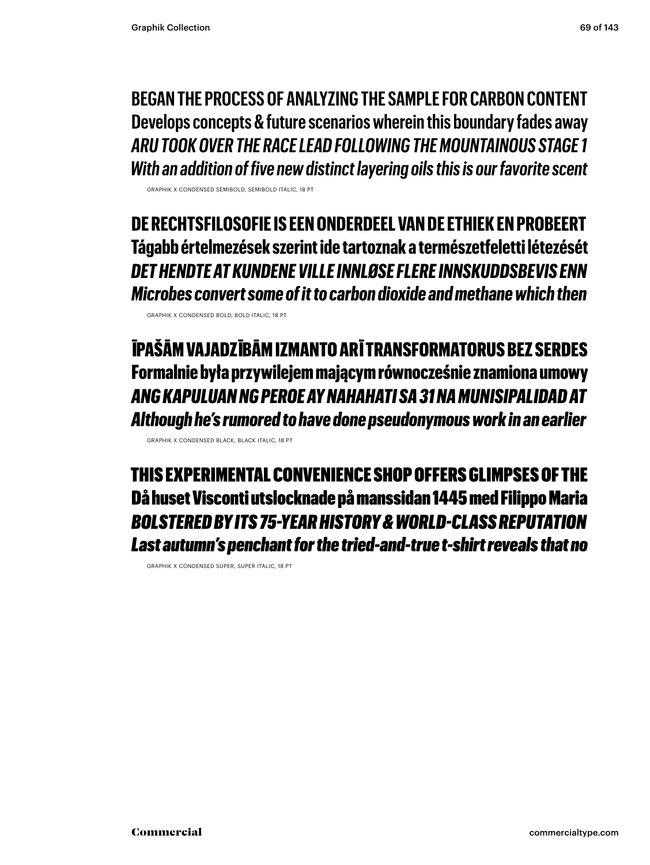**BEGAN THE PROCESS OF ANALYZING THE SAMPLE FOR CARBON CONTENT Develops concepts & future scenarios wherein this boundary fades away** *ARU TOOK OVER THE RACE LEAD FOLLOWING THE MOUNTAINOUS STAGE 1 With an addition of five new distinct layering oils this is our favorite scent*

GRAPHIK X CONDENSED SEMIBOLD, SEMIBOLD ITALIC, 18 PT

**DE RECHTSFILOSOFIE IS EEN ONDERDEEL VAN DE ETHIEK EN PROBEERT Tágabb értelmezések szerint ide tartoznak a természetfeletti létezését** *DET HENDTE AT KUNDENE VILLE INNLØSE FLERE INNSKUDDSBEVIS ENN Microbes convert some of it to carbon dioxide and methane which then*

GRAPHIK X CONDENSED BOLD, BOLD ITALIC, 18 PT

ĪPAŠĀM VAJADZĪBĀM IZMANTO ARĪ TRANSFORMATORUS BEZ SERDES Formalnie była przywilejem mającym równocześnie znamiona umowy *ANG KAPULUAN NG PEROE AY NAHAHATI SA 31 NA MUNISIPALIDAD AT Although he's rumored to have done pseudonymous work in an earlier*

GRAPHIK X CONDENSED BLACK, BLACK ITALIC, 18 PT

THIS EXPERIMENTAL CONVENIENCE SHOP OFFERS GLIMPSES OF THE Då huset Visconti utslocknade på manssidan 1445 med Filippo Maria *BOLSTERED BY ITS 75-YEAR HISTORY & WORLD-CLASS REPUTATION Last autumn's penchant for the tried-and-true t-shirt reveals that no*

GRAPHIK X CONDENSED SUPER, SUPER ITALIC, 18 PT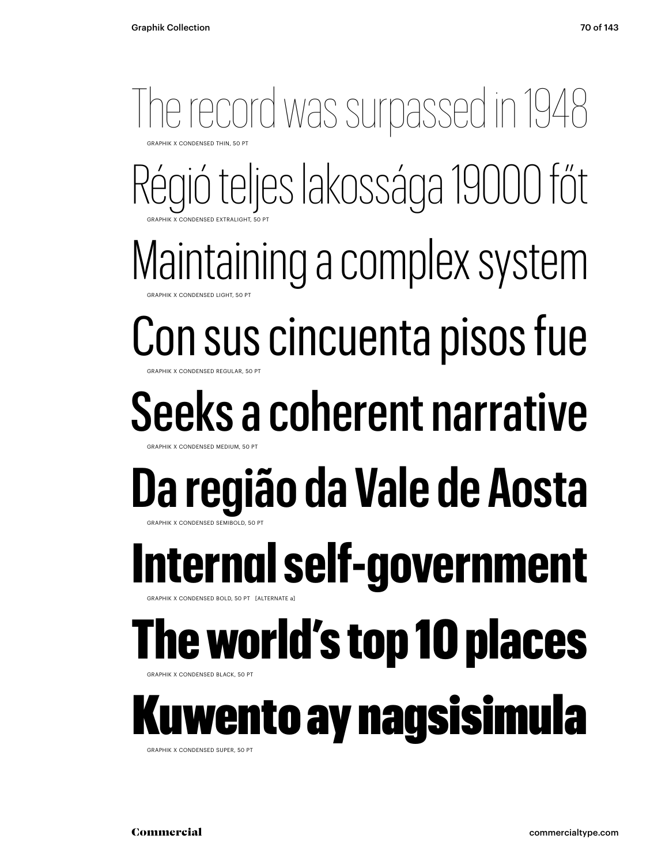### Régió teljes lakossága 19000 főt Maintaining a complex system Con sus cincuenta pisos fue Seeks a coherent narrative **Da região da Vale de Aosta** The record was surpassed in 1948 **GRAPHIK X CONDENSED THIN, 50 PT** GRAPHIK X CONDENSED EXTRALIGHT, 50 PT GRAPHIK X CONDENSED LIGHT, 50 PT **GRAPHIK X CONDENSED REGULAR, 50 PT** GRAPHIK X CONDENSED MEDIUM, 50 PT GRAPHIK X CONDENSED SEMIBOLD, 50 PT **Internal self-government** APHIK X CONDENSED BOLD, 50 PT [ALTERNATE a] The world's top 10 places **GRAPHIK X CONDENSED BLACK, 50 PT** wento ay nagsisimula GRAPHIK X CONDENSED SUPER, 50 PT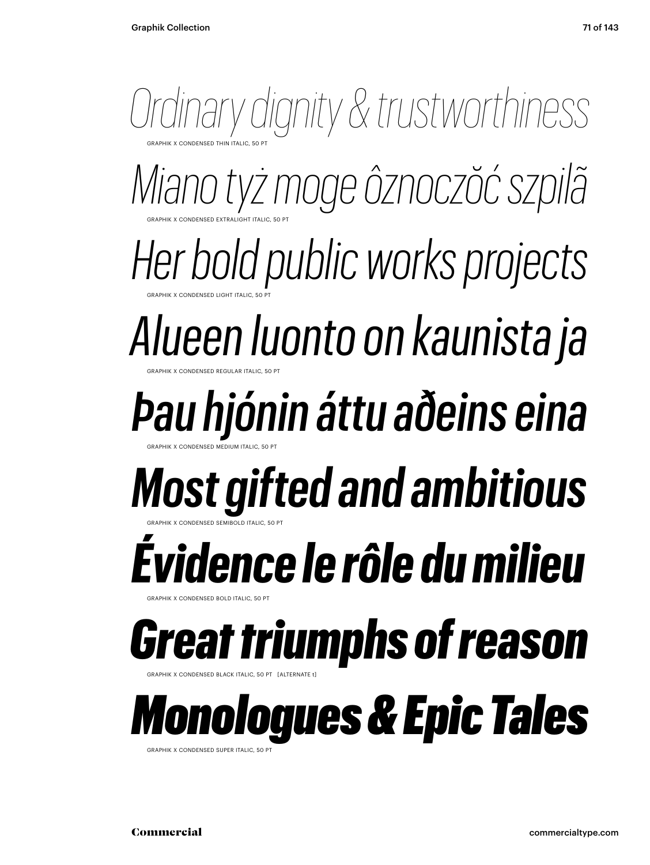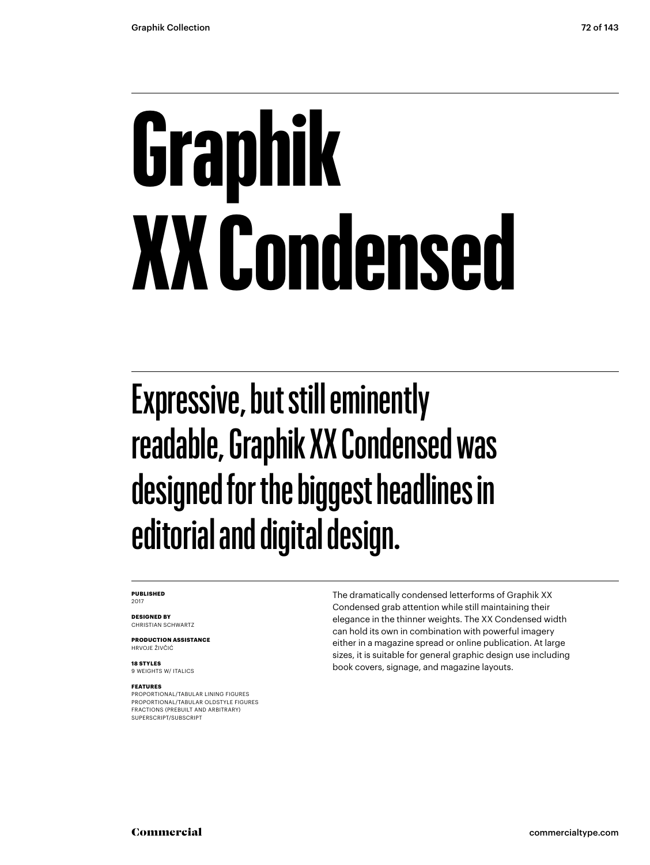# **Graphik XX Condensed**

### Expressive, but still eminently readable, Graphik XX Condensed was designed for the biggest headlines in editorial and digital design.

#### **PUBLISHED** 2017

**DESIGNED BY** CHRISTIAN SCHWARTZ

**PRODUCTION ASSISTANCE** HRVOJE ŽIVČIĆ

**18 STYLES** 9 WEIGHTS W/ ITALICS

#### **FEATURES**

PROPORTIONAL/TABULAR LINING FIGURES PROPORTIONAL/TABULAR OLDSTYLE FIGURES FRACTIONS (PREBUILT AND ARBITRARY) SUPERSCRIPT/SUBSCRIPT

The dramatically condensed letterforms of Graphik XX Condensed grab attention while still maintaining their elegance in the thinner weights. The XX Condensed width can hold its own in combination with powerful imagery either in a magazine spread or online publication. At large sizes, it is suitable for general graphic design use including book covers, signage, and magazine layouts.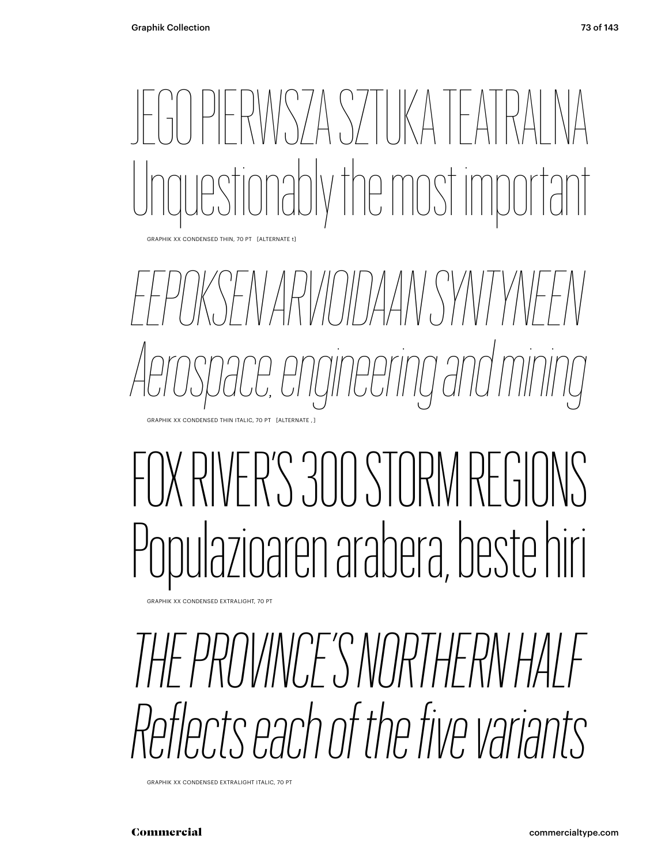### JERWSZA SZTIKA FAT ly the most important

GRAPHIK XX CONDENSED THIN, 70 PT [ALTERNATE t]

*EEPOKSEN ARVIOIDAAN SYNTYNEEN Aerospace, engineering and mining* GRAPHIK XX CONDENSED THIN ITALIC, 70 PT [ALTERNATE , ]

### FOX RIVER'S 300 STORM REGIL Populazioaren arabera, beste hiri

GRAPHIK XX CONDENSED EXTRALIGHT, 70 PT

*THE PROVINCE'S NORTHERN HALF Reflects each of the five variants*

GRAPHIK XX CONDENSED EXTRALIGHT ITALIC, 70 PT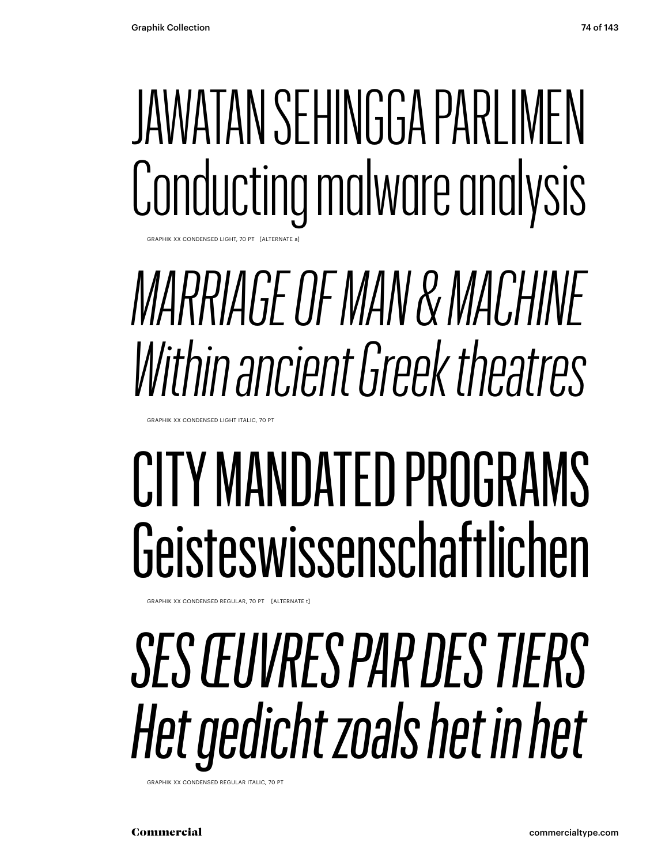### JAWATAN SEHINGGA PARLIMEN Conducting malware analysis

GRAPHIK XX CONDENSED LIGHT, 70 PT [ALTERNATE a]

### *MARRIAGE OF MAN & MACHINE Within ancient Greek theatres*

GRAPHIK XX CONDENSED LIGHT ITALIC, 70 PT

### CITY MANDATED PROGRAMS Geisteswissenschaftlichen

GRAPHIK XX CONDENSED REGULAR, 70 PT [ALTERNATE t]

### *SES ŒUVRES PAR DES TIERS Het gedicht zoals het in het*

GRAPHIK XX CONDENSED REGULAR ITALIC, 70 PT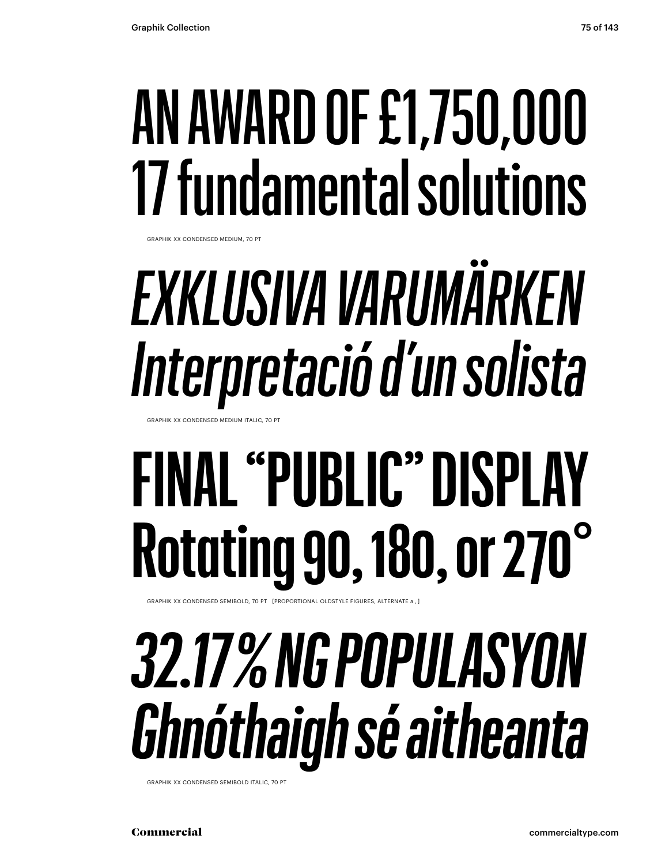### AN AWARD OF £1,750,000 17 fundamental solutions

GRAPHIK XX CONDENSED MEDIUM, 70 PT

### *EXKLUSIVA VARUMÄRKEN Interpretació d'un solista*

GRAPHIK XX CONDENSED MEDIUM ITALIC, 70 PT

### **FINAL "PUBLIC" DISPLAY Rotating 90, 180, or 270°**

GRAPHIK XX CONDENSED SEMIBOLD, 70 PT [PROPORTIONAL OLDSTYLE FIGURES, ALTERNATE a , ]

### *32.17 % NG POPULASYON Ghnóthaigh sé aitheanta*

GRAPHIK XX CONDENSED SEMIBOLD ITALIC, 70 PT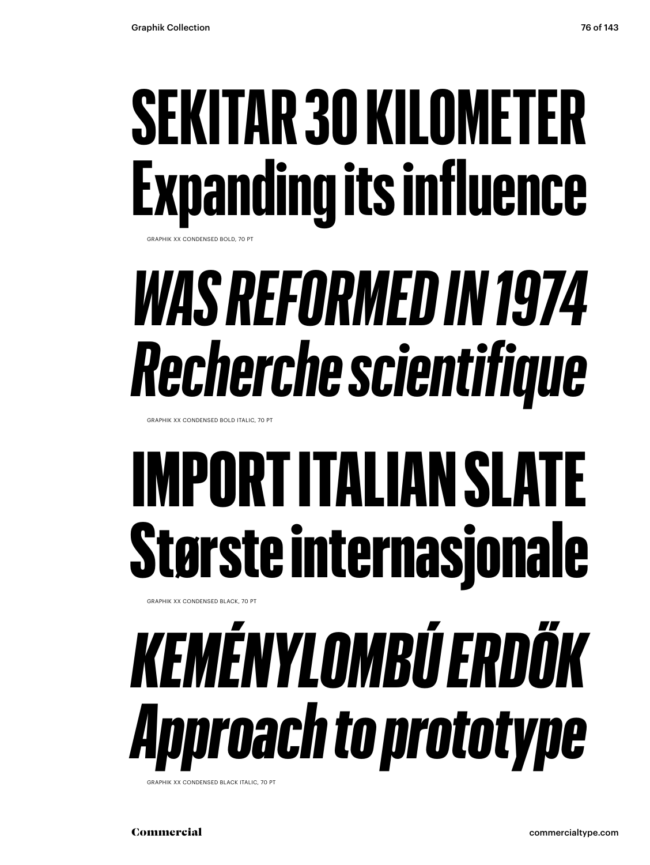### **SEKITAR 30 KILOMETER Expanding its influence**

GRAPHIK XX CONDENSED BOLD, 70 PT

### *WAS REFORMED IN 1974 Recherche scientifique*

GRAPHIK XX CONDENSED BOLD ITALIC, 70 PT

### IMPORT ITALIAN SLATE Største internasjonale

GRAPHIK XX CONDENSED BLACK, 70 PT

### *KEMÉNYLOMBÚ ERDŐK Approach to prototype*

GRAPHIK XX CONDENSED BLACK ITALIC, 70 PT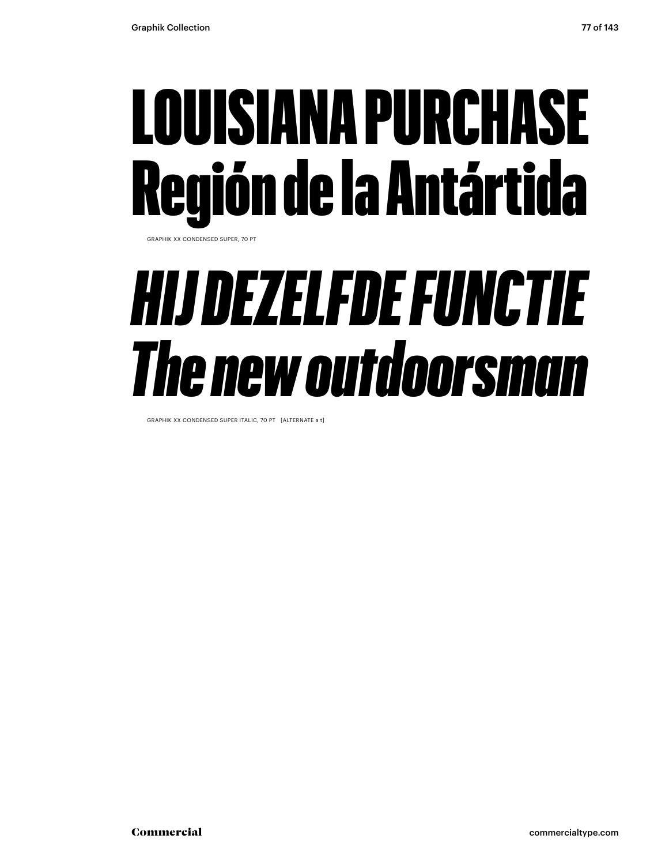### LOUISIANA PURCHASE Región de la Antártida

GRAPHIK XX CONDENSED SUPER, 70 PT

#### *HIJ DEZELFDE FUNCTIE The new outdoorsman*

GRAPHIK XX CONDENSED SUPER ITALIC, 70 PT [ALTERNATE a t]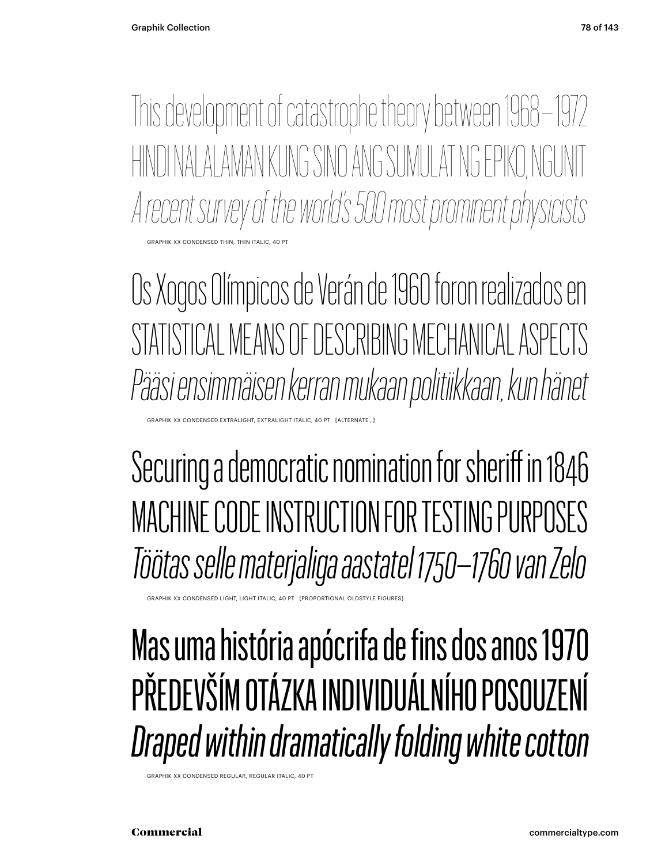This development of catastrophe theory between 1968 – 1972 HINDI NALALAMAN KUNG SINO ANG SUMULAT NG EPIKO, NGUNIT *A recent survey of the world's 500 most prominent physicists* CONDENSED THIN, THIN ITALIC

Os Xogos Olímpicos de Verán de 1960 foron realizados en STATISTICAL MEANS OF DESCRIBING MECHANICAL ASPECTS *Pääsi ensimmäisen kerran mukaan politiikkaan, kun hänet* 

XX CONDENSED EXTRALIGHT, EXTRALIGHT ITALIC, 40 PT [ALTERNATI

Securing a democratic nomination for sheriff in 1846 MACHINE CODE INSTRUCTION FOR TESTING PURPOSES *Töötas selle materjaliga aastatel 1750–1760 van Zelo*

.<br>RAPHIK XX CONDENSED LIGHT, LIGHT ITALIC, 40 PT [PROPORTIONAL OLDSTYLE FIGURES]

Mas uma história apócrifa de fins dos anos 1970 PŘEDEVŠÍM OTÁZKA INDIVIDUÁLNÍHO POSOUZENÍ *Draped within dramatically folding white cotton*

GRAPHIK XX CONDENSED REGULAR, REGULAR ITALIC, 40 PT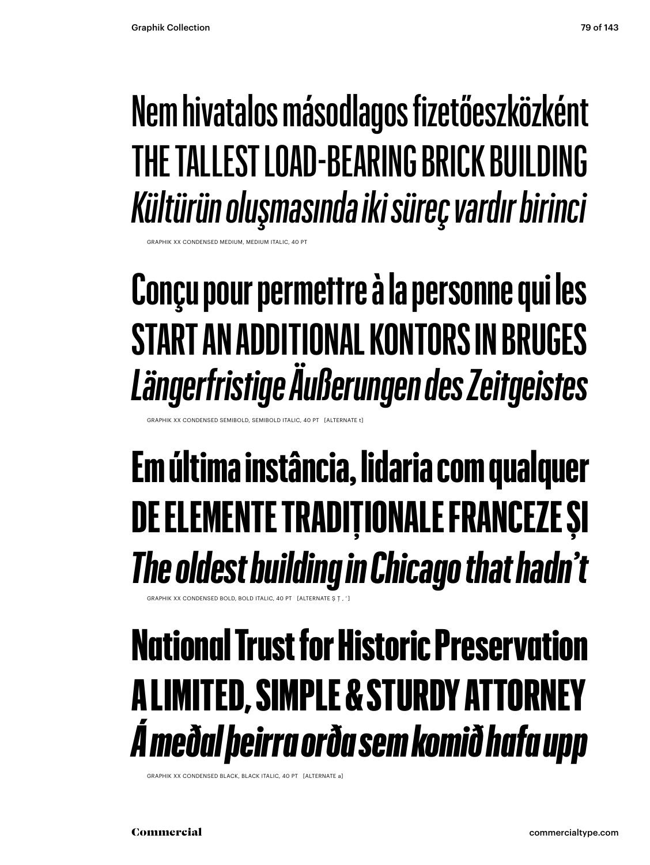#### Nem hivatalos másodlagos fizetőeszközként THE TALLEST LOAD-BEARING BRICK BUILDING *Kültürün oluşmasında iki süreç vardır birinci*

CONDENSED MEDIUM, MEDIUM ITALIC, 40

#### **Conçu pour permettre à la personne qui les START AN ADDITIONAL KONTORS IN BRUGES** *Längerfristige Äußerungen des Zeitgeistes*

XX CONDENSED SEMIBOLD, SEMIBOLD ITALIC, 40 PT [ALTERNATE

#### **Em última instância, lidaria com qualquer DE ELEMENTE TRADIȚIONALE FRANCEZE ȘI** *The oldest building in Chicago that hadn't*

FRAPHIK XX CONDENSED BOLD, BOLD ITALIC, 40 PT [ALTERNATE S T. '

#### National Trust for Historic Preservation A LIMITED, SIMPLE & STURDY ATTORNEY *Á meðal þeirra orða sem komið hafa upp*

GRAPHIK XX CONDENSED BLACK, BLACK ITALIC, 40 PT [ALTERNATE a]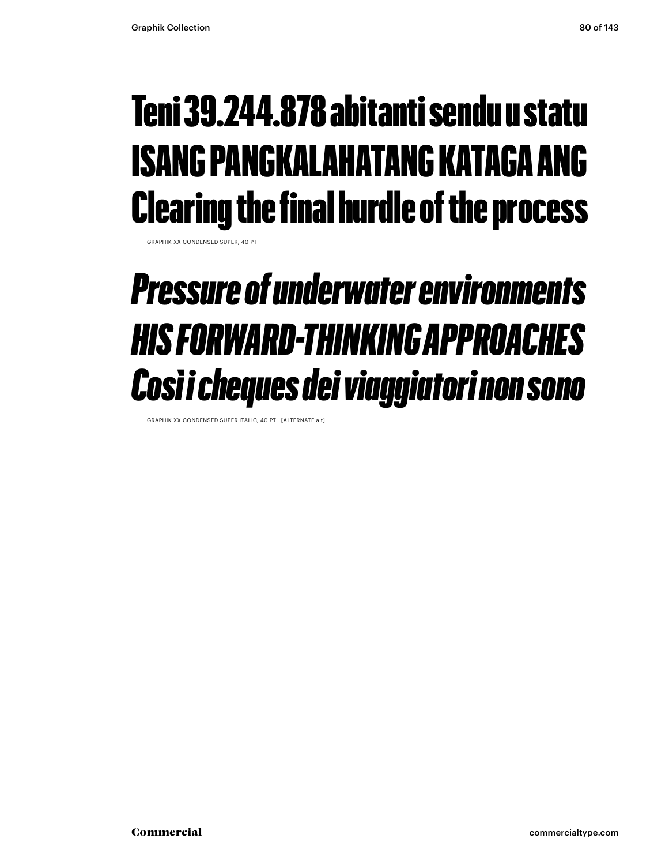#### Teni 39.244.878 abitanti sendu u statu ISANG PANGKALAHATANG KATAGA ANG Clearing the final hurdle of the process

GRAPHIK XX CONDENSED SUPER, 40 PT

#### *Pressure of underwater environments HIS FORWARD-THINKING APPROACHES Così i cheques dei viaggiatori non sono*

GRAPHIK XX CONDENSED SUPER ITALIC, 40 PT [ALTERNATE a t]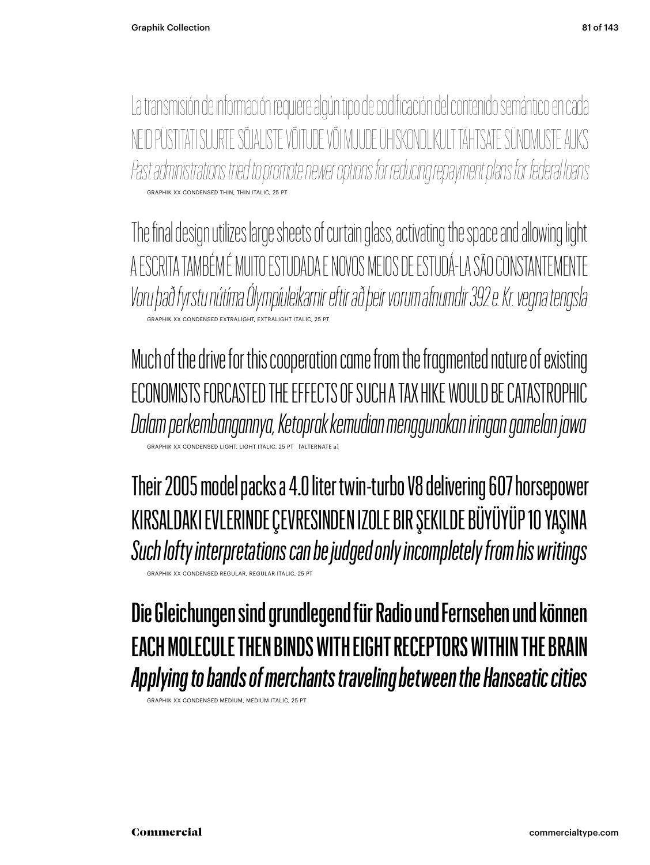La transmisión de información requiere algún tipo de codificación del contenido semántico en cada ID PÜSTITATI SUURTE SÕJALISTE VÕITUDE VÕI MUUDE ÜHISKONDLIKULT TÄHTSATE SÜNDMI *Past administrations tried to promote newer options for reducing repayment plans for federal loans* GRAPHIK XX CONDENSED THIN, THIN ITALIC, 25 PT

The final design utilizes large sheets of curtain glass, activating the space and allowing light A ESCRITA TAMBÉM É MUITO ESTUDADA E NOVOS MEIOS DE ESTUDÁ-LA SÃO CONSTANTEMENTE *Voru það fyrstu nútíma Ólympíuleikarnir eftir að þeir vorum afnumdir 392 e. Kr. vegna tengsla* GRAPHIK XX CONDENSED EXTRALIGHT, EXTRALIGHT ITALIC, 25 PT

Much of the drive for this cooperation came from the fragmented nature of existing ECONOMISTS FORCASTED THE EFFECTS OF SUCH A TAX HIKE WOULD BE CATASTROPHIC *Dalam perkembangannya, Ketoprak kemudian menggunakan iringan gamelan jawa* GRAPHIC ITALIC 25

Their 2005 model packs a 4.0 liter twin-turbo V8 delivering 607 horsepower KIRSALDAKI EVLERINDE ÇEVRESINDEN IZOLE BIR ŞEKILDE BÜYÜYÜP 10 YAŞINA *Such lofty interpretations can be judged only incompletely from his writings* GRAPHIK XX CONDENSED REGULAR, REGULAR ITALIC, 25 PT

Die Gleichungen sind grundlegend für Radio und Fernsehen und können EACH MOLECULE THEN BINDS WITH EIGHT RECEPTORS WITHIN THE BRAIN *Applying to bands of merchants traveling between the Hanseatic cities*

GRAPHIK XX CONDENSED MEDIUM, MEDIUM ITAL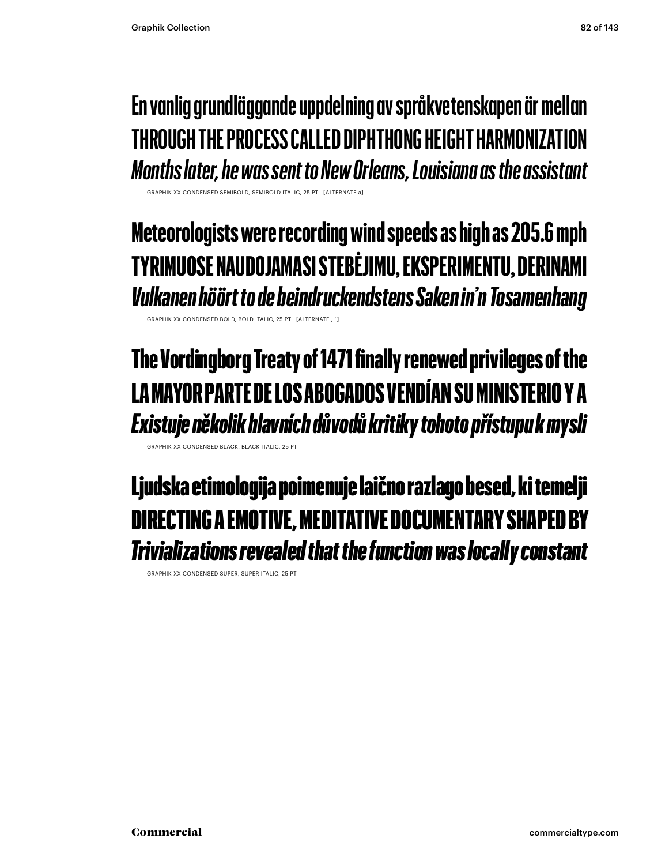#### **En vanlig grundläggande uppdelning av språkvetenskapen är mellan THROUGH THE PROCESS CALLED DIPHTHONG HEIGHT HARMONIZATION** *Months later, he was sent to New Orleans, Louisiana as the assistant*

GRAPHIK XX CONDENSED SEMIBOLD, SEMIBOLD ITALIC, 25 PT [ALTERNATE a]

**Meteorologists were recording wind speeds as high as 205.6 mph TYRIMUOSE NAUDOJAMASI STEBĖJIMU, EKSPERIMENTU, DERINAMI** *Vulkanen höört to de beindruckendstens Saken in'n Tosamenhang*

GRAPHIK XX CONDENSED BOLD, BOLD ITALIC, 25 PT [ALTERNATE , ' ]

#### The Vordingborg Treaty of 1471 finally renewed privileges of the LA MAYOR PARTE DE LOS ABOGADOS VENDÍAN SU MINISTERIO Y A *Existuje několik hlavních důvodů kritiky tohoto přístupu k mysli*

GRAPHIK XX CONDENSED BLACK, BLACK ITALIC.

Ljudska etimologija poimenuje laično razlago besed, ki temelji DIRECTING A EMOTIVE, MEDITATIVE DOCUMENTARY SHAPED BY *Trivializations revealed that the function was locally constant*

GRAPHIK XX CONDENSED SUPER, SUPER ITALIC, 25 PT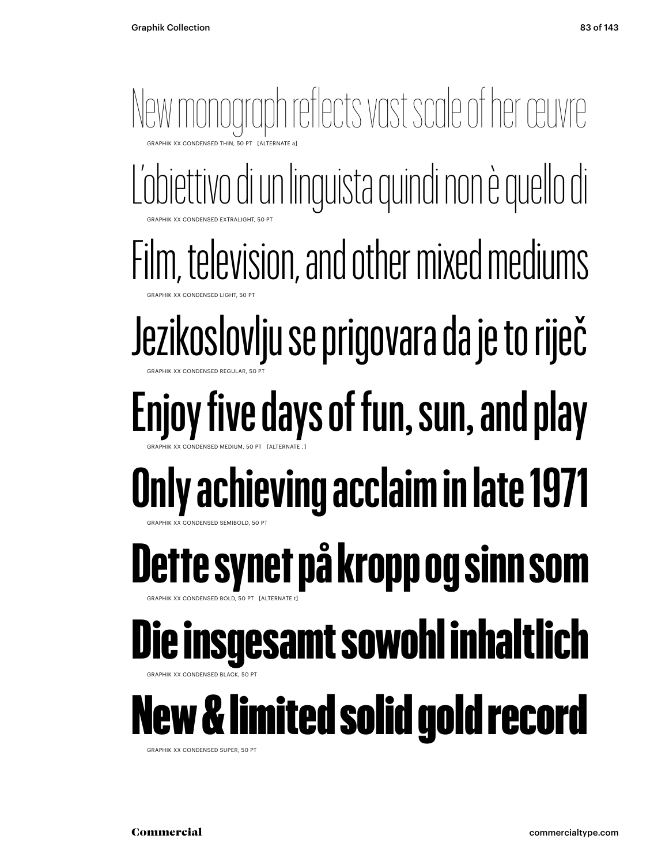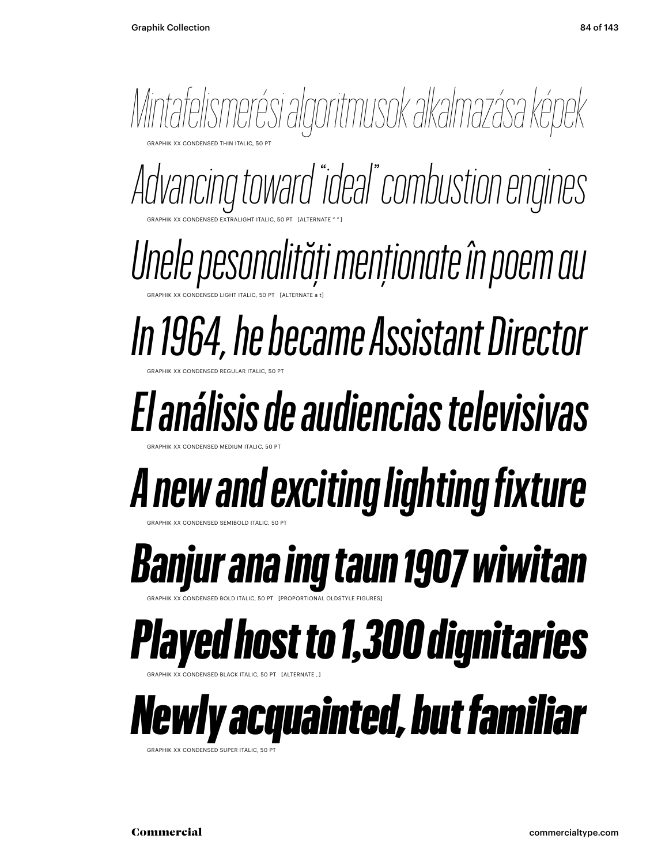

GRAPHIK XX CONDENSED EXTRALIGHT ITALIC, 50 PT [ALTERNATE " " ] *Advancing toward "ideal" combustion engines*

GRAPHIK XX CONDENSED LIGHT ITALIC, 50 PT [ALTERNATE a t] *Unele pesonalități menționate în poem au*

GRAPHIK XX CONDENSED REGULAR ITALIC, 50 PT *In 1964, he became Assistant Director*

*El análisis de audiencias televisivas*

*A new and exciting lighting fixture*

GRAPHIK XX CONDENSED SEMIBOLD ITALIC, 50 PT

GRAPHIK XX CONDENSED MEDIUM ITALIC, 50 PT

*Banjur ana ing taun 1907 wiwitan*

GRAPHIK XX CONDENSED BOLD ITALIC, 50 PT [PROPORTIONAL OLDSTYLE FIGURES]

*Played host to 1,300 dignitaries*

GRAPHIK XX CONDENSED BLACK ITALIC, 50 PT [ALTERNATE , ]

*Newly acquainted, but familiar*

GRAPHIK XX CONDENSED SUPER ITALIC, 50 P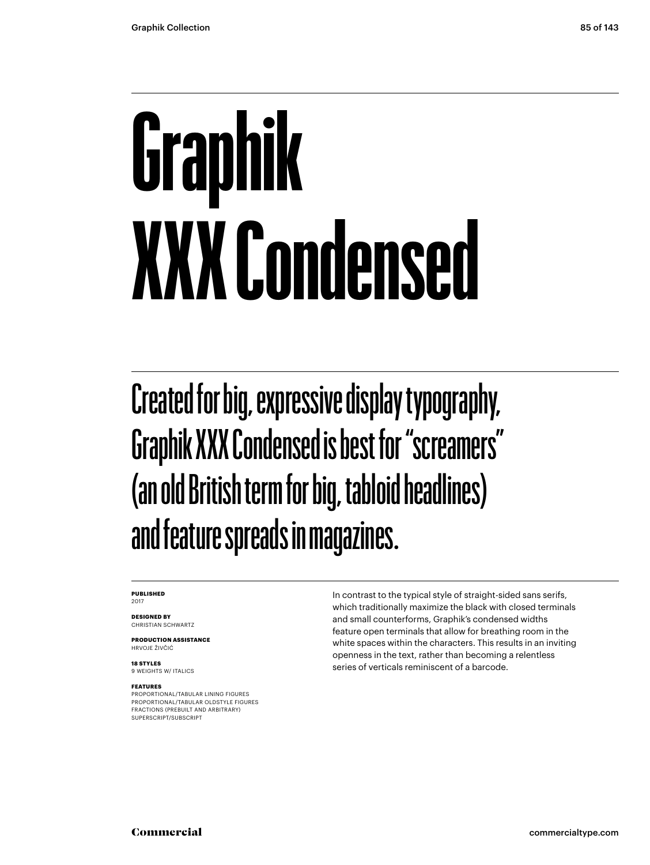## **Graphik XXX Condensed**

Created for big, expressive display typography, Graphik XXX Condensed is best for "screamers" (an old British term for big, tabloid headlines) and feature spreads in magazines.

#### **PUBLISHED** 2017

**DESIGNED BY** CHRISTIAN SCHWARTZ

**PRODUCTION ASSISTANCE** HRVOJE ŽIVČIĆ

**18 STYLES** 9 WEIGHTS W/ ITALICS

#### **FEATURES**

PROPORTIONAL/TABULAR LINING FIGURES PROPORTIONAL/TABULAR OLDSTYLE FIGURES FRACTIONS (PREBUILT AND ARBITRARY) SUPERSCRIPT/SUBSCRIPT

In contrast to the typical style of straight-sided sans serifs, which traditionally maximize the black with closed terminals and small counterforms, Graphik's condensed widths feature open terminals that allow for breathing room in the white spaces within the characters. This results in an inviting openness in the text, rather than becoming a relentless series of verticals reminiscent of a barcode.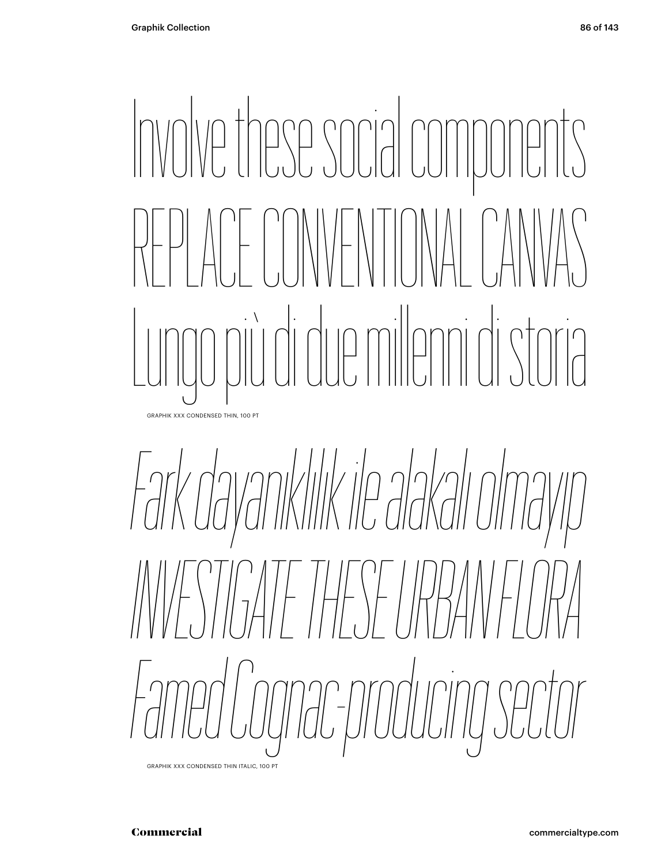### Involve these social components REPLACE CONVENTIONAL CANVAS Lungo più di due milenni di storia GRAPHIK XXX CONDENSED THIN, 100 PT

*Fark dayanıklılık ile alakalı olmayıp INVESTIGATE THESE URBAN FLORA Famed Cognac-producing sector*

GRAPHIK XXX CONDENSED THIN ITALIC, 100 PT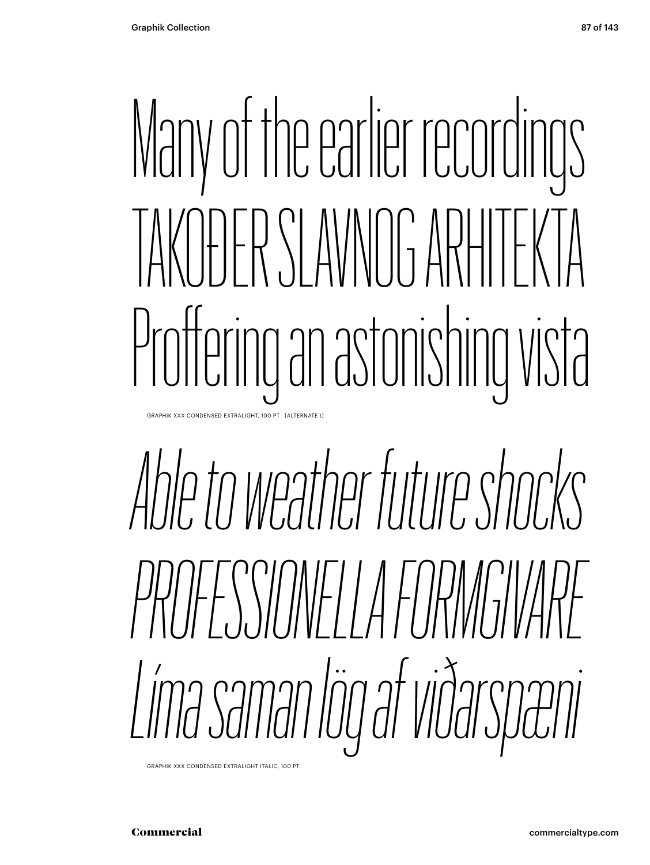### Many of the earlier recordings TAKOĐER SLAVNOG ARHITEKTA Proffering an astonishing vista GRAPHIK XXX CONDENSED EXTRALIGHT, 100 PT [ALTERNATE t]

### *Able to weather future shocks PROFESSIONELLA FORMGIVARE Líma saman lög af viðarspæni*

GRAPHIK XXX CONDENSED EXTRALIGHT ITALIC, 100 PT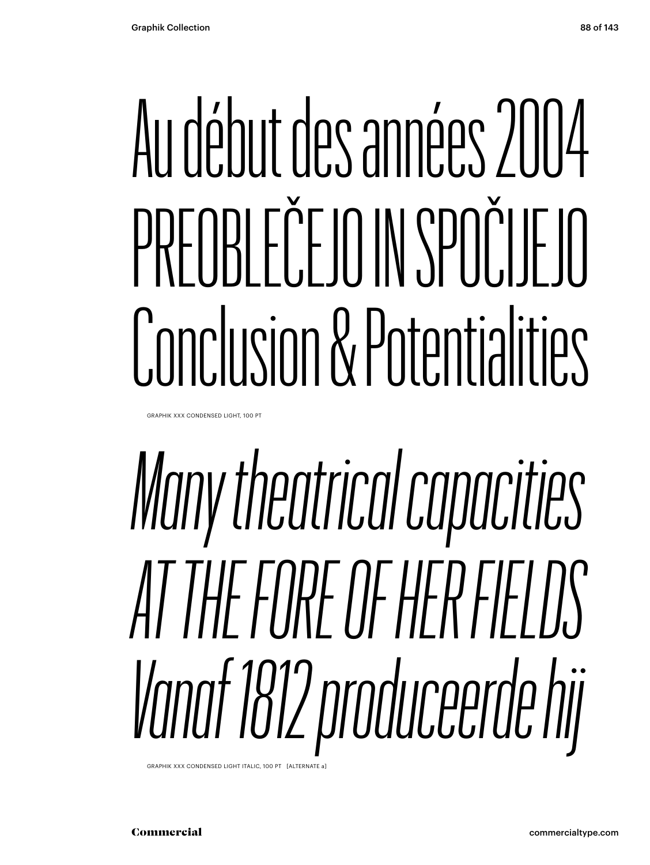### Au début des années 2004 PREOBLEČEJO IN SPOČIJEJO Conclusion & Potentialities

GRAPHIK XXX CONDENSED LIGHT, 100 PT

### *Many theatrical capacities AT THE FORE OF HER FIELDS Vanaf 1812 produceerde hij*

GRAPHIK XXX CONDENSED LIGHT ITALIC, 100 PT [ALTERNATE a]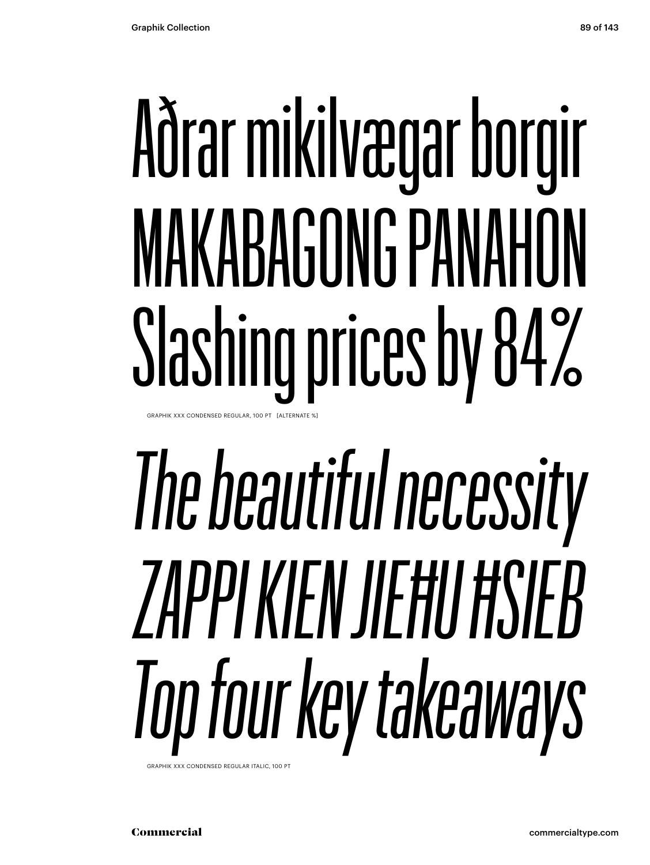### Aðrar mikilvægar borgir MAKABAGONG PANAHON Slashing prices by 84% GRAPHIK XXX CONDENSED REGULAR, 100 PT [ALTERNATE 9

## *The beautiful necessity ZAPPI KIEN JIEĦU ĦSIEB Top four key takeaways*

GRAPHIK XXX CONDENSED REGULAR ITALIC, 100 PT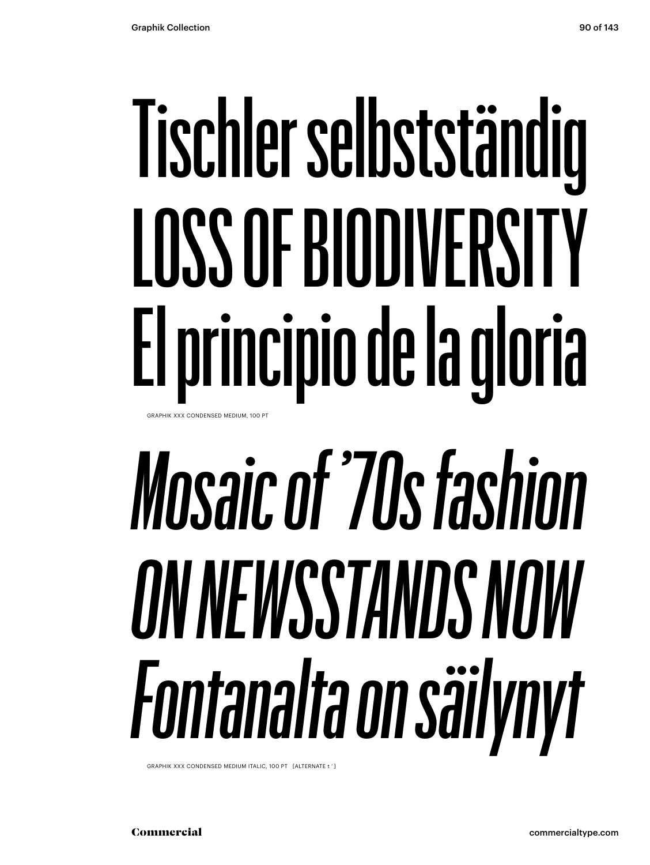### Tischler selbstständig LOSS OF BIODIVERSITY El principio de la gloria GRAPHIK XXX CONDENSED MEDIUM, 100 PT

## *Mosaic of '70s fashion ON NEWSSTANDS NOW Fontanalta on säilynyt*

GRAPHIK XXX CONDENSED MEDIUM ITALIC, 100 PT [ALTERNATE t ' ]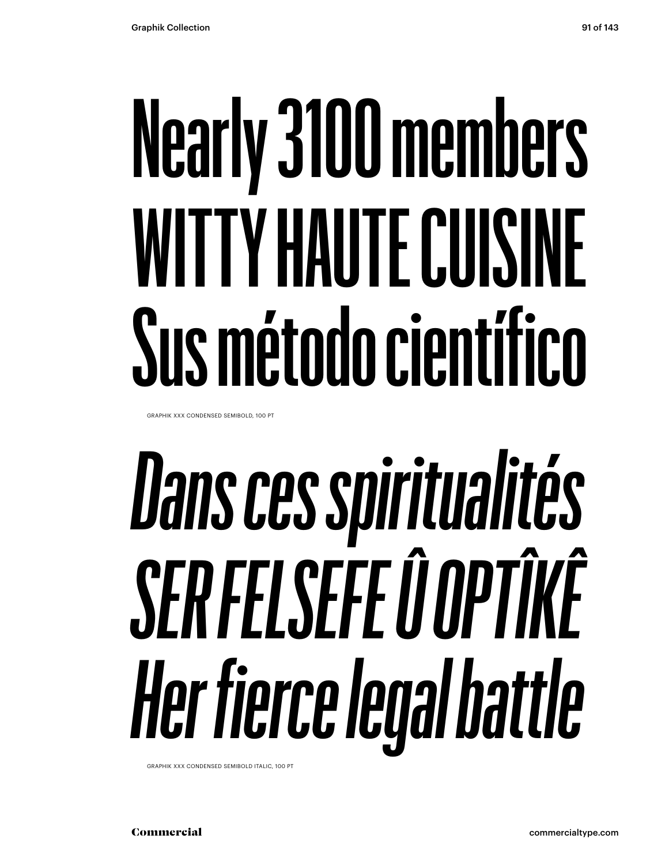### **Nearly 3100 members WITTY HAUTE CUISINE Sus método científico**

GRAPHIK XXX CONDENSED SEMIBOLD, 100 PT

## *Dans ces spiritualités SER FELSEFE Û OPTÎKÊ Her fierce legal battle*

GRAPHIK XXX CONDENSED SEMIBOLD ITALIC, 100 PT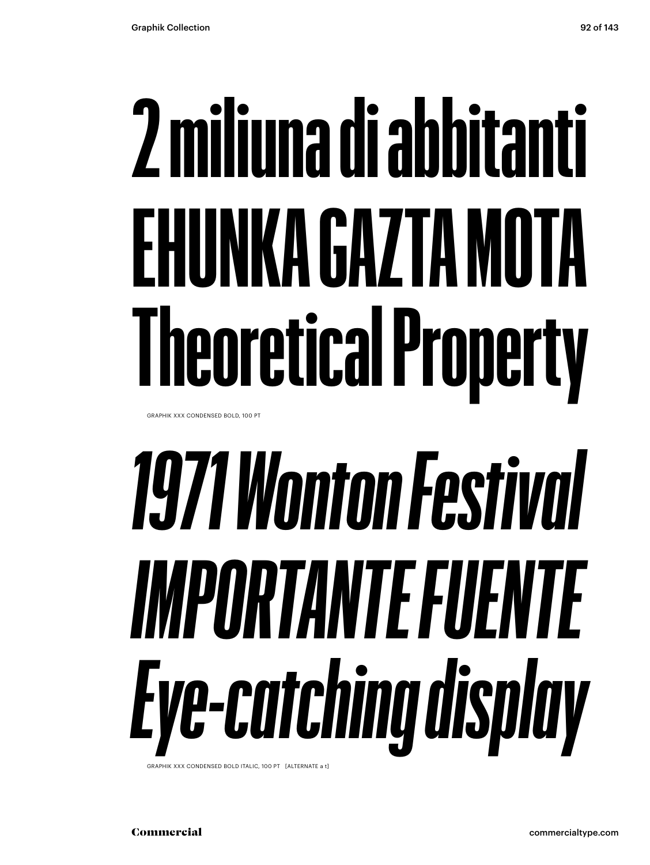### **2 miliuna di abbitanti EHUNKA GAZTA MOTA Theoretical Property**

GRAPHIK XXX CONDENSED BOLD, 100 PT

## *1971 Wonton Festival IMPORTANTE FUENTE Eye-catching display*

GRAPHIK XXX CONDENSED BOLD ITALIC, 100 PT [ALTERNATE a t]

Commercial commercialtype.com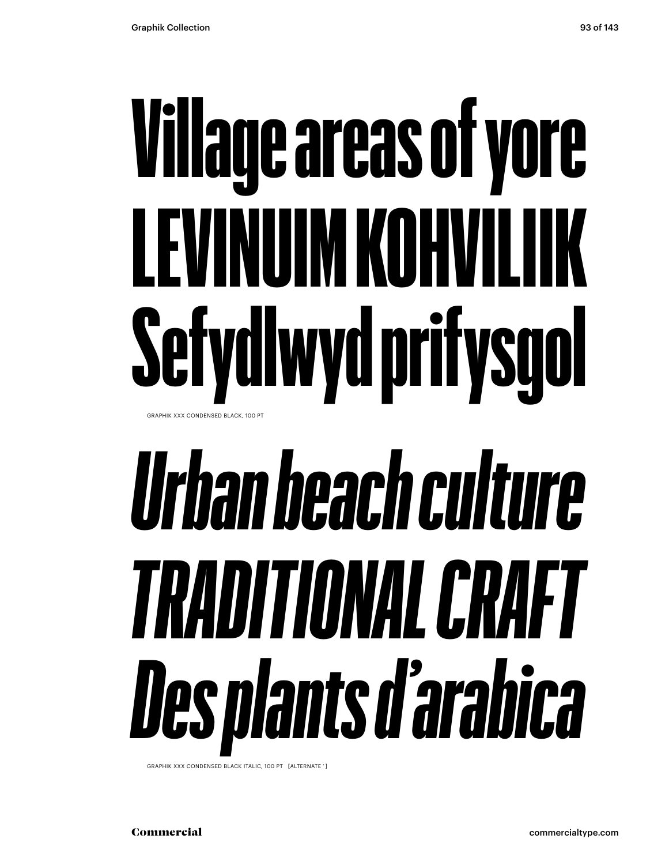### Village areas of yore LEVINUIM KOHVILIIK Sefydlwyd prifysgol GRAPHIK XXX CONDENSED BLACK, 100 PT

## *Urban beach culture TRADITIONAL CRAFT Des plants d'arabica*

GRAPHIK XXX CONDENSED BLACK ITALIC, 100 PT [ALTERNATE ' ]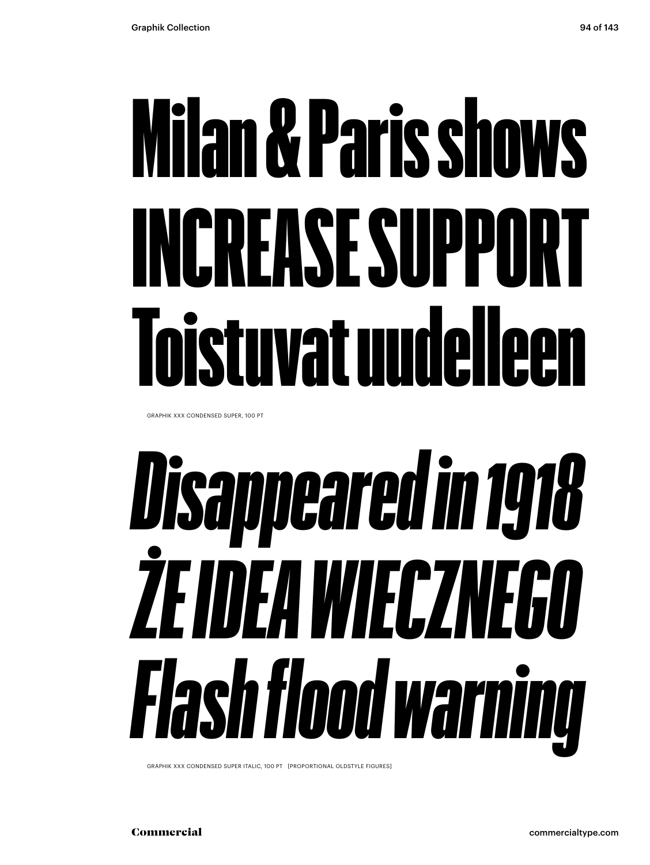### Milan & Paris shows INCREASE SUPPORT Toistuvat uudelleen

GRAPHIK XXX CONDENSED SUPER, 100 PT

## *Disappeared in 1918 ŻE IDEA WIECZNEGO Flash flood warning*

GRAPHIK XXX CONDENSED SUPER ITALIC, 100 PT [PROPORTIONAL OLDSTYLE FIGURES]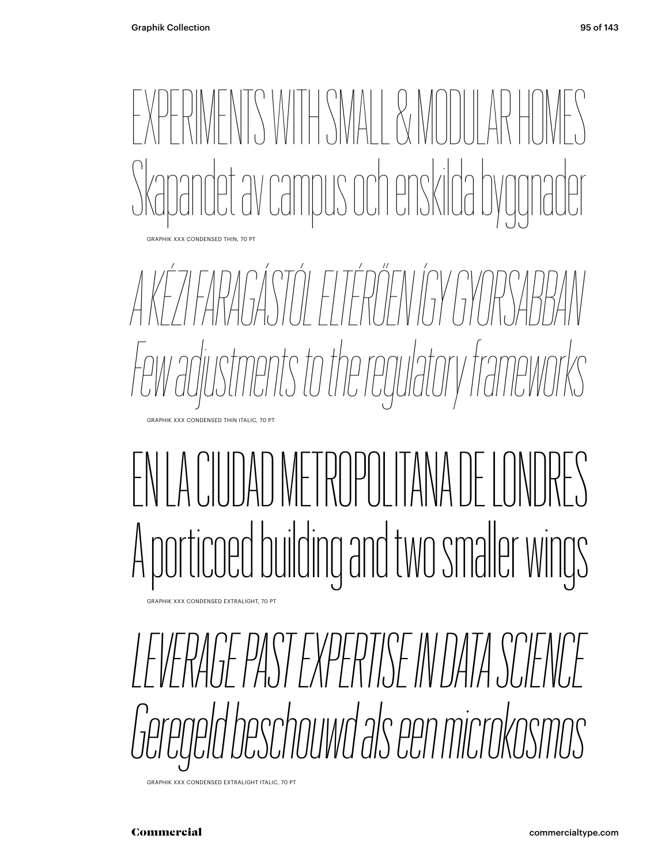

*A KÉZI FARAGÁSTÓL ELTÉRŐEN ÍGY GYORSABBAN Few adjustments to the regulatory frameworks* GRAPHIK XXX CONDENSED THIN ITALIC, 70 PT

### EN LA CIUDAD METROPOLITANA DE LONDRES A porticoed building and two smaler wings

GRAPHIK XXX CONDENSED EXTRALIGHT, 70 PT

*LEVERAGE PAST EXPERTISE IN DATA SCIENCE Geregeld beschouwd als een microkosmos*

GRAPHIK XXX CONDENSED EXTRALIGHT ITALIC, 70 PT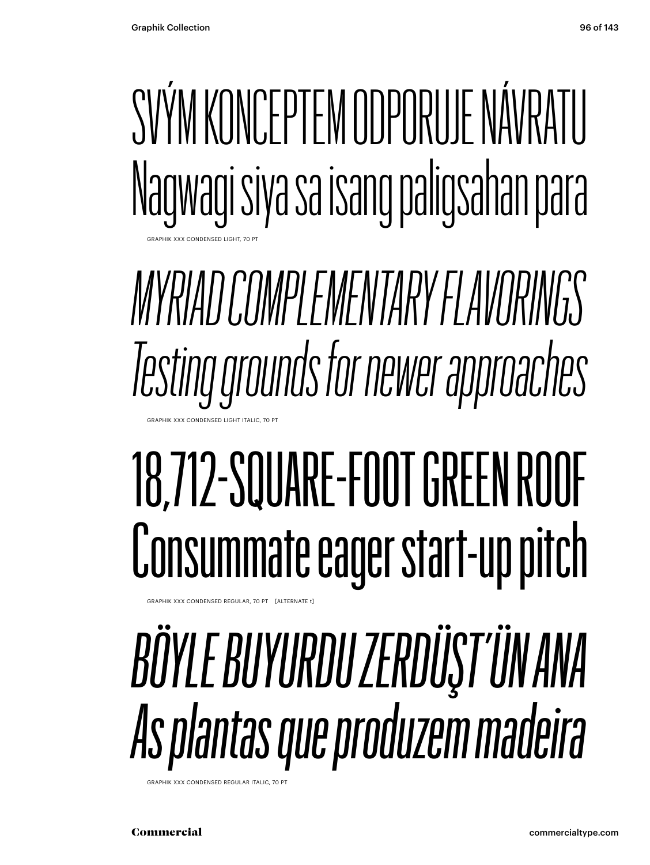SVÝM KONCEPTEM ODPORUJE NÁVRATU Nagwagi siya sa isang paligsahan para GRAPHIK XXX CONDENSED LIGHT, 70 PT

*MYRIAD COMPLEMENTARY FLAVORINGS Testing grounds for newer approaches* GRAPHIK XXX CONDENSED LIGHT ITALIC, 70

### 18,712-SQUARE-FOOT GREEN ROOF Consummate eager start-up pitch

APHIK XXX CONDENSED REGULAR, 70 PT [ALTERNATE t]

### *BÖYLE BUYURDU ZERDÜŞT'ÜN ANA As plantas que produzem madeira*

GRAPHIK XXX CONDENSED REGULAR ITALIC, 70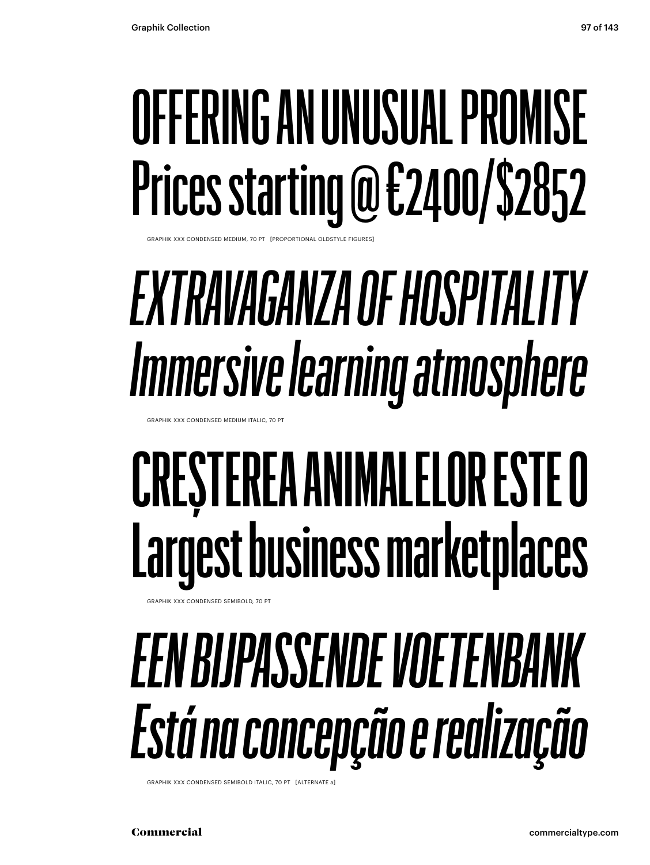### OFFERING AN UNUSUAL PROMISE Prices starting @ €2400/\$2852

GRAPHIK XXX CONDENSED MEDIUM, 70 PT [PROPORTIONAL OLDSTYLE FIGURES]

### *EXTRAVAGANZA OF HOSPITALITY Immersive learning atmosphere*

GRAPHIK XXX CONDENSED MEDIUM ITALIC, 70 PT

### **CREȘTEREA ANIMALELOR ESTE O Largest business marketplaces**

GRAPHIK XXX CONDENSED SEMIBOLD, 70 PT

### *EEN BIJPASSENDE VOETENBANK Está na concepção e realização*

GRAPHIK XXX CONDENSED SEMIBOLD ITALIC, 70 PT [ALTERNATE a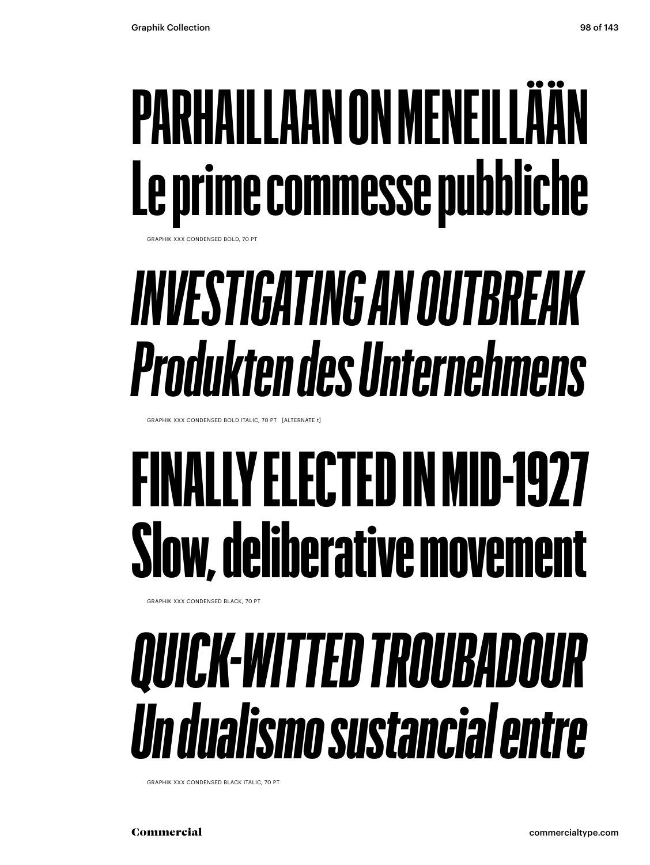### **PARHAILLAAN ON MENEILLÄÄN Le prime commesse pubbliche**

GRAPHIK XXX CONDENSED BOLD, 70 PT

### *INVESTIGATING AN OUTBREAK Produkten des Unternehmens*

GRAPHIK XXX CONDENSED BOLD ITALIC, 70 PT [ALTERNATE t]

### FINALLY ELECTED IN MID-1927 Slow, deliberative movement

GRAPHIK XXX CONDENSED BLACK, 70 PT

#### *QUICK-WITTED TROUBADOUR Un dualismo sustancial entre*

GRAPHIK XXX CONDENSED BLACK ITALIC, 70 PT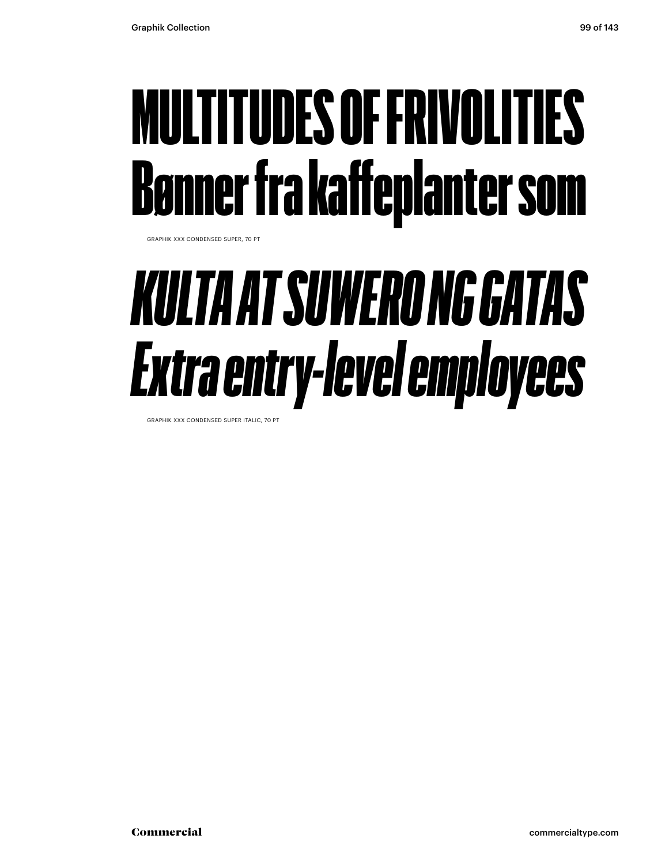### MULTITUDES OF FRIVOLITIES Bønner fra kaffeplanter som

GRAPHIK XXX CONDENSED SUPER, 70 PT

#### *KULTA AT SUWERO NG GATAS Extra entry-level employees*

GRAPHIK XXX CONDENSED SUPER ITALIC, 70 PT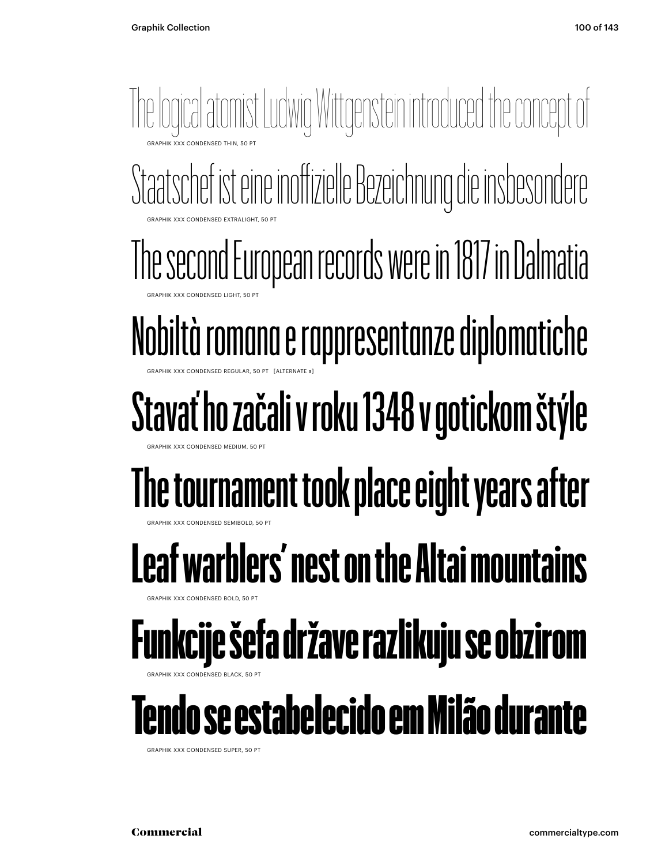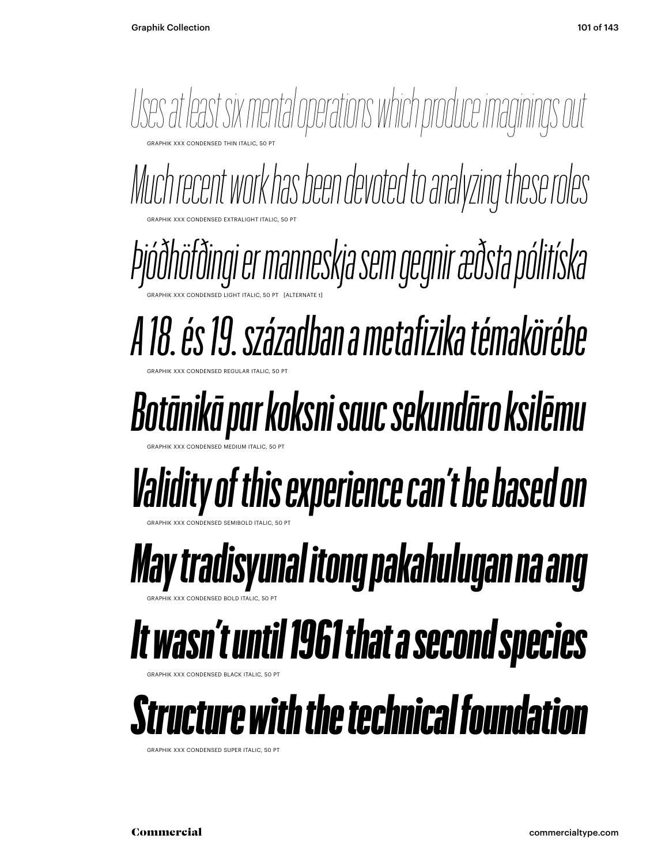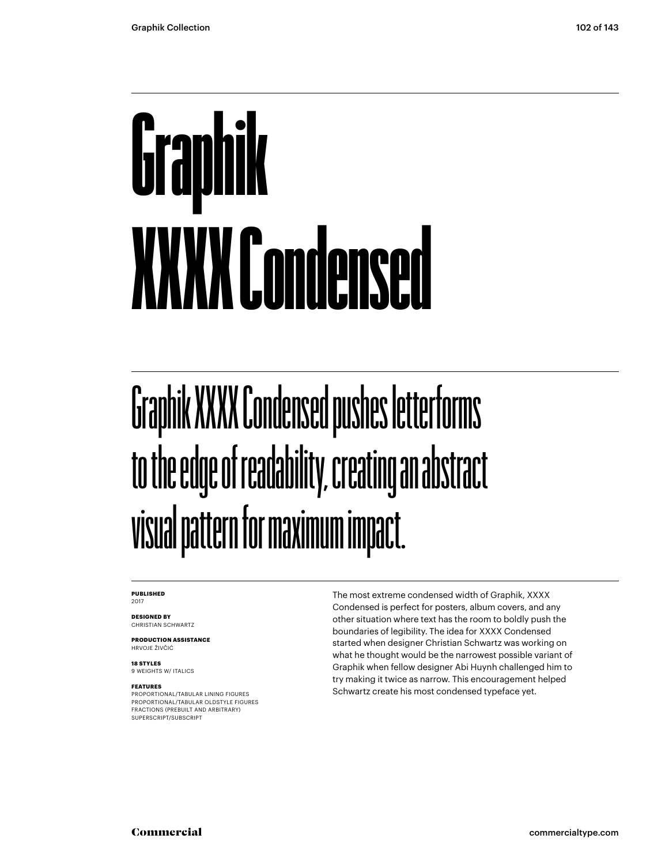## Graphik XXXX Condensed

#### Graphik XXXX Condensed pushes letterforms to the edge of readability, creating an abstract visual pattern for maximum impact.

#### **PUBLISHED** 2017

**DESIGNED BY** CHRISTIAN SCHWARTZ

**PRODUCTION ASSISTANCE** HRVOJE ŽIVČIĆ

**18 STYLES** 9 WEIGHTS W/ ITALICS

#### **FEATURES**

PROPORTIONAL/TABULAR LINING FIGURES PROPORTIONAL/TABULAR OLDSTYLE FIGURES FRACTIONS (PREBUILT AND ARBITRARY) SUPERSCRIPT/SUBSCRIPT

The most extreme condensed width of Graphik, XXXX Condensed is perfect for posters, album covers, and any other situation where text has the room to boldly push the boundaries of legibility. The idea for XXXX Condensed started when designer Christian Schwartz was working on what he thought would be the narrowest possible variant of Graphik when fellow designer Abi Huynh challenged him to try making it twice as narrow. This encouragement helped Schwartz create his most condensed typeface yet.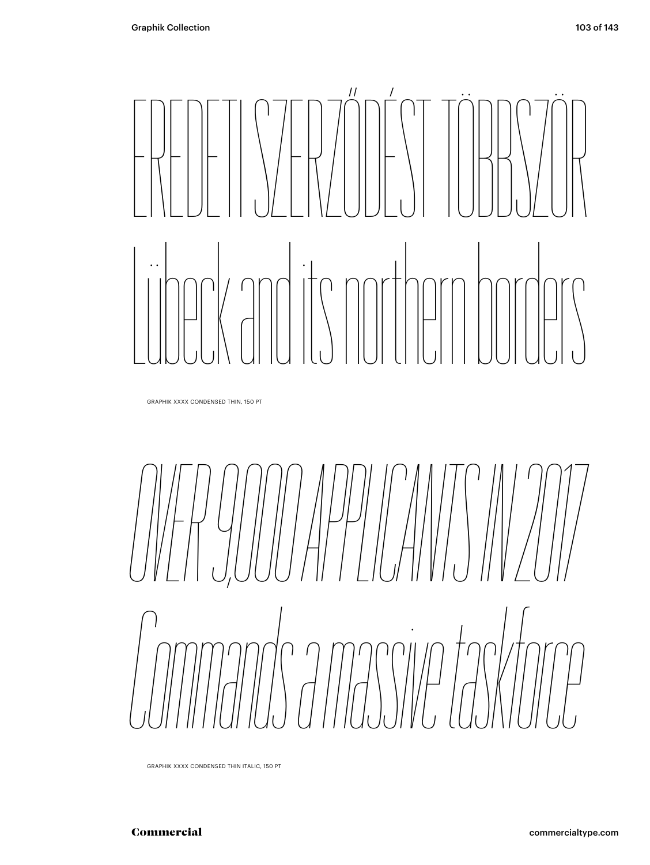# EREDETI SZERZŐDÉST TÖBBSZÖR Lübeck and its northern borders

GRAPHIK XXXX CONDENSED THIN, 150 PT

*OVER 9,000 APPLICANTS IN 2017 Commands a massive taskforce*

GRAPHIK XXXX CONDENSED THIN ITALIC, 150 PT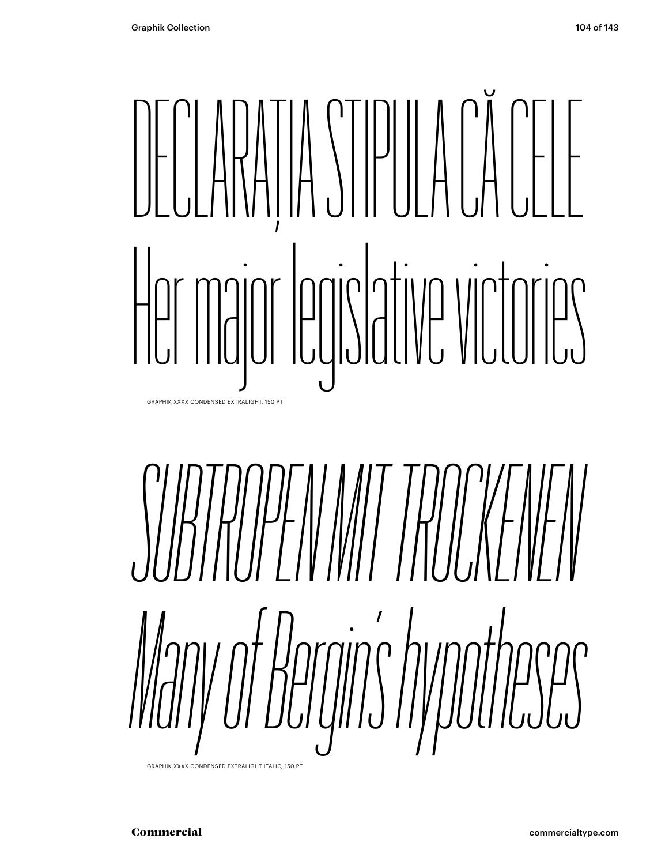## DECLARAȚIA STIPULA CĂ CELE Her major legislative victories GRAPHIK XXXX CONDENSED EXTRALIGHT, 150 PT



GRAPHIK XXXX CONDENSED EXTRALIGHT ITALIC, 150 PT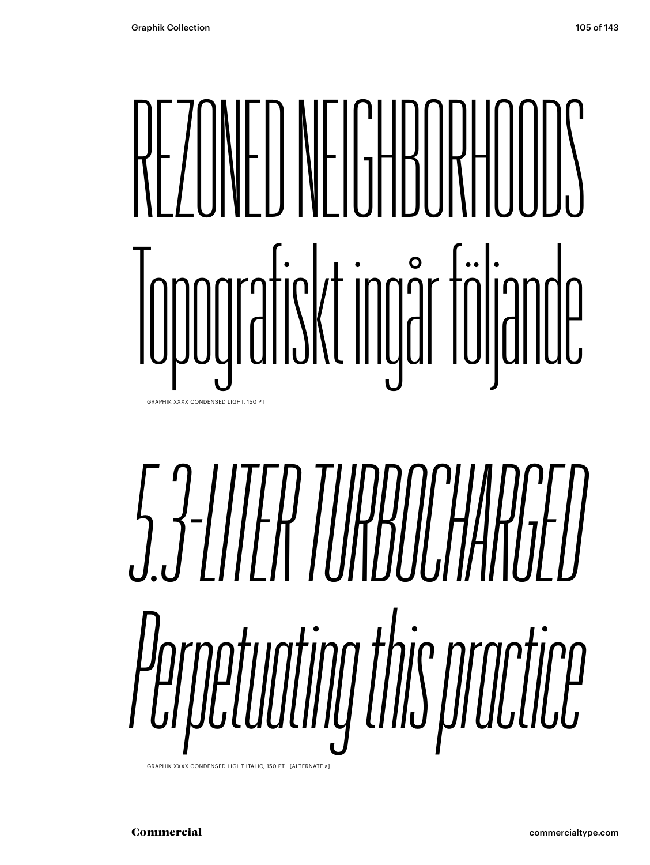### REZONED NEIGHBORHOODS Topografiskt ingår följande GRAPHIK XXXX CONDENSED LIGHT, 150 PT

# *5.3-LITER TURBOCHARGED Perpetuating this practice*

GRAPHIK XXXX CONDENSED LIGHT ITALIC, 150 PT [ALTERNATE a]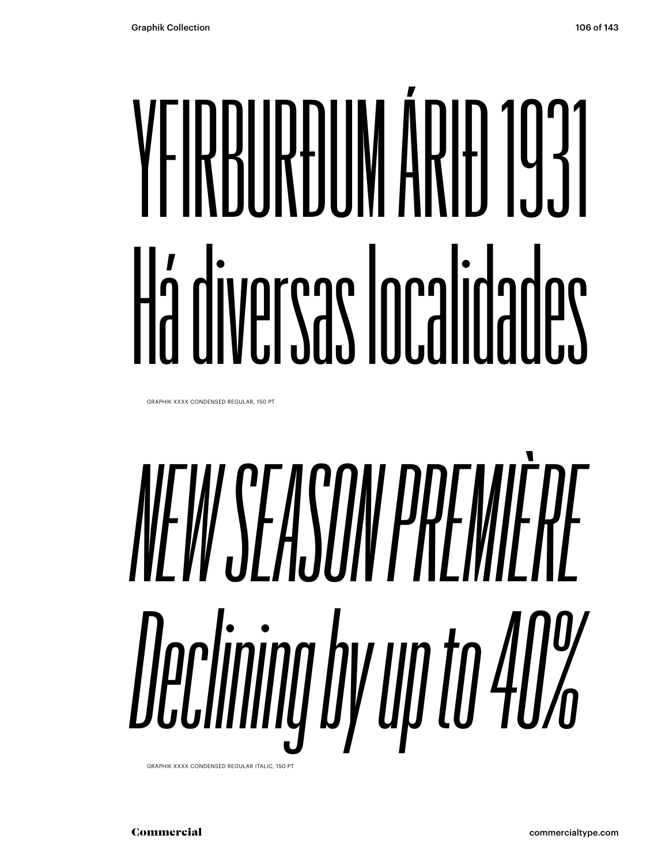# YFIRRIIRÐUM ÁRIÐ 1931 Há diversas Iocalidades

GRAPHIK XXXX CONDENSED REGULAR, 150 PT

# *NEW SEASON PREMIÈRE Declining by up to 40%*

GRAPHIK XXXX CONDENSED REGULAR ITALIC, 150 PT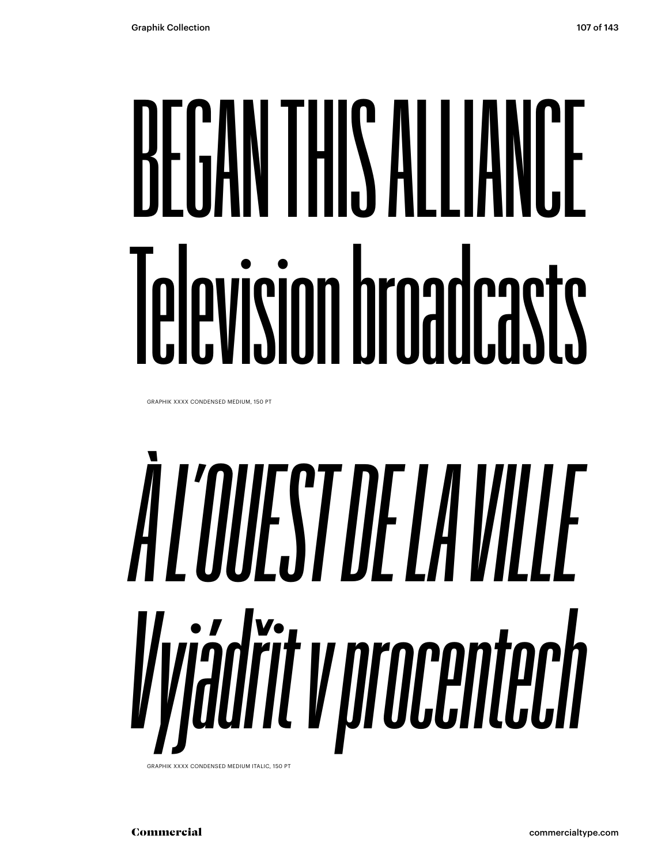# BEGAN THIS ALLIANCE Television broadcasts

GRAPHIK XXXX CONDENSED MEDIUM, 150 PT

# *À L'OUEST DE LA VILLE Vyjádřit v procentech*

GRAPHIK XXXX CONDENSED MEDIUM ITALIC, 150 PT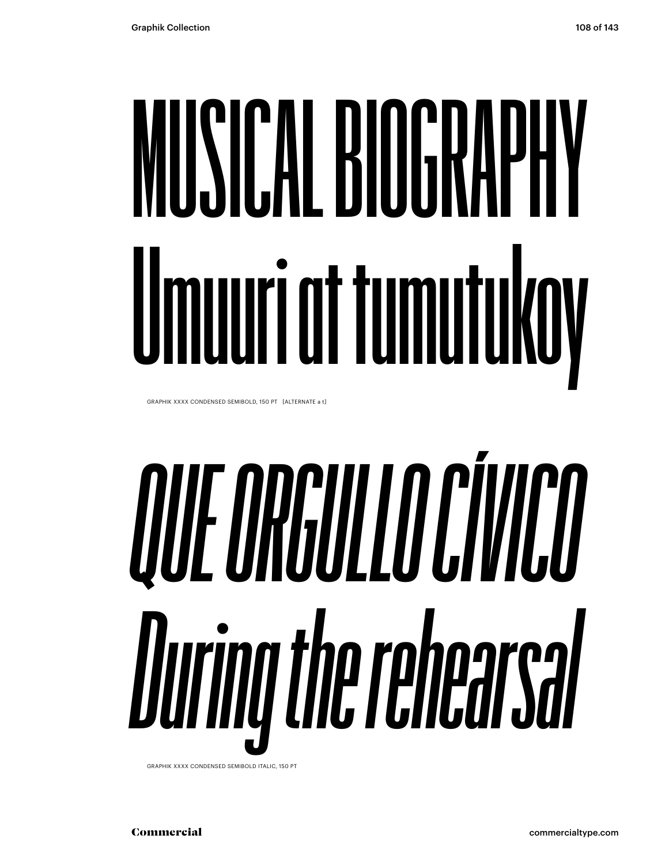# **MUSICAL BIOGRAPHY Umuuri at tumutukoy**

GRAPHIK XXXX CONDENSED SEMIBOLD, 150 PT [ALTERNATE a t]

# *QUE ORGULLO CÍVICO During the rehearsal*

GRAPHIK XXXX CONDENSED SEMIBOLD ITALIC, 150 PT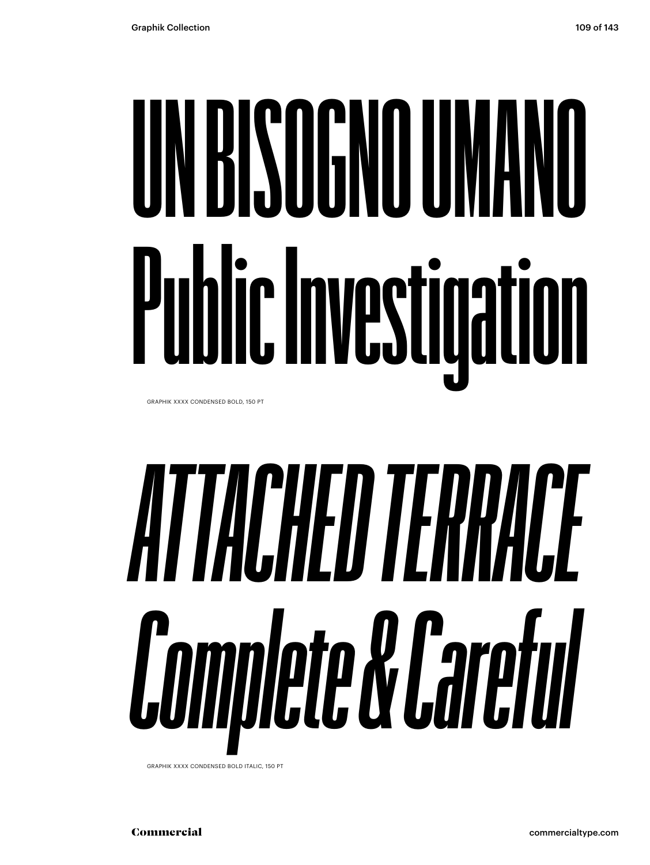## **UN BISOGNO UMANO Public Investigation** GRAPHIK XXXX CONDENSED BOLD, 150 PT

# *ATTACHED TERRACE Complete & Careful*

GRAPHIK XXXX CONDENSED BOLD ITALIC, 150 PT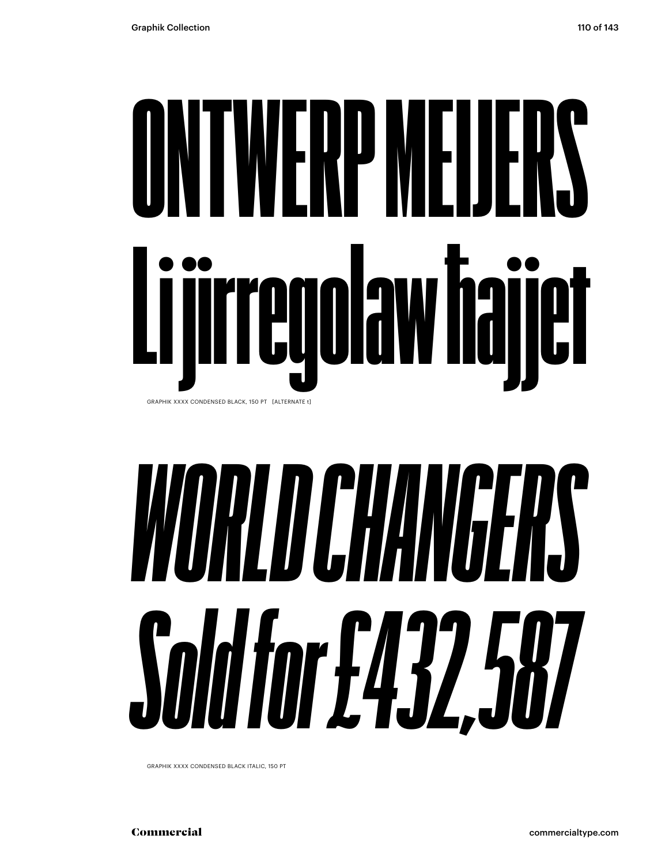## ONTWERP MEIJERS Li jirregolaw ħajjet GRAPHIK XXXX CONDENSED BLACK, 150 PT [ALTERNATE t]

# *WORLD CHANGERS Sold for £432,587*

GRAPHIK XXXX CONDENSED BLACK ITALIC, 150 PT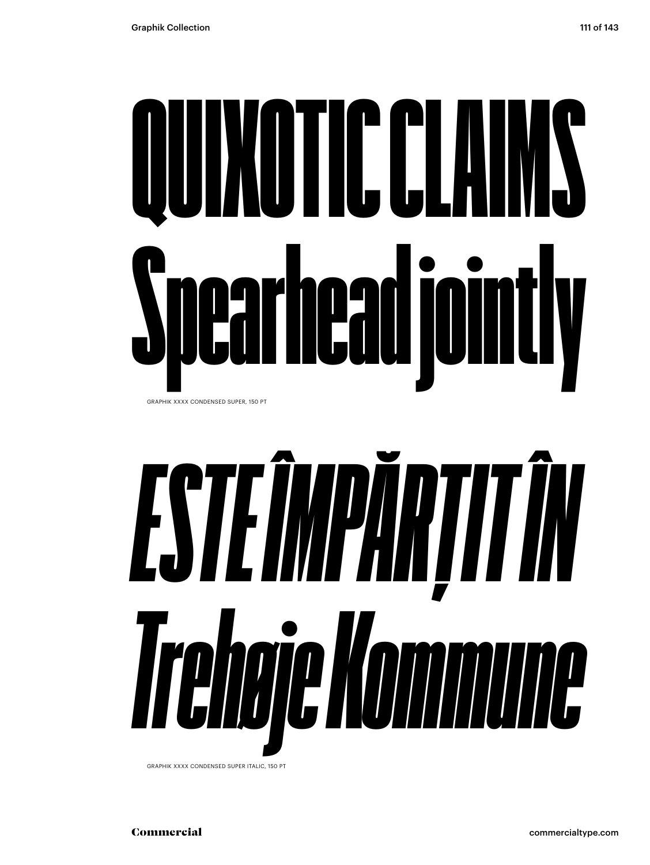# QUIXOTIC CLAIMS Spearhead jointly GRAPHIK XXXX CONDENSED SUPER, 150 PT



GRAPHIK XXXX CONDENSED SUPER ITALIC, 150 PT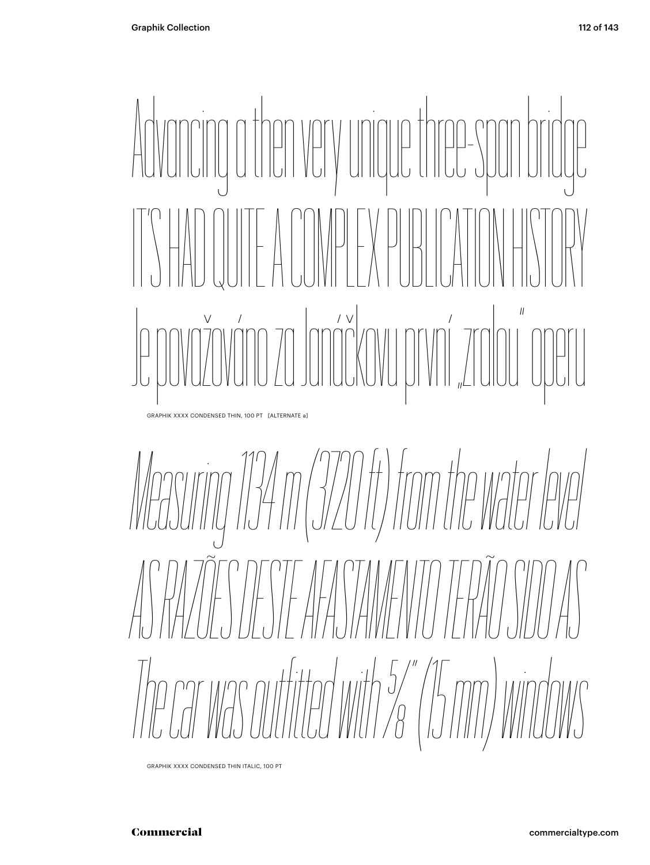

*Measuring 134 m (3720 ft) from the water level AS RAZÕES DESTE AFASTAMENTO TERÃO SIDO AS The car was outfited with 5/8" (15 mm) windows*

GRAPHIK XXXX CONDENSED THIN ITALIC, 100 PT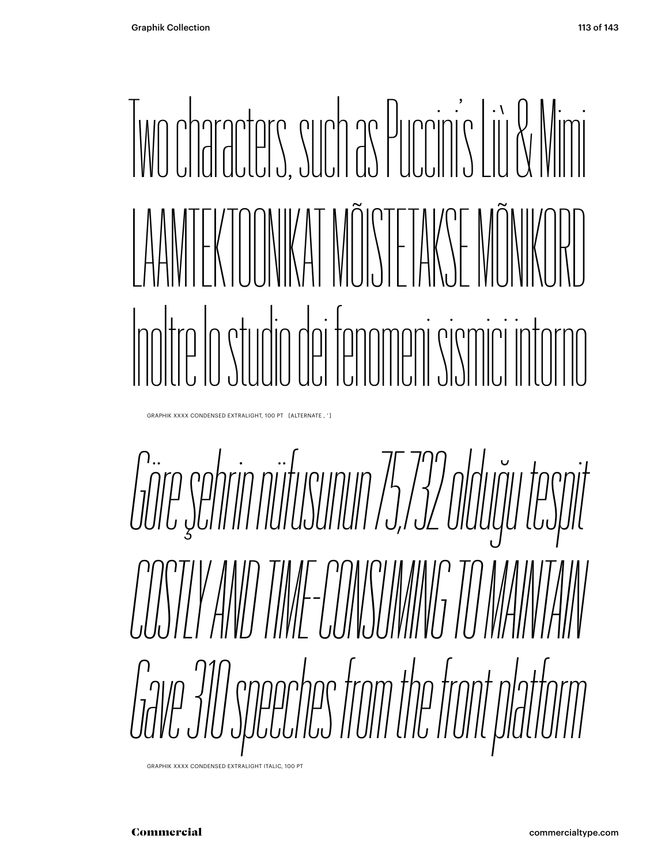## Two characters, such as Puccini's Liù & Mimi LAAMTEKTOONIKAT MÕISTETAKSE MÕNIKORD Inoltre lo studio dei fenomeni sismici intorno

GRAPHIK XXXX CONDENSED EXTRALIGHT, 100 PT [ALTERNATE , ' ]

*Göre şehrin nüfusunun 75,732 olduğu tespit COSTLY AND TIME-CONSUMING TO MAINTAIN Gave 310 speeches from the front platform*

GRAPHIK XXXX CONDENSED EXTRALIGHT ITALIC, 100 PT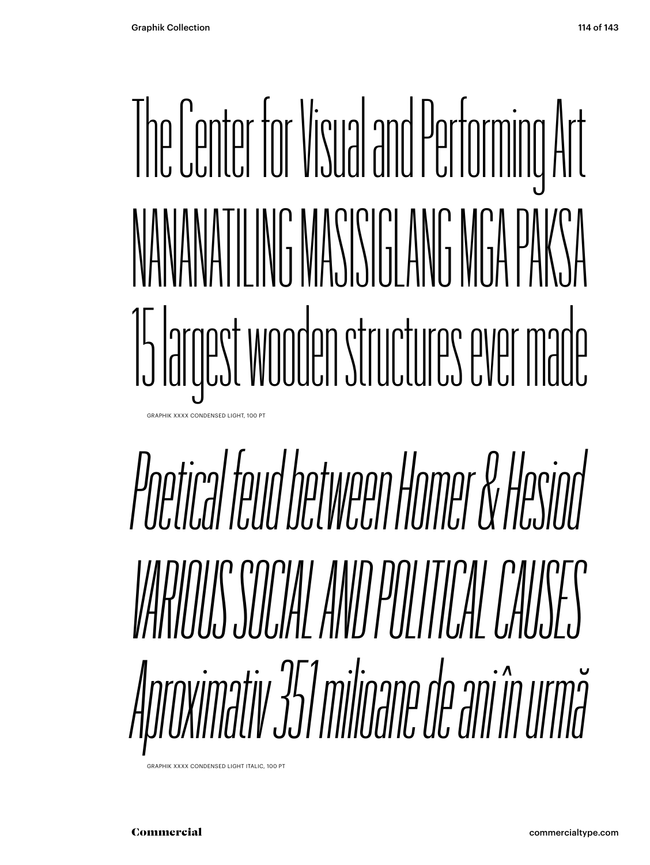## The Center for Visual and Performing Art NANANATILING MASISIGLANG MGA PAKSA 15 largest wooden structures ever made GRAPHIK XXXX CONDENSED LIGHT, 100 PT

# *Poetical feud between Homer & Hesiod VARIOUS SOCIAL AND POLITICAL CAUSES Aproximativ 351 milioane de ani în urmă*

GRAPHIK XXXX CONDENSED LIGHT ITALIC, 100 PT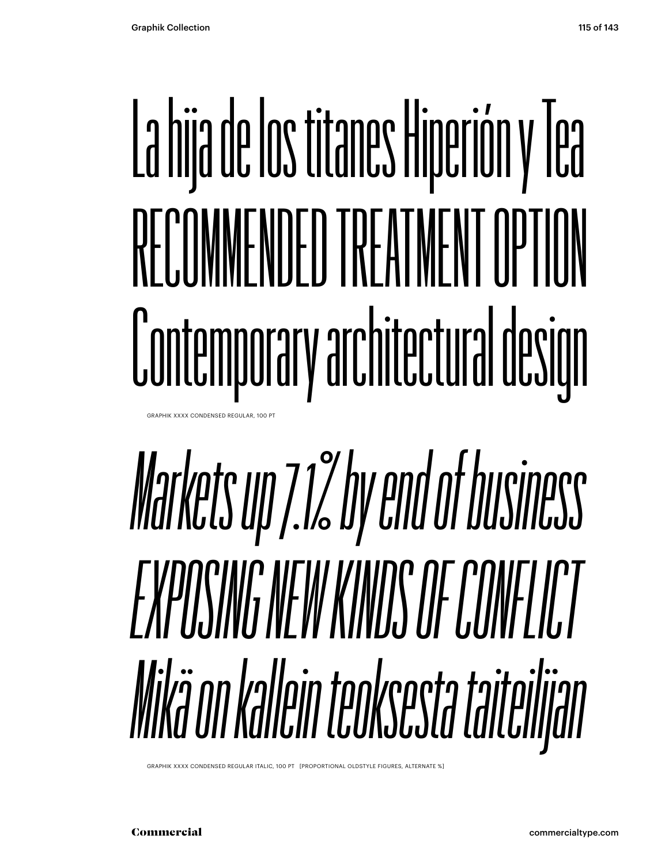# La hija de los titanes Hiperión y Tea RECOMMENDED TREATMENT OPTION Contemporary architectural design

**GRAPHIK XXXX CONDENSED REGULAR, 100 PT** 

# *Markets up 7.1% by end of business EXPOSING NEW KINDS OF CONFLICT Mikä on kallein teoksesta taiteilijan*

GRAPHIK XXXX CONDENSED REGULAR ITALIC, 100 PT [PROPORTIONAL OLDSTYLE FIGURES, ALTERNATE %]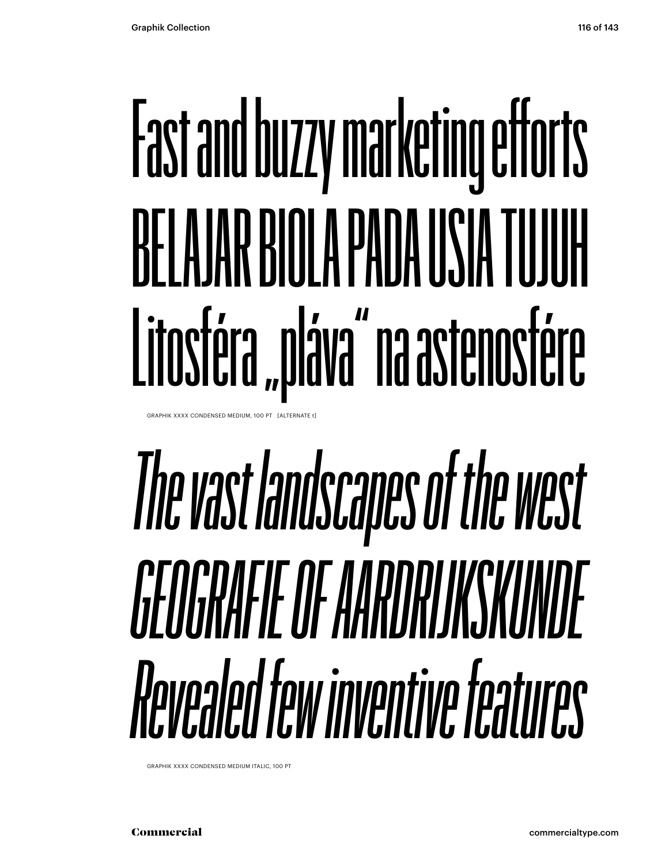# Fast and buzzy marketing efforts BELAJAR BINI A PADA USIA TUJUH Litosféra "pláva" na astenosfére

GRAPHIK XXXX CONDENSED MEDIUM, 100 PT [ALTERNATE t]

## *The vast landscapes of the west GEOGRAFIE OF AARDRIJKSKUNDE Revealed few inventive features*

GRAPHIK XXXX CONDENSED MEDIUM ITALIC, 100 PT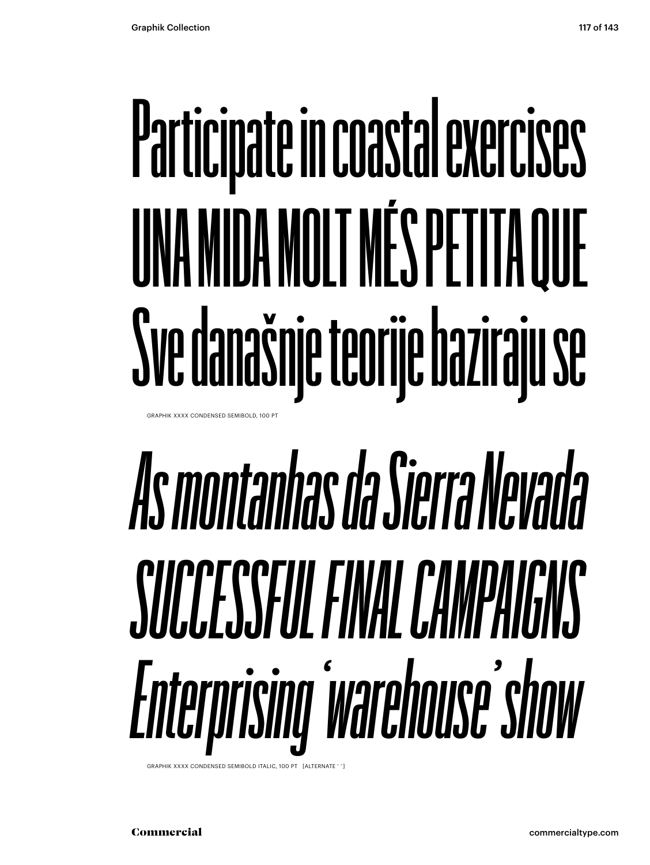# **Participate in coastal exercises UNA MIDA MOLT MÉS PETITA QUE Sve današnje teorije baziraju se**

GRAPHIK XXXX CONDENSED SEMIBOLD, 100 PT

# *As montanhas da Sierra Nevada SUCCESSFUL FINAL CAMPAIGNS Enterprising 'warehouse' show*

GRAPHIK XXXX CONDENSED SEMIBOLD ITALIC, 100 PT [ALTERNATE ' '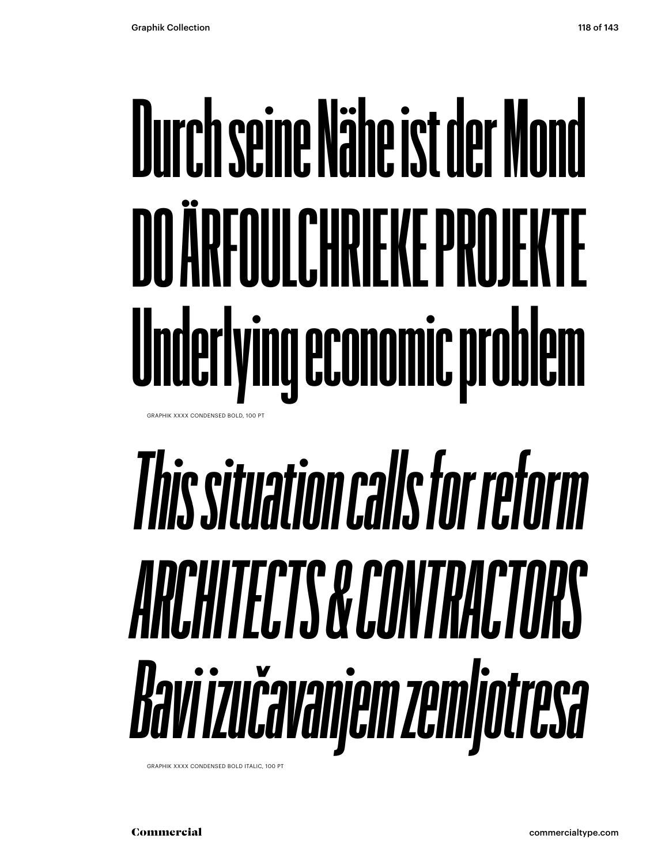## **Durch seine Nähe ist der Mond DO ARFOULCHRIFKE PROJEKTE Underlying economic problem** GRAPHIK XXXX CONDENSED BOLD, 100 PT

# *This situation calls for reform ARCHITECTS & CONTRACTORS Bavi izučavanjem zemljotresa*

GRAPHIK XXXX CONDENSED BOLD ITALIC, 100 PT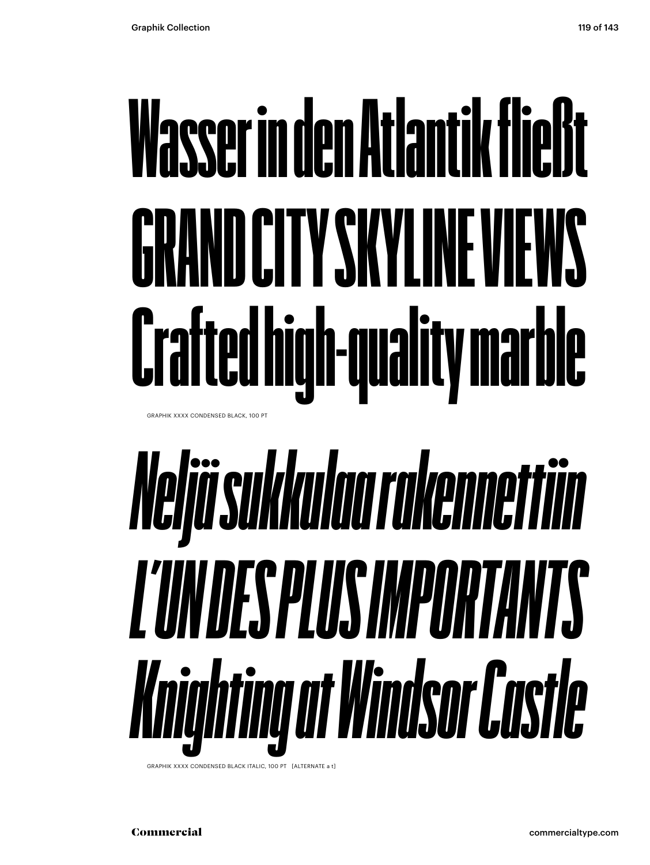# Wasser in den Atlantik fließt GRAND CITY SKYLINE VIEWS Crafted high-quality marble

GRAPHIK XXXX CONDENSED BLACK, 100 PT

# *Neljä sukkulaa rakennettiin L'UN DES PLUS IMPORTANTS Knighting at Windsor Castle*

GRAPHIK XXXX CONDENSED BLACK ITALIC, 100 PT [ALTERNATE a t]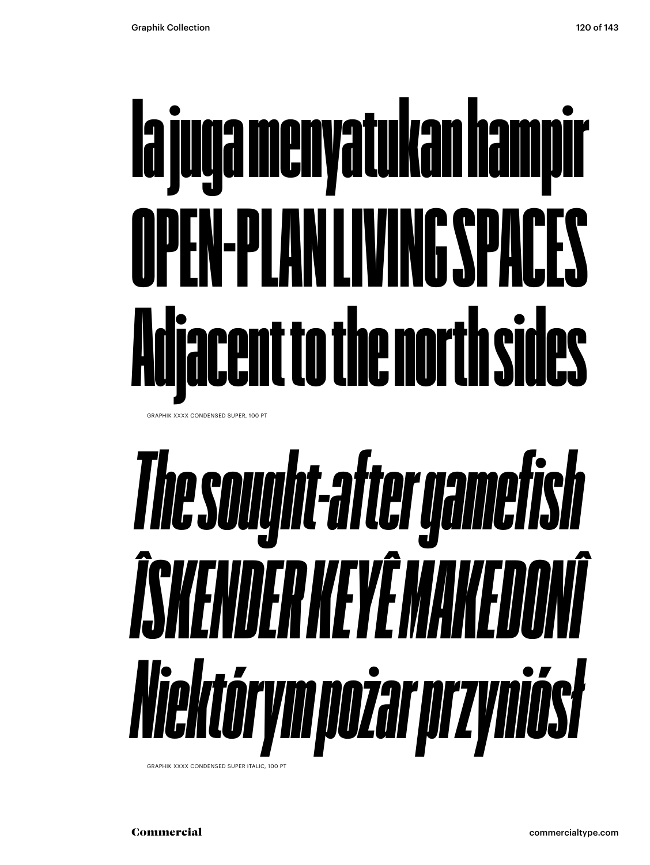# Ia juga menyatukan hampir OPEN-PLAN LIVING SPACES Adjacent to the north sides

GRAPHIK XXXX CONDENSED SUPER, 100 PT

# *The sought-after gamefish ÎSKENDER KEYÊ MAKEDONÎ Niektórym pożar przyniósł*

GRAPHIK XXXX CONDENSED SUPER ITALIC, 100 PT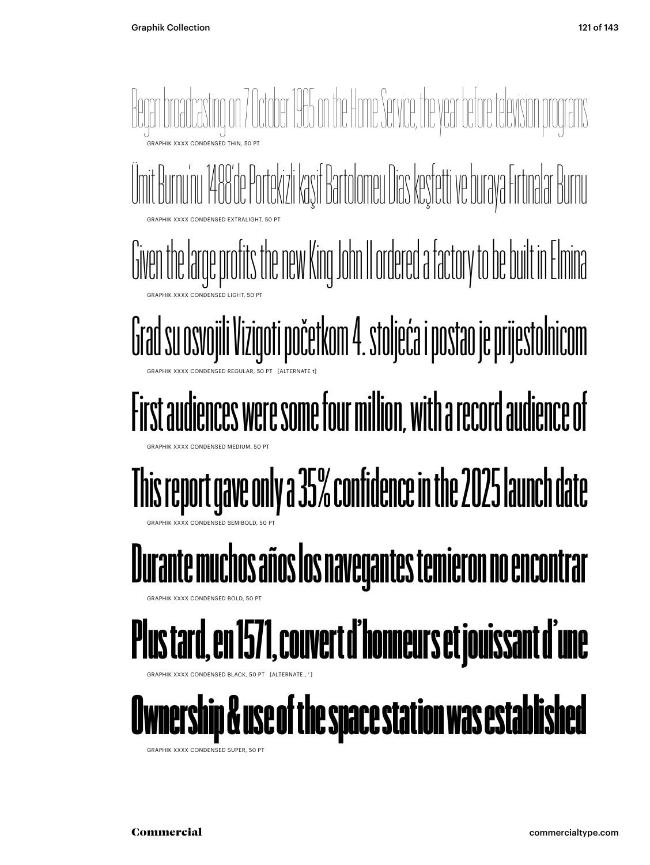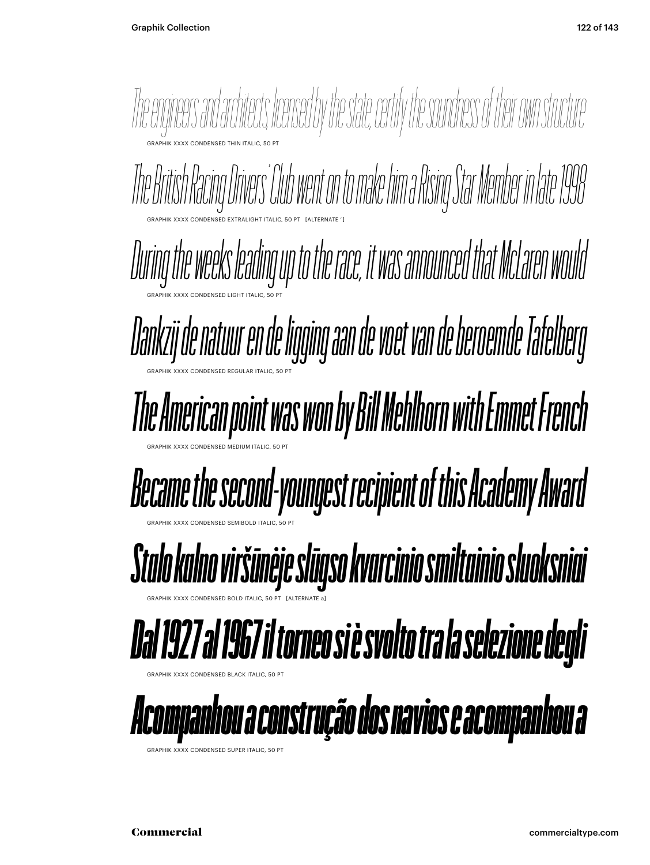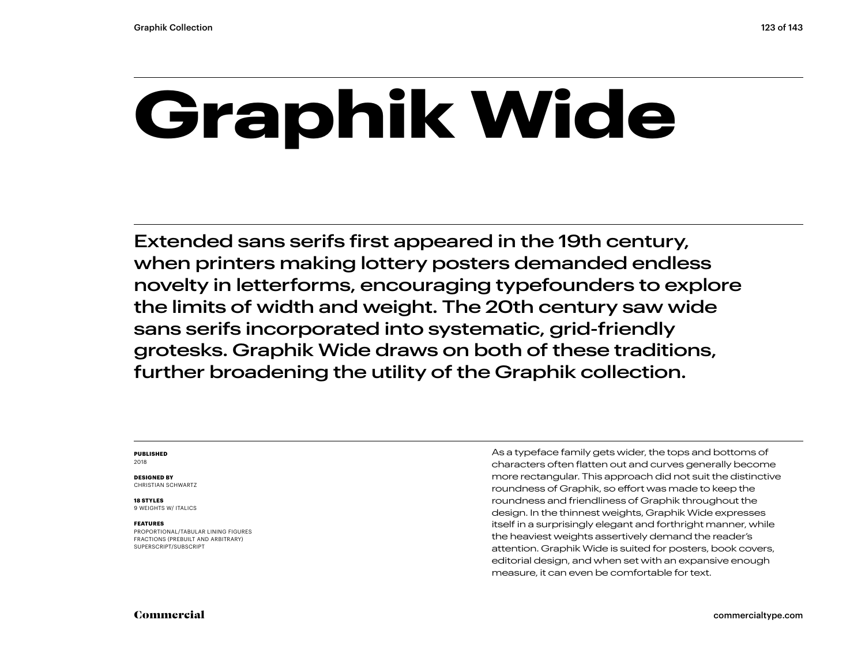## **Graphik Wide**

Extended sans serifs first appeared in the 19th century, when printers making lottery posters demanded endless novelty in letterforms, encouraging typefounders to explore the limits of width and weight. The 20th century saw wide sans serifs incorporated into systematic, grid-friendly grotesks. Graphik Wide draws on both of these traditions, further broadening the utility of the Graphik collection.

#### **PUBLISHED** 2018

**DESIGNED BY** CHRISTIAN SCHWARTZ

#### **18 STYLES**

9 WEIGHTS W/ ITALICS

#### **FEATURES**

PROPORTIONAL/TABULAR LINING FIGURES FRACTIONS (PREBUILT AND ARBITRARY) SUPERSCRIPT/SUBSCRIPT

As a typeface family gets wider, the tops and bottoms of characters often flatten out and curves generally become more rectangular. This approach did not suit the distinctive roundness of Graphik, so effort was made to keep the roundness and friendliness of Graphik throughout the design. In the thinnest weights, Graphik Wide expresses itself in a surprisingly elegant and forthright manner, while the heaviest weights assertively demand the reader's attention. Graphik Wide is suited for posters, book covers, editorial design, and when set with an expansive enough measure, it can even be comfortable for text.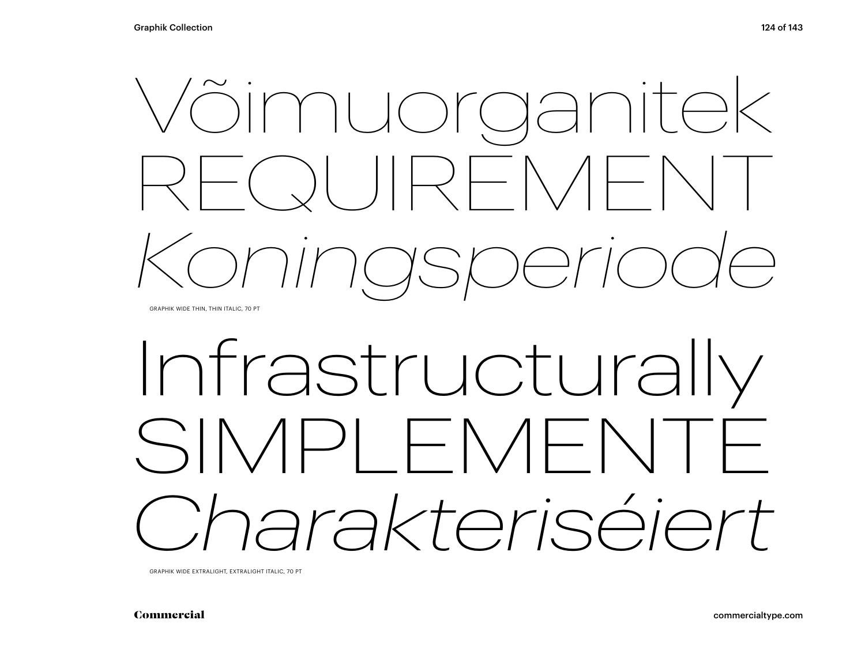

## Infrastructurally SIMPLEMENTE *Charakteriséiert*

GRAPHIK WIDE EXTRALIGHT, EXTRALIGHT ITALIC, 70 PT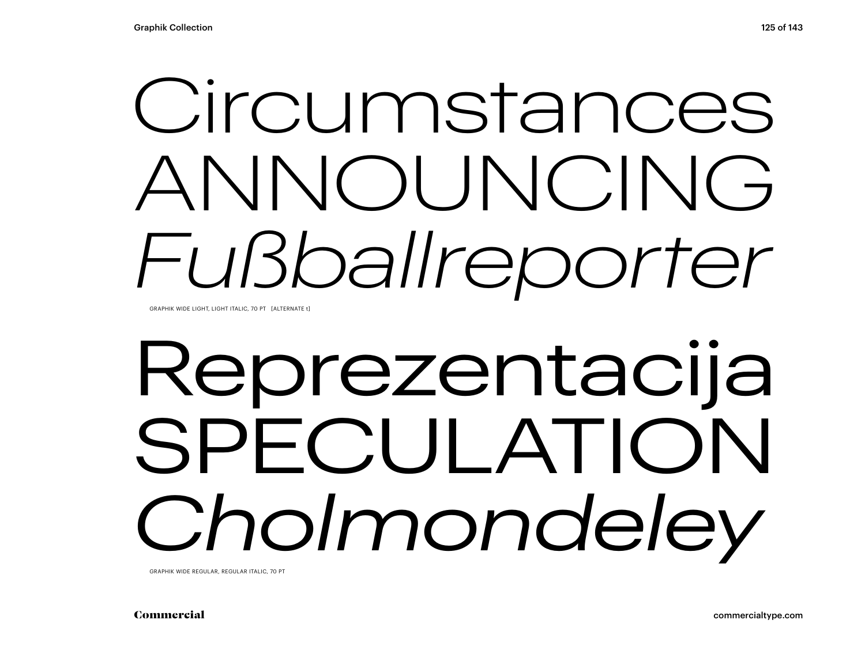## Circumstances ANNOUNCING *Fußballreporter*

GRAPHIK WIDE LIGHT, LIGHT ITALIC, 70 PT [ALTERNATE t]

## Reprezentacija SPECULATION *Cholmondeley*

GRAPHIK WIDE REGULAR, REGULAR ITALIC, 70 PT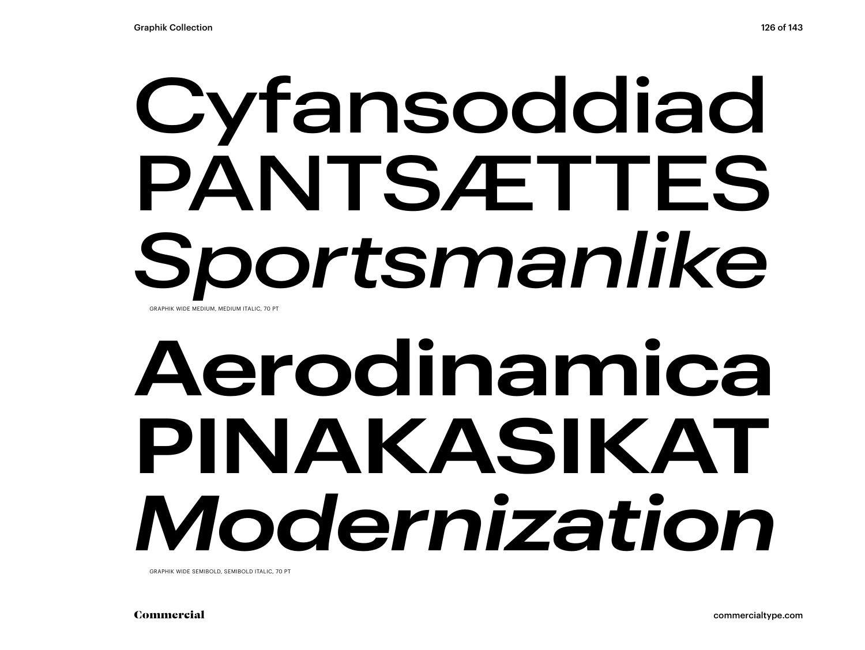## Cyfansoddiad PANTSÆTTES *Sportsmanlike* GRAPHIK WIDE MEDIUM, MEDIUM ITALIC, 70 PT

## **Aerodinamica PINAKASIKAT** *Modernization*

GRAPHIK WIDE SEMIBOLD, SEMIBOLD ITALIC, 70 PT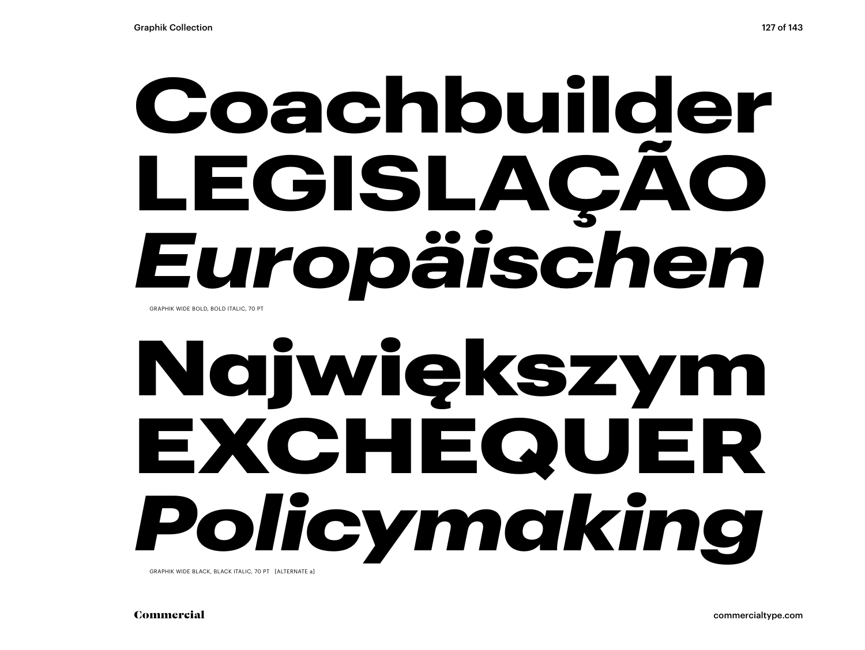## **Coachbuilder LEGISLAÇÃO** *Europäischen*  GRAPHIK WIDE BOLD, BOLD ITALIC, 70 PT

## Największym EXCHEQUER *Policymaking*

GRAPHIK WIDE BLACK, BLACK ITALIC, 70 PT [ALTERNATE a]

Commercial commercialtype.com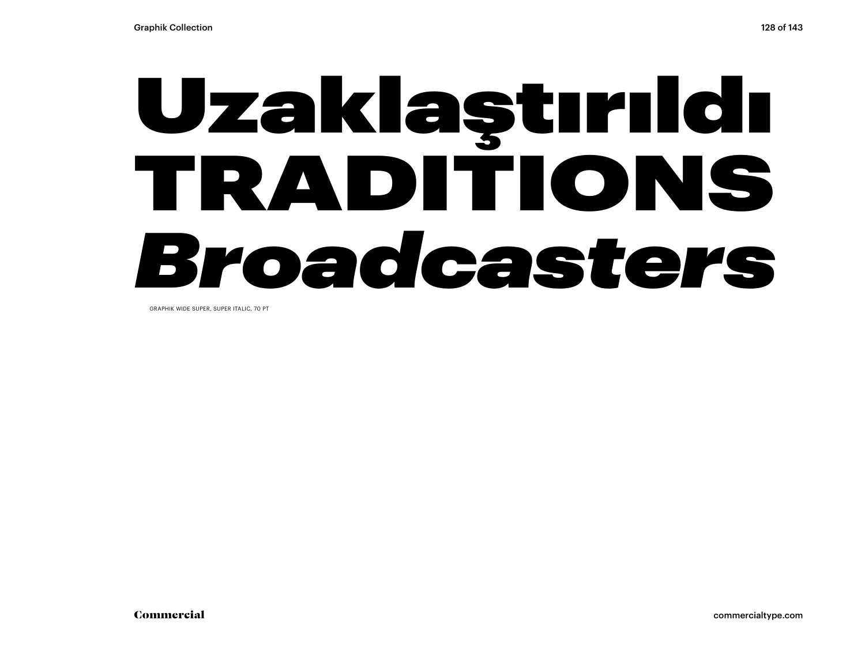## Uzaklaştırıldı TRADITIONS

## *Broadcasters*

GRAPHIK WIDE SUPER, SUPER ITALIC, 70 PT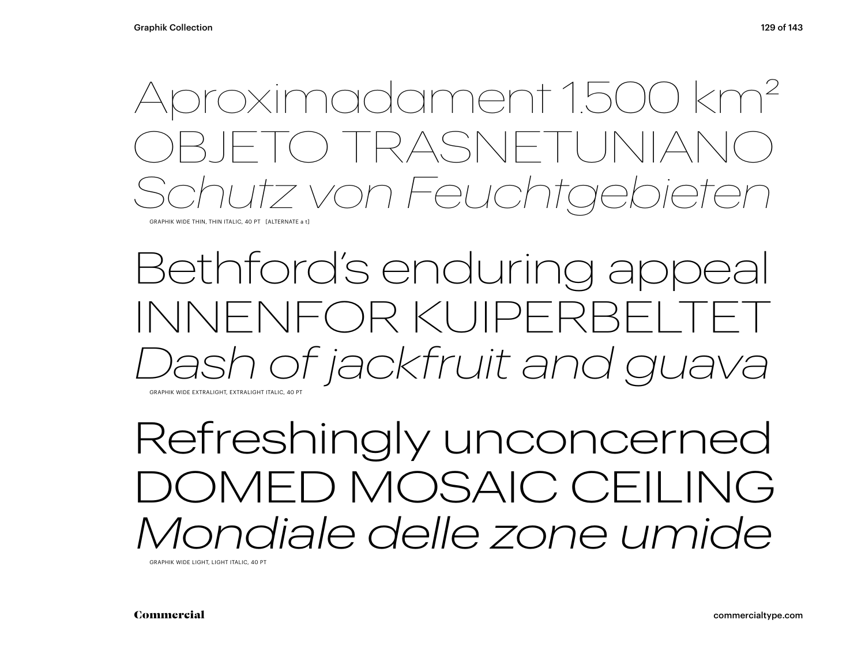### Aproximadament 1.500 km2 ) TRASNET *Schutz von Feuchtgebieten*

GRAPHIK WIDE THIN, THIN ITALIC, 40 PT [ALTERNATE a t]

### Bethford's enduring appeal INNENFOR KUIPERBEI *Dash of jackfruit and guava* GRAPHIK WIDE EXTRALIGHT, EXTRALIGHT ITALIC, 40 PT

Refreshingly unconcerned DOMED MOSAIC CEILING *Mondiale delle zone umide* 

GRAPHIK WIDE LIGHT, LIGHT ITALIC, 40 PT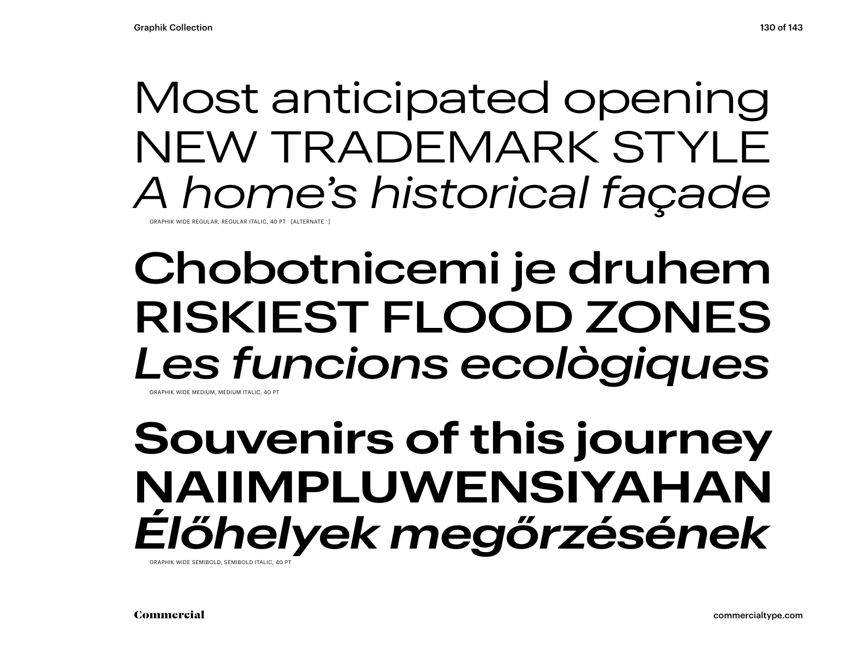### Most anticipated opening NEW TRADEMARK STYLE *A home's historical façade*

GRAPHIK WIDE REGULAR, REGULAR ITALIC, 40 PT [ALTERNATE ' ]

### Chobotnicemi je druhem RISKIEST FLOOD ZONES *Les funcions ecològiques* GRAPHIK WIDE MEDILIM, MEDILIM ITALIC, 40 PT

### **Souvenirs of this journey NAIIMPLUWENSIYAHAN** *Élőhelyek megőrzésének*

GRAPHIK WIDE SEMIBOLD, SEMIBOLD ITALIC, 40 PT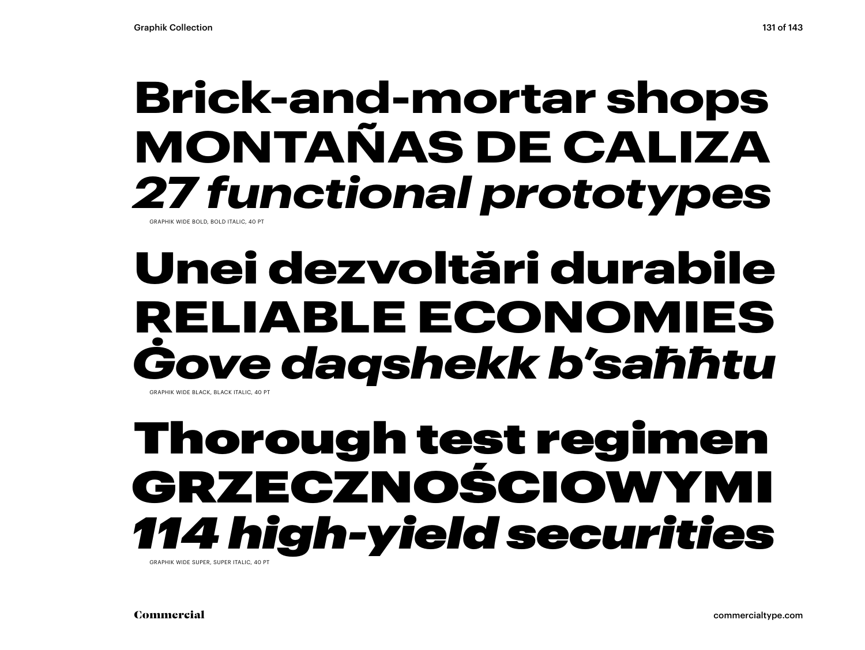### **Brick-and-mortar shops MONTAÑAS DE CALIZA** *27 functional prototypes*

GRAPHIK WIDE BOLD, BOLD ITALIC, 40

### Unei dezvoltări durabile RELIABLE ECONOMIES *Ġove daqshekk b'saħħtu* GRAPHIK WIDE BLACK, BLACK ITALIC, 40 PT

### Thorough test regimen GRZECZNOŚCIOWYMI *114 high-yield securities*

GRAPHIK WIDE SUPER SUPER ITALIC, 40 PT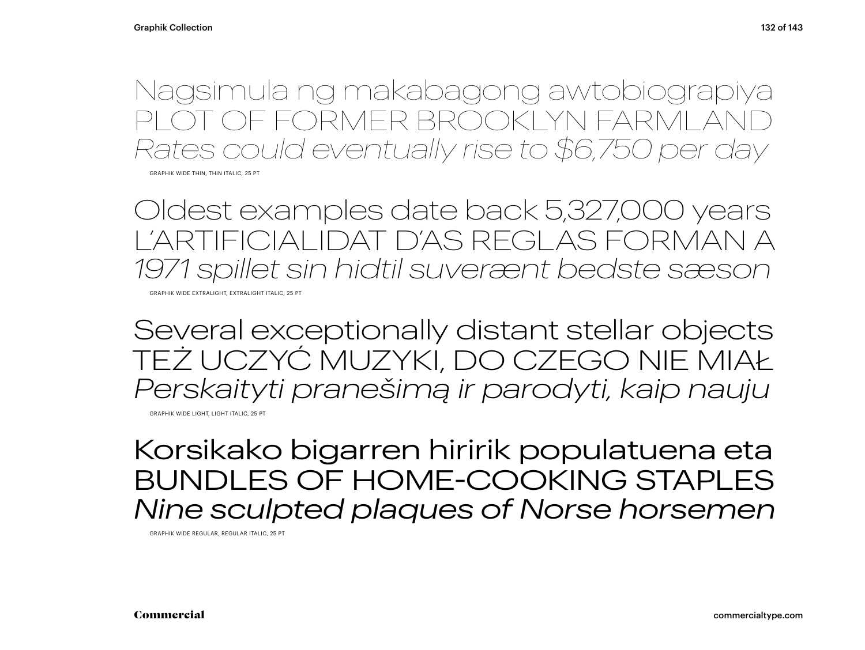Nagsimula ng makabagong awtobiograpiya OT OF FORMER BROOKLYN FARMLAI *Rates could eventually rise to \$6,750 per day*

GRAPHIK WIDE THIN, THIN ITALIC, 25 PT

Oldest examples date back 5,327,000 years L'ARTIFICIALIDAT D'AS REGLAS FORMAN A *1971 spillet sin hidtil suverænt bedste sæson*

GRAPHIK WIDE EXTRALIGHT, EXTRALIGHT ITALIC, 25 PT

Several exceptionally distant stellar objects TEŻ UCZYĆ MUZYKI, DO CZEGO NIE MIAŁ *Perskaityti pranešimą ir parodyti, kaip nauju*

GRAPHIK WIDE LIGHT, LIGHT ITALIC, 25 PT

Korsikako bigarren hiririk populatuena eta BUNDLES OF HOME-COOKING STAPLES *Nine sculpted plaques of Norse horsemen*

GRAPHIK WIDE REGULAR, REGULAR ITALIC, 25 PT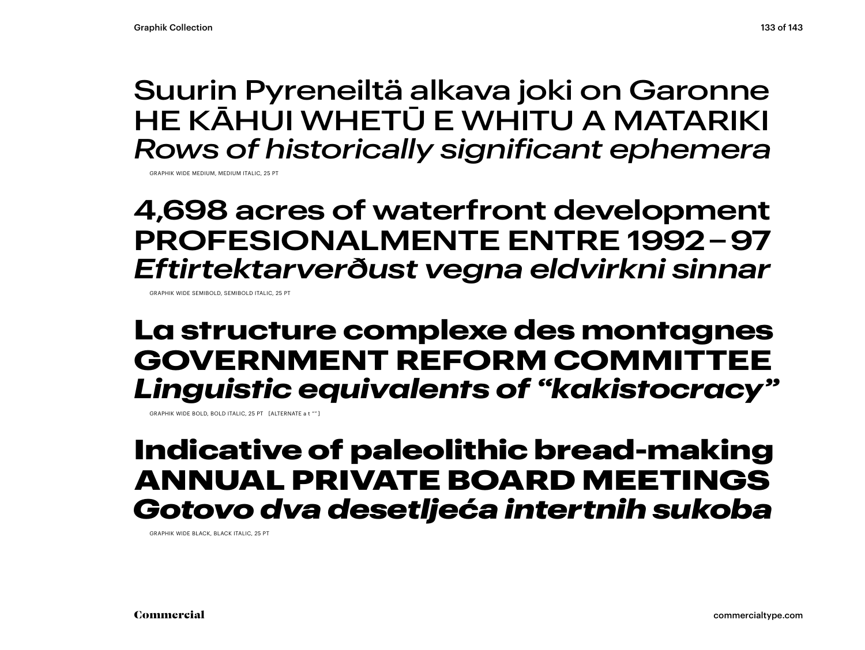### Suurin Pyreneiltä alkava joki on Garonne HE KĀHUI WHETŪ E WHITU A MATARIKI *Rows of historically significant ephemera*

GRAPHIK WIDE MEDIUM, MEDIUM ITALIC, 25 PT

### **4,698 acres of waterfront development PROFESIONALMENTE ENTRE 1992 – 97** *Eftirtektarverðust vegna eldvirkni sinnar*

GRAPHIK WIDE SEMIBOLD, SEMIBOLD ITALIC, 25 PT

### **La structure complexe des montagnes GOVERNMENT REFORM COMMITTEE** *Linguistic equivalents of "kakistocracy"*

GRAPHIK WIDE BOLD, BOLD ITALIC, 25 PT [ALTERNATE a t "" ]

### Indicative of paleolithic bread-making ANNUAL PRIVATE BOARD MEETINGS *Gotovo dva desetljeća intertnih sukoba*

GRAPHIK WIDE BLACK, BLACK ITALIC, 25 PT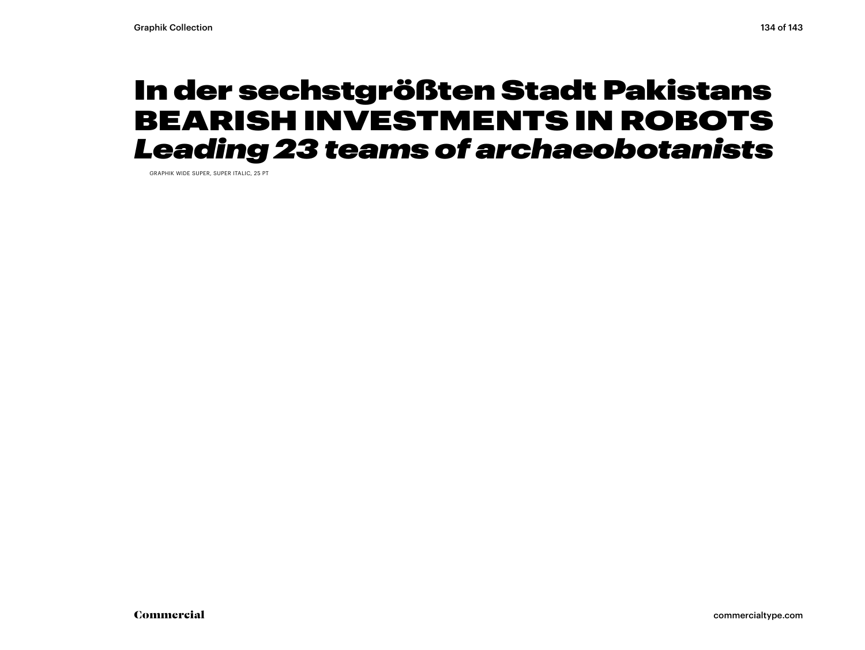### In der sechstgrößten Stadt Pakistans BEARISH INVESTMENTS IN ROBOTS *Leading 23 teams of archaeobotanists*

GRAPHIK WIDE SUPER, SUPER ITALIC, 25 PT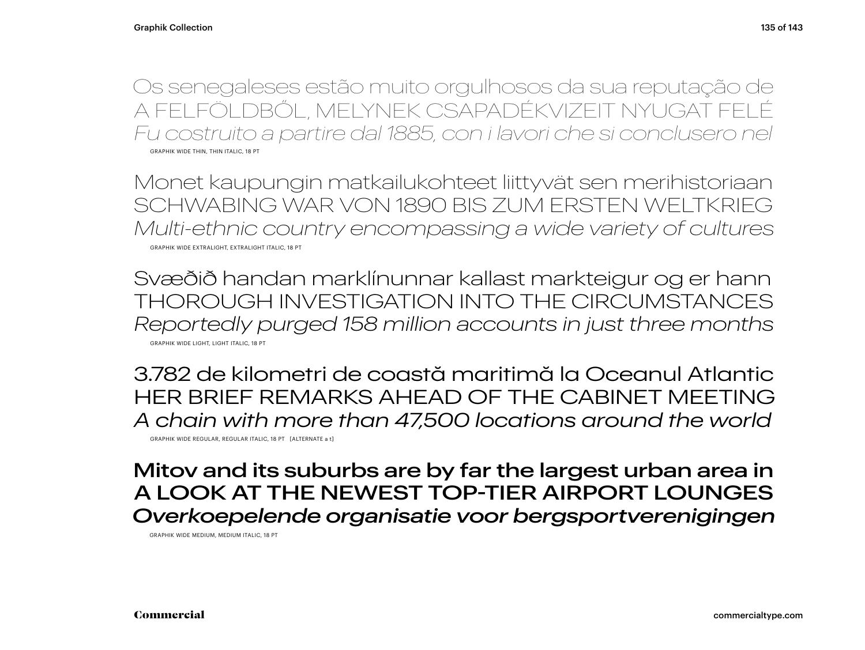Os senegaleses estão muito orgulhosos da sua reputação de A FELFÖLDBŐL, MELYNEK CSAPADÉKVIZEIT NYUGAT FELÉ *Fu costruito a partire dal 1885, con i lavori che si conclusero nel* GRAPHIK WIDE THIN, THIN ITALIC, 18 PT

Monet kaupungin matkailukohteet liittyvät sen merihistoriaan SCHWABING WAR VON 1890 BIS ZUM ERSTEN WELTKRIEG *Multi-ethnic country encompassing a wide variety of cultures* GRAPHIK WIDE EXTRALIGHT, EXTRALIGHT ITALIC, 18 PT

Svæðið handan marklínunnar kallast markteigur og er hann THOROUGH INVESTIGATION INTO THE CIRCUMSTANCES *Reportedly purged 158 million accounts in just three months* GRAPHIK WIDE LIGHT, LIGHT ITALIC, 18 PT

3.782 de kilometri de coastă maritimă la Oceanul Atlantic HER BRIEF REMARKS AHEAD OF THE CABINET MEETING *A chain with more than 47,500 locations around the world*

GRAPHIK WIDE REGULAR, REGULAR ITALIC, 18 PT [ALTERNATE a t]

Mitov and its suburbs are by far the largest urban area in A LOOK AT THE NEWEST TOP-TIER AIRPORT LOUNGES *Overkoepelende organisatie voor bergsportverenigingen*

GRAPHIK WIDE MEDIUM, MEDIUM ITALIC, 18 PT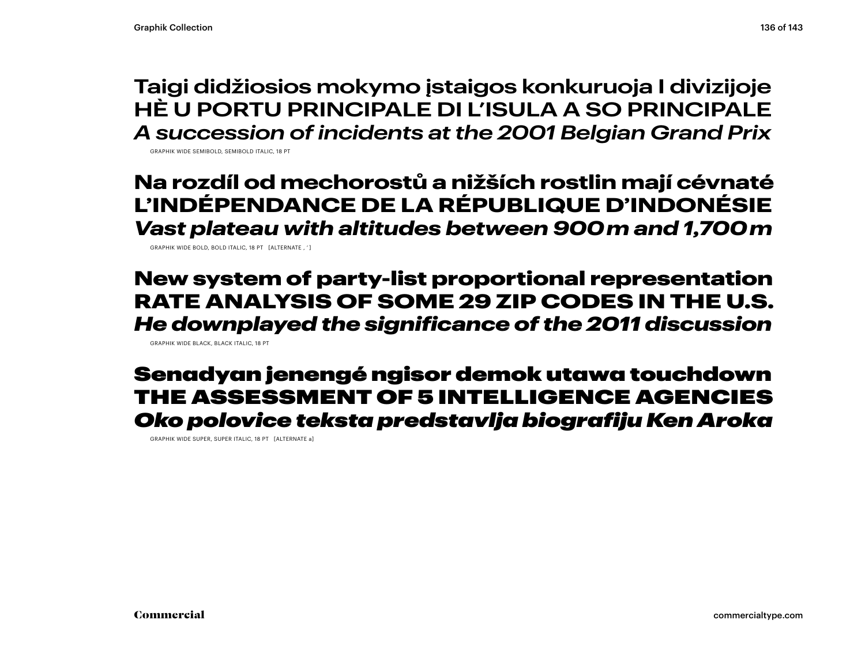**Taigi didžiosios mokymo įstaigos konkuruoja I divizijoje HÈ U PORTU PRINCIPALE DI L'ISULA A SO PRINCIPALE** *A succession of incidents at the 2001 Belgian Grand Prix*

GRAPHIK WIDE SEMIBOLD, SEMIBOLD ITALIC, 18 PT

### **Na rozdíl od mechorostů a nižších rostlin mají cévnaté L'INDÉPENDANCE DE LA RÉPUBLIQUE D'INDONÉSIE**  *Vast plateau with altitudes between 900 m and 1,700 m*

GRAPHIK WIDE BOLD, BOLD ITALIC, 18 PT [ALTERNATE , ' ]

New system of party-list proportional representation RATE ANALYSIS OF SOME 29 ZIP CODES IN THE U.S. *He downplayed the significance of the 2011 discussion*

GRAPHIK WIDE BLACK, BLACK ITALIC, 18 PT

### Senadyan jenengé ngisor demok utawa touchdown THE ASSESSMENT OF 5 INTELLIGENCE AGENCIES *Oko polovice teksta predstavlja biografiju Ken Aroka*

GRAPHIK WIDE SUPER, SUPER ITALIC, 18 PT [ALTERNATE a]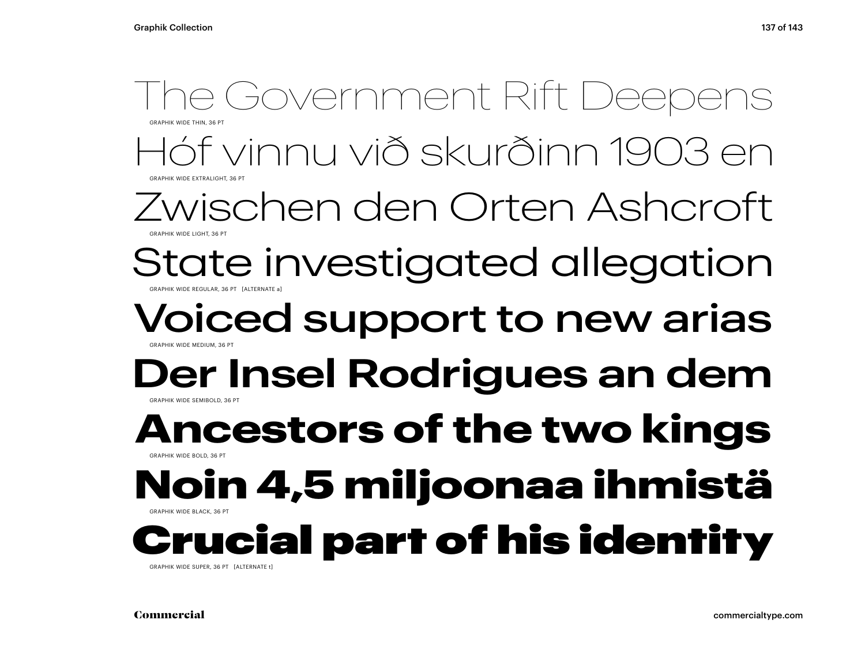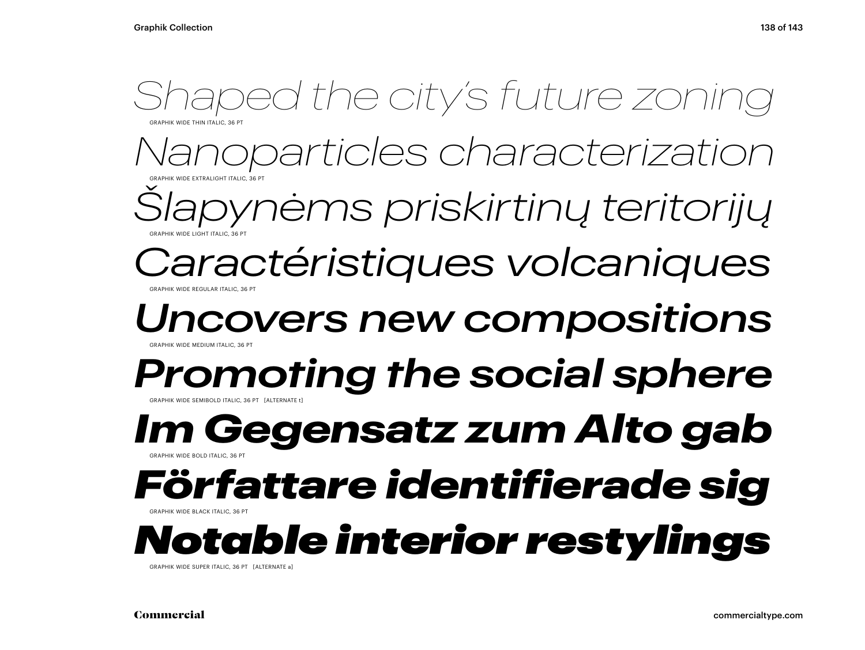

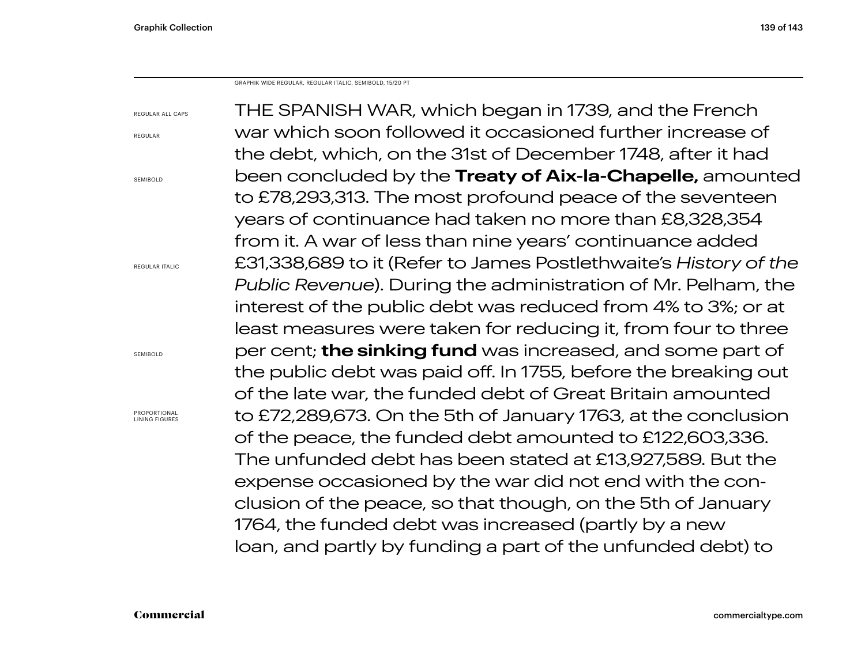GRAPHIK WIDE REGULAR, REGULAR ITALIC, SEMIBOLD, 15/20 PT

| <b>REGULAR ALL CAPS</b>               | THE SPANISH WAR, which began in 1739, and the French                  |
|---------------------------------------|-----------------------------------------------------------------------|
| REGULAR                               | war which soon followed it occasioned further increase of             |
|                                       | the debt, which, on the 31st of December 1748, after it had           |
| SEMIBOLD                              | been concluded by the Treaty of Aix-la-Chapelle, amounted             |
|                                       | to £78,293,313. The most profound peace of the seventeen              |
|                                       | years of continuance had taken no more than £8,328,354                |
|                                       | from it. A war of less than nine years' continuance added             |
| <b>REGULAR ITALIC</b>                 | £31,338,689 to it (Refer to James Postlethwaite's History of the      |
|                                       | <i>Public Revenue</i> ). During the administration of Mr. Pelham, the |
|                                       | interest of the public debt was reduced from 4% to 3%; or at          |
|                                       | least measures were taken for reducing it, from four to three         |
| SEMIBOLD                              | per cent; <b>the sinking fund</b> was increased, and some part of     |
|                                       | the public debt was paid off. In 1755, before the breaking out        |
|                                       | of the late war, the funded debt of Great Britain amounted            |
| PROPORTIONAL<br><b>LINING FIGURES</b> | to £72,289,673. On the 5th of January 1763, at the conclusion         |
|                                       | of the peace, the funded debt amounted to £122,603,336.               |
|                                       | The unfunded debt has been stated at £13,927,589. But the             |
|                                       | expense occasioned by the war did not end with the con-               |
|                                       | clusion of the peace, so that though, on the 5th of January           |
|                                       | 1764, the funded debt was increased (partly by a new                  |
|                                       | loan, and partly by funding a part of the unfunded debt) to           |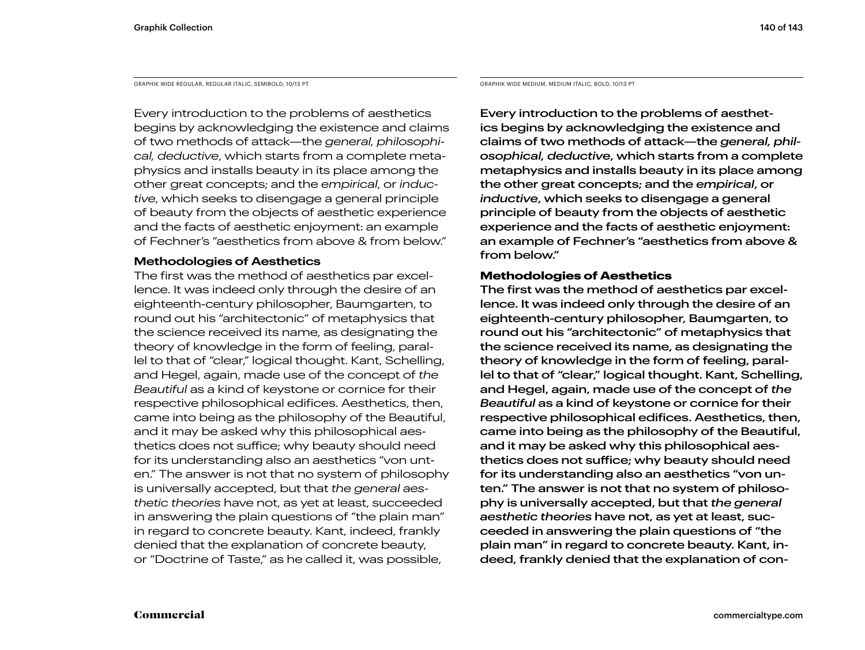GRAPHIK WIDE REGULAR, REGULAR ITALIC, SEMIBOLD, 10/13 PT GRAPHIK WIDE MEDIUM, MEDIUM ITALIC, BOLD, 10/13 PT

Every introduction to the problems of aesthetics begins by acknowledging the existence and claims of two methods of attack—the *general, philosophical, deductive*, which starts from a complete metaphysics and installs beauty in its place among the other great concepts; and the *empirical*, or *inductive*, which seeks to disengage a general principle of beauty from the objects of aesthetic experience and the facts of aesthetic enjoyment: an example of Fechner's "aesthetics from above & from below."

### **Methodologies of Aesthetics**

The first was the method of aesthetics par excellence. It was indeed only through the desire of an eighteenth-century philosopher, Baumgarten, to round out his "architectonic" of metaphysics that the science received its name, as designating the theory of knowledge in the form of feeling, parallel to that of "clear," logical thought. Kant, Schelling, and Hegel, again, made use of the concept of *the Beautiful* as a kind of keystone or cornice for their respective philosophical edifices. Aesthetics, then, came into being as the philosophy of the Beautiful, and it may be asked why this philosophical aesthetics does not suffice; why beauty should need for its understanding also an aesthetics "von unten." The answer is not that no system of philosophy is universally accepted, but that *the general aesthetic theories* have not, as yet at least, succeeded in answering the plain questions of "the plain man" in regard to concrete beauty. Kant, indeed, frankly denied that the explanation of concrete beauty, or "Doctrine of Taste," as he called it, was possible,

Every introduction to the problems of aesthetics begins by acknowledging the existence and claims of two methods of attack—the *general, philosophical, deductive*, which starts from a complete metaphysics and installs beauty in its place among the other great concepts; and the *empirical*, or *inductive*, which seeks to disengage a general principle of beauty from the objects of aesthetic experience and the facts of aesthetic enjoyment: an example of Fechner's "aesthetics from above & from below."

### **Methodologies of Aesthetics**

The first was the method of aesthetics par excellence. It was indeed only through the desire of an eighteenth-century philosopher, Baumgarten, to round out his "architectonic" of metaphysics that the science received its name, as designating the theory of knowledge in the form of feeling, parallel to that of "clear," logical thought. Kant, Schelling, and Hegel, again, made use of the concept of *the Beautiful* as a kind of keystone or cornice for their respective philosophical edifices. Aesthetics, then, came into being as the philosophy of the Beautiful, and it may be asked why this philosophical aesthetics does not suffice; why beauty should need for its understanding also an aesthetics "von unten." The answer is not that no system of philosophy is universally accepted, but that *the general aesthetic theories* have not, as yet at least, succeeded in answering the plain questions of "the plain man" in regard to concrete beauty. Kant, indeed, frankly denied that the explanation of con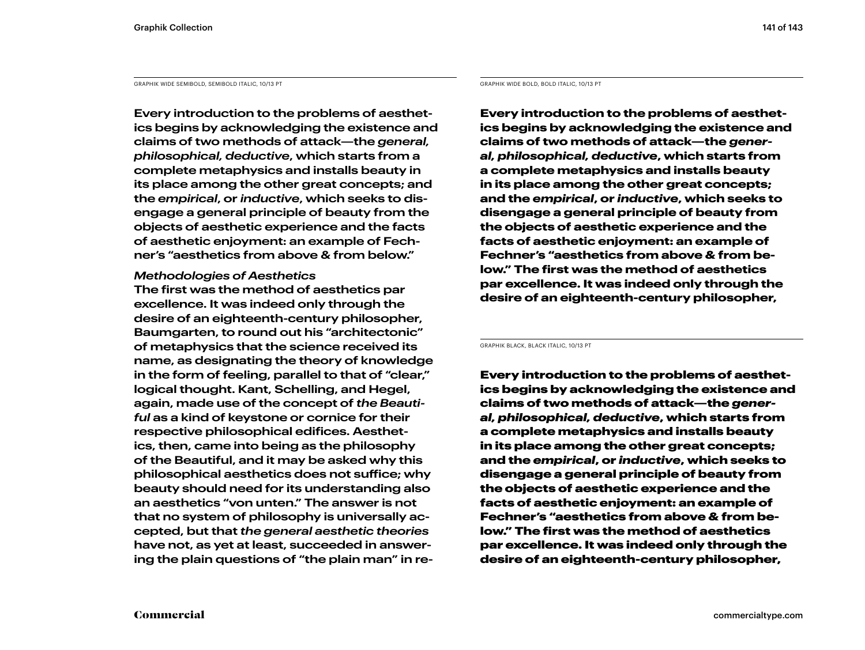GRAPHIK WIDE SEMIBOLD, SEMIBOLD ITALIC, 10/13 PT GRAPHIK WIDE BOLD, BOLD ITALIC, 10/13 PT

**Every introduction to the problems of aesthetics begins by acknowledging the existence and claims of two methods of attack—the** *general, philosophical, deductive***, which starts from a complete metaphysics and installs beauty in its place among the other great concepts; and the** *empirical***, or** *inductive***, which seeks to disengage a general principle of beauty from the objects of aesthetic experience and the facts of aesthetic enjoyment: an example of Fechner's "aesthetics from above & from below."** 

### *Methodologies of Aesthetics*

**The first was the method of aesthetics par excellence. It was indeed only through the desire of an eighteenth-century philosopher, Baumgarten, to round out his "architectonic" of metaphysics that the science received its name, as designating the theory of knowledge in the form of feeling, parallel to that of "clear," logical thought. Kant, Schelling, and Hegel, again, made use of the concept of** *the Beautiful* **as a kind of keystone or cornice for their respective philosophical edifices. Aesthetics, then, came into being as the philosophy of the Beautiful, and it may be asked why this philosophical aesthetics does not suffice; why beauty should need for its understanding also an aesthetics "von unten." The answer is not that no system of philosophy is universally accepted, but that** *the general aesthetic theories*  **have not, as yet at least, succeeded in answering the plain questions of "the plain man" in re-**

**Every introduction to the problems of aesthetics begins by acknowledging the existence and claims of two methods of attack—the** *general, philosophical, deductive***, which starts from a complete metaphysics and installs beauty in its place among the other great concepts; and the** *empirical***, or** *inductive***, which seeks to disengage a general principle of beauty from the objects of aesthetic experience and the facts of aesthetic enjoyment: an example of Fechner's "aesthetics from above & from below." The first was the method of aesthetics par excellence. It was indeed only through the desire of an eighteenth-century philosopher,** 

GRAPHIK BLACK, BLACK ITALIC, 10/13 PT

Every introduction to the problems of aesthetics begins by acknowledging the existence and claims of two methods of attack—the *general, philosophical, deductive*, which starts from a complete metaphysics and installs beauty in its place among the other great concepts; and the *empirical*, or *inductive*, which seeks to disengage a general principle of beauty from the objects of aesthetic experience and the facts of aesthetic enjoyment: an example of Fechner's "aesthetics from above & from below." The first was the method of aesthetics par excellence. It was indeed only through the desire of an eighteenth-century philosopher,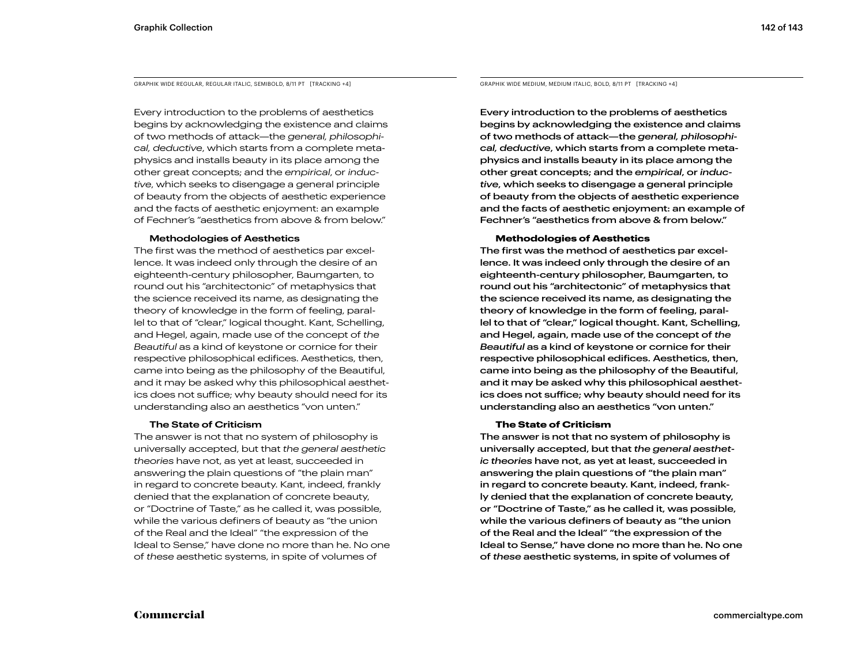GRAPHIK WIDE REGULAR, REGULAR ITALIC, SEMIBOLD, 8/11 PT [TRACKING +4]

Every introduction to the problems of aesthetics begins by acknowledging the existence and claims of two methods of attack—the *general, philosophical, deductive*, which starts from a complete metaphysics and installs beauty in its place among the other great concepts; and the *empirical*, or *inductive*, which seeks to disengage a general principle of beauty from the objects of aesthetic experience and the facts of aesthetic enjoyment: an example of Fechner's "aesthetics from above & from below."

#### **Methodologies of Aesthetics**

The first was the method of aesthetics par excellence. It was indeed only through the desire of an eighteenth-century philosopher, Baumgarten, to round out his "architectonic" of metaphysics that the science received its name, as designating the theory of knowledge in the form of feeling, parallel to that of "clear," logical thought. Kant, Schelling, and Hegel, again, made use of the concept of *the Beautiful* as a kind of keystone or cornice for their respective philosophical edifices. Aesthetics, then, came into being as the philosophy of the Beautiful, and it may be asked why this philosophical aesthetics does not suffice; why beauty should need for its understanding also an aesthetics "von unten."

#### **The State of Criticism**

The answer is not that no system of philosophy is universally accepted, but that *the general aesthetic theories* have not, as yet at least, succeeded in answering the plain questions of "the plain man" in regard to concrete beauty. Kant, indeed, frankly denied that the explanation of concrete beauty, or "Doctrine of Taste," as he called it, was possible, while the various definers of beauty as "the union of the Real and the Ideal" "the expression of the Ideal to Sense," have done no more than he. No one of *these* aesthetic systems, in spite of volumes of

GRAPHIK WIDE MEDIUM, MEDIUM ITALIC, BOLD, 8/11 PT [TRACKING +4]

Every introduction to the problems of aesthetics begins by acknowledging the existence and claims of two methods of attack—the *general, philosophical, deductive*, which starts from a complete metaphysics and installs beauty in its place among the other great concepts; and the *empirical*, or *inductive*, which seeks to disengage a general principle of beauty from the objects of aesthetic experience and the facts of aesthetic enjoyment: an example of Fechner's "aesthetics from above & from below."

#### **Methodologies of Aesthetics**

The first was the method of aesthetics par excellence. It was indeed only through the desire of an eighteenth-century philosopher, Baumgarten, to round out his "architectonic" of metaphysics that the science received its name, as designating the theory of knowledge in the form of feeling, parallel to that of "clear," logical thought. Kant, Schelling, and Hegel, again, made use of the concept of *the Beautiful* as a kind of keystone or cornice for their respective philosophical edifices. Aesthetics, then, came into being as the philosophy of the Beautiful, and it may be asked why this philosophical aesthetics does not suffice; why beauty should need for its understanding also an aesthetics "von unten."

#### **The State of Criticism**

The answer is not that no system of philosophy is universally accepted, but that *the general aesthetic theories* have not, as yet at least, succeeded in answering the plain questions of "the plain man" in regard to concrete beauty. Kant, indeed, frankly denied that the explanation of concrete beauty, or "Doctrine of Taste," as he called it, was possible, while the various definers of beauty as "the union of the Real and the Ideal" "the expression of the Ideal to Sense," have done no more than he. No one of *these* aesthetic systems, in spite of volumes of